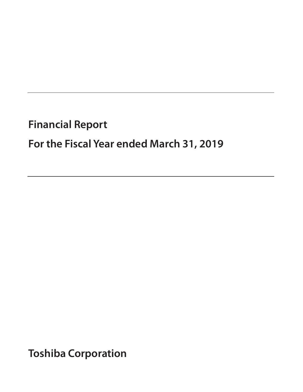# **Financial Report**

# **For the Fiscal Year ended March 31, 2019**

**Toshiba Corporation**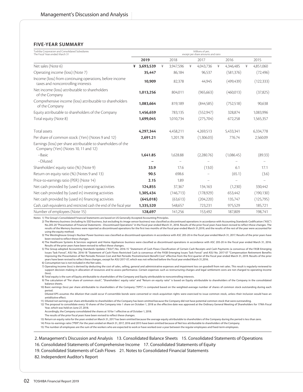# **FIVE-YEAR SUMMARY**

| Toshiba Corporation and Consolidated Subsidiaries<br>The Fiscal Years ended March 31                 |   |            |               |           |   | Millions of yen,<br>except per share amounts and ratio |   |            |   |            |
|------------------------------------------------------------------------------------------------------|---|------------|---------------|-----------|---|--------------------------------------------------------|---|------------|---|------------|
|                                                                                                      |   | 2019       |               | 2018      |   | 2017                                                   |   | 2016       |   | 2015       |
| Net sales (Note 6)                                                                                   | ¥ | 3,693,539  | $\frac{1}{2}$ | 3,947,596 | ¥ | 4.043.736                                              | ¥ | 4,346,485  | ¥ | 4,851,060  |
| Operating income (loss) (Note 7)                                                                     |   | 35,447     |               | 86,184    |   | 96,537                                                 |   | (581, 376) |   | (72, 496)  |
| Income (loss) from continuing operations, before income<br>taxes and noncontrolling interests        |   | 10,909     |               | 82,378    |   | 44.945                                                 |   | (499, 439) |   | (122, 333) |
| Net income (loss) attributable to shareholders<br>of the Company                                     |   | 1,013,256  |               | 804,011   |   | (965, 663)                                             |   | (460,013)  |   | (37,825)   |
| Comprehensive income (loss) attributable to shareholders<br>of the Company                           |   | 1,083,664  |               | 819,189   |   | (844,585)                                              |   | (752, 518) |   | 90,638     |
| Equity attributable to shareholders of the Company                                                   |   | 1,456,659  |               | 783,135   |   | (552, 947)                                             |   | 328,874    |   | 1,083,996  |
| Total equity (Note 8)                                                                                |   | 1,699,045  |               | 1,010,734 |   | (275, 704)                                             |   | 672,258    |   | 1,565,357  |
| Total assets                                                                                         |   | 4.297.344  |               | 4.458.211 |   | 4,269,513                                              |   | 5,433,341  |   | 6,334,778  |
| Per share of common stock: (Yen) (Notes 9 and 12)                                                    |   | 2,691.21   |               | 1,201.78  |   | (1,306.03)                                             |   | 776.74     |   | 2,560.09   |
| Earnings (loss) per share attributable to shareholders of the<br>Company (Yen) (Notes 10, 11 and 12) |   |            |               |           |   |                                                        |   |            |   |            |
| -Basic                                                                                               |   | 1,641.85   |               | 1,628.88  |   | (2,280.76)                                             |   | (1,086.45) |   | (89.33)    |
| -Diluted                                                                                             |   |            |               |           |   |                                                        |   |            |   |            |
| Shareholders' equity ratio (%) (Note 9)                                                              |   | 33.9       |               | 17.6      |   | (13.0)                                                 |   | 6.1        |   | 17.1       |
| Return on equity ratio (%) (Notes 9 and 13)                                                          |   | 90.5       |               | 698.6     |   |                                                        |   | (65.1)     |   | (3.6)      |
| Price-to-earnings ratio (PER) (Note 14)                                                              |   | 2.15       |               | 1.89      |   |                                                        |   |            |   |            |
| Net cash provided by (used in) operating activities                                                  |   | 124,855    |               | 37,367    |   | 134.163                                                |   | (1,230)    |   | 330.442    |
| Net cash provided by (used in) investing activities                                                  |   | 1,305,434  |               | (146,713) |   | (178,929)                                              |   | 653,442    |   | (190, 130) |
| Net cash provided by (used in) financing activities                                                  |   | (645, 018) |               | (63, 613) |   | (204, 220)                                             |   | 135,747    |   | (125,795)  |
| Cash, cash equivalents and restricted cash the end of the fiscal year                                |   | 1,335,520  |               | 548,657   |   | 723,231                                                |   | 975,529    |   | 185,721    |
| Number of employees (Note 15)                                                                        |   | 128.697    |               | 141,256   |   | 153.492                                                |   | 187.809    |   | 198,741    |

Notes: 1) The Group's Consolidated Financial Statements are based on US Generally Accepted Accounting Principles.

("250) 2) The Memory business (including its SSD business, but excluding its image sensor business) was classified as discontinued operations in accordance with Accounting Standards Codification ("ASC")<br>No.205-20 "Presenta results of the Memory business were reported as discontinued operations for the first two months of the fiscal year ended March 31,2019, and the results of the rest of the year were accounted for using the equity method.

3) The Westinghouse Group's Nuclear Power business was classified as discontinued operations in accordance with ASC 205-20 in the fiscal year ended March 31, 2017. Results of the prior years have been revised to reflect these changes.

4) The Healthcare Systems & Services segment and Home Appliances business were classified as discontinued operations in accordance with ASC 205-20 in the fiscal year ended March 31, 2016. Results of the prior years have been revised to reflect these changes.

5) The Group adopted Accounting Standards Updates ("ASU") No. 2016-15 "Statement of Cash Flows Classification of Certain Cash Receipts and Cash Payments (a consensus of the FASB Emerging Issues Task Force)", ASU No. 2016-18 "Statement of Cash Flows Restricted Cash (a consensus of the FASB Emerging Issues Task Force)" and ASU No. 2017-07 "Compensation Retirement Benefits Improving the Presentation of Net Periodic Pension Cost and Net Periodic Postretirement Benefit Cost" effective from the first quarter of the fiscal year ended March 31, 2019. Results of the prior years have been revised to reflect these changes, except for ASU 2017-07, which was not reflected before the fiscal year ended March 31,2016. 6) Consumption tax is not included in the Net sales.

7) Operating income (loss) is derived by deducting the cost of sales, selling, general and administrative expenses and impairment loss on goodwill from net sales. This result is regularly reviewed to support decision-making in allocation of resources and to assess performance. Certain expenses such as restructuring charges and legal settlement costs are not charged to operating income (loss).

8) Total equity is the sum of Equity attributable to shareholders of the Company and Equity attributable to noncontrolling interests.

9) The calculation of "Per share of common stock", "Shareholders' equity ratio" and "Return on equity ratio" is based on Equity attributable to shareholders of the Company in the consolidated balance sheets. 10) Basic earnings (loss) per share attributable to shareholders of the Company ("EPS") is computed based on the weighted-average number of shares of common stock outstanding during each

period.

 Diluted EPS assumes the dilution that could occur if convertible bonds were converted or stock acquisition rights were exercised to issue common stock, unless their inclusion would have an antidilutive effect.

11) Diluted net earnings per share attributable to shareholders of the Company has been omitted because the Company did not have potential common stock that were outstanding. 12) The proposal to consolidate every 10 shares of the Company into 1 share on October 1, 2018 as the effective date was approved at the Ordinary General Meeting of Shareholders for 179th Fiscal Year, which was held on June 27, 2018.

Accordingly, the Company consolidated the shares at 10 for 1 effective as of October 1, 2018.

The results of the prior fiscal years have been revised to reflect these changes.

13) Return on equity ratio for the years ended on March 31, 2017 has been omitted because the average equity attributable to shareholders of the Company during the period is less than zero.

14) Price-to-earnings ratio ("PER") for the years ended on March 31, 2017, 2016 and 2015 have been omitted because of Net loss attributable to shareholders of the Company.

15) The number of employees are the sum of the workers who are expected to work or have worked over a year between the regular employees and fixed-term employees.

 2. Management's Discussion and Analysis 13. Consolidated Balance Sheets 15. Consolidated Statements of Operations 16. Consolidated Statements of Comprehensive Income 17. Consolidated Statements of Equity

19. Consolidated Statements of Cash Flows 21. Notes to Consolidated Financial Statements

82. Independent Auditor's Report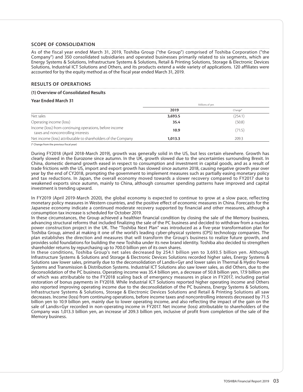# **SCOPE OF CONSOLIDATION**

As of the fiscal year ended March 31, 2019, Toshiba Group ("the Group") comprised of Toshiba Corporation ("the Company") and 350 consolidated subsidiaries and operated businesses primarily related to six segments, which are Energy Systems & Solutions, Infrastructure Systems & Solutions, Retail & Printing Solutions, Storage & Electronic Devices Solutions, Industrial ICT Solutions and Others, and its products extend a wide variety of applications. 120 affiliates were accounted for by the equity method as of the fiscal year ended March 31, 2019.

## **RESULTS OF OPERATIONS**

#### **(1) Overview of Consolidated Results**

## **Year Ended March 31**

|                                                                                               | Millions of yen |         |
|-----------------------------------------------------------------------------------------------|-----------------|---------|
|                                                                                               | 2019            | Change* |
| Net sales                                                                                     | 3,693.5         | (254.1) |
| Operating income (loss)                                                                       | 35.4            | (50.8)  |
| Income (loss) from continuing operations, before income<br>taxes and noncontrolling interests | 10.9            | (71.5)  |
| Net income (loss) attributable to shareholders of the Company                                 | 1,013.3         | 209.3   |
|                                                                                               |                 |         |

(\* Change from the previous fiscal year)

During FY2018 (April 2018-March 2019), growth was generally solid in the US, but less certain elsewhere. Growth has clearly slowed in the Eurozone since autumn. In the UK, growth slowed due to the uncertainties surrounding Brexit. In China, domestic demand growth eased in respect to consumption and investment in capital goods, and as a result of trade frictions with the US, import and export growth has slowed since autumn 2018, causing negative growth year over year by the end of CY2018, prompting the government to implement measures such as partially easing monetary policy and tax reductions. In Japan, the overall economy moved towards a slower recovery compared to FY2017 due to weakened exports since autumn, mainly to China, although consumer spending patterns have improved and capital investment is trending upward.

In FY2019 (April 2019-March 2020), the global economy is expected to continue to grow at a slow pace, reflecting monetary policy measures in Western countries, and the positive effect of economic measures in China. Forecasts for the Japanese economy indicate a continued moderate recovery supported by financial and other measures, although a consumption tax increase is scheduled for October 2019.

In these circumstances, the Group achieved a healthier financial condition by closing the sale of the Memory business, advancing structural reforms that included finalizing the sale of the PC business and decided to withdraw from a nuclear power construction project in the UK. The "Toshiba Next Plan" was introduced as a five-year transformation plan for Toshiba Group, aimed at making it one of the world's leading cyber-physical systems (CPS) technology companies. The plan establishes the direction and measures that will transform the Group's business to realize future growth, and provides solid foundations for building the new Toshiba under its new brand identity. Toshiba also decided to strengthen shareholder returns by repurchasing up to 700.0 billion yen of its own shares.

In these conditions, Toshiba Group's net sales decreased by 254.1 billion yen to 3,693.5 billion yen. Although Infrastructure Systems & Solutions and Storage & Electronic Devices Solutions recorded higher sales, Energy Systems & Solutions saw lower sales, primarily due to the deconsolidation of Landis+Gyr and lower sales in Thermal & Hydro Power Systems and Transmission & Distribution Systems. Industrial ICT Solutions also saw lower sales, as did Others, due to the deconsolidation of the PC business. Operating income was 35.4 billion yen, a decrease of 50.8 billion yen, 17.9 billion yen of which was attributable to the FY2018 scaling back of emergency measures in place in FY2017, including partial restoration of bonus payments in FY2018. While Industrial ICT Solutions reported higher operating income and Others also reported improving operating income due to the deconsolidation of the PC business, Energy Systems & Solutions, Infrastructure Systems & Solutions, Storage & Electronic Devices Solutions and Retail & Printing Solutions all saw decreases. Income (loss) from continuing operations, before income taxes and noncontrolling interests decreased by 71.5 billion yen to 10.9 billion yen, mainly due to lower operating income, and also reflecting the impact of the gain on the sale of Landis+Gyr recorded in non-operating income in FY2017. Net income (loss) attributable to shareholders of the Company was 1,013.3 billion yen, an increase of 209.3 billion yen, inclusive of profit from completion of the sale of the Memory business.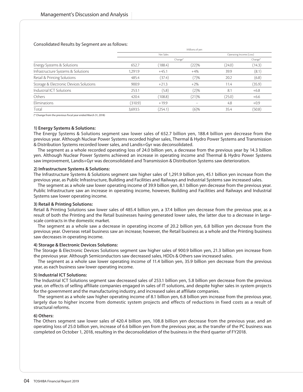# Consolidated Results by Segment are as follows:

|                                        |         |           | Millions of yen          |                         |         |
|----------------------------------------|---------|-----------|--------------------------|-------------------------|---------|
|                                        |         | Net Sales |                          | Operating Income (Loss) |         |
|                                        |         | Change*   |                          |                         | Change* |
| Energy Systems & Solutions             | 652.7   | (188.4)   | (22)%                    | (24.0)                  | (14.3)  |
| Infrastructure Systems & Solutions     | 1.291.9 | $+45.1$   | $+4%$                    | 39.9                    | (8.1)   |
| Retail & Printing Solutions            | 485.4   | (37.4)    | (7)%                     | 20.2                    | (6.8)   |
| Storage & Electronic Devices Solutions | 900.9   | $+21.3$   | $+2\%$                   | 11.4                    | (35.9)  |
| Industrial ICT Solutions               | 253.1   | (5.8)     | (2)%                     | 8.1                     | $+6.8$  |
| Others                                 | 420.4   | (108.8)   | (21)%                    | (25.0)                  | $+6.6$  |
| Eliminations                           | (310.9) | $+19.9$   | $\overline{\phantom{0}}$ | 4.8                     | $+0.9$  |
| Total                                  | 3,693.5 | (254.1)   | (6)%                     | 35.4                    | (50.8)  |

(\* Change from the previous fiscal year ended March 31, 2018)

# **1) Energy Systems & Solutions:**

The Energy Systems & Solutions segment saw lower sales of 652.7 billion yen, 188.4 billion yen decrease from the previous year. Although Nuclear Power Systems recorded higher sales, Thermal & Hydro Power Systems and Transmission & Distribution Systems recorded lower sales, and Landis+Gyr was deconsolidated.

The segment as a whole recorded operating loss of 24.0 billion yen, a decrease from the previous year by 14.3 billion yen. Although Nuclear Power Systems achieved an increase in operating income and Thermal & Hydro Power Systems saw improvement, Landis+Gyr was deconsolidated and Transmission & Distribution Systems saw deterioration.

#### **2) Infrastructure Systems & Solutions:**

The Infrastructure Systems & Solutions segment saw higher sales of 1,291.9 billion yen, 45.1 billion yen increase from the previous year, as Public Infrastructure, Building and Facilities and Railways and Industrial Systems saw increased sales.

The segment as a whole saw lower operating income of 39.9 billion yen, 8.1 billion yen decrease from the previous year. Public Infrastructure saw an increase in operating income, however, Building and Facilities and Railways and Industrial Systems saw lower operating income.

# **3) Retail & Printing Solutions:**

Retail & Printing Solutions saw lower sales of 485.4 billion yen, a 37.4 billion yen decrease from the previous year, as a result of both the Printing and the Retail businesses having generated lower sales, the latter due to a decrease in largescale contracts in the domestic market.

The segment as a whole saw a decrease in operating income of 20.2 billion yen, 6.8 billion yen decrease from the previous year. Overseas retail business saw an increase; however, the Retail business as a whole and the Printing business saw decreases in operating income.

#### **4) Storage & Electronic Devices Solutions:**

The Storage & Electronic Devices Solutions segment saw higher sales of 900.9 billion yen, 21.3 billion yen increase from the previous year. Although Semiconductors saw decreased sales, HDDs & Others saw increased sales.

The segment as a whole saw lower operating income of 11.4 billion yen, 35.9 billion yen decrease from the previous year, as each business saw lower operating income.

#### **5) Industrial ICT Solutions:**

The Industrial ICT Solutions segment saw decreased sales of 253.1 billion yen, 5.8 billion yen decrease from the previous year, on effects of selling affiliate companies engaged in sales of IT solutions, and despite higher sales in system projects for the government and the manufacturing industry, and increased sales at affiliate companies.

The segment as a whole saw higher operating income of 8.1 billion yen, 6.8 billion yen increase from the previous year, largely due to higher income from domestic system projects and effects of reductions in fixed costs as a result of structural reforms.

# **6) Others:**

The Others segment saw lower sales of 420.4 billion yen, 108.8 billion yen decrease from the previous year, and an operating loss of 25.0 billion yen, increase of 6.6 billion yen from the previous year, as the transfer of the PC business was completed on October 1, 2018, resulting in the deconsolidation of the business in the third quarter of FY2018.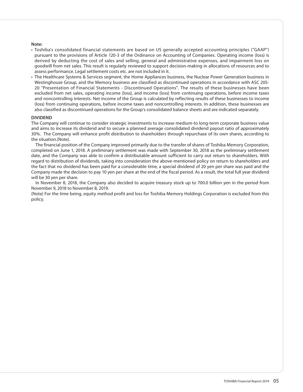# **Note:**

- Toshiba's consolidated financial statements are based on US generally accepted accounting principles ("GAAP") pursuant to the provisions of Article 120-3 of the Ordinance on Accounting of Companies. Operating income (loss) is derived by deducting the cost of sales and selling, general and administrative expenses, and impairment loss on goodwill from net sales. This result is regularly reviewed to support decision-making in allocations of resources and to assess performance. Legal settlement costs etc. are not included in it.
- The Healthcare Systems & Services segment, the Home Appliances business, the Nuclear Power Generation business in Westinghouse Group, and the Memory business are classified as discontinued operations in accordance with ASC 205- 20 "Presentation of Financial Statements - Discontinued Operations". The results of these businesses have been excluded from net sales, operating income (loss), and income (loss) from continuing operations, before income taxes and noncontrolling interests. Net income of the Group is calculated by reflecting results of these businesses to income (loss) from continuing operations, before income taxes and noncontrolling interests. In addition, these businesses are also classified as discontinued operations for the Group's consolidated balance sheets and are indicated separately.

## **DIVIDEND**

The Company will continue to consider strategic investments to increase medium-to long-term corporate business value and aims to increase its dividend and to secure a planned average consolidated dividend payout ratio of approximately 30%. The Company will enhance profit distribution to shareholders through repurchase of its own shares, according to the situation.(Note).

The financial position of the Company improved primarily due to the transfer of shares of Toshiba Memory Corporation, completed on June 1, 2018. A preliminary settlement was made with September 30, 2018 as the preliminary settlement date, and the Company was able to confirm a distributable amount sufficient to carry out return to shareholders. With regard to distribution of dividends, taking into consideration the above-mentioned policy on return to shareholders and the fact that no dividend has been paid for a considerable time, a special dividend of 20 yen per share was paid and the Company made the decision to pay 10 yen per share at the end of the fiscal period. As a result, the total full year dividend will be 30 yen per share.

In November 8, 2018, the Company also decided to acquire treasury stock up to 700.0 billion yen in the period from November 9, 2018 to November 8, 2019.

(Note) For the time being, equity method profit and loss for Toshiba Memory Holdings Corporation is excluded from this policy.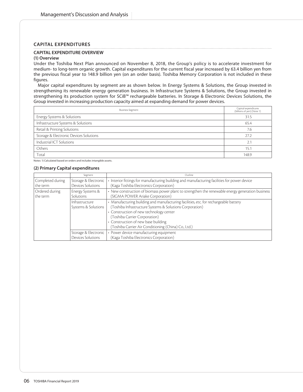# **CAPITAL EXPENDITURES**

# **CAPITAL EXPENDITURE OVERVIEW**

# **(1) Overview**

Under the Toshiba Next Plan announced on November 8, 2018, the Group's policy is to accelerate investment for medium- to long-term organic growth. Capital expenditures for the current fiscal year increased by 63.4 billion yen from the previous fiscal year to 148.9 billion yen (on an order basis). Toshiba Memory Corporation is not included in these figures.

Major capital expenditures by segment are as shown below. In Energy Systems & Solutions, the Group invested in strengthening its renewable energy generation business. In Infrastructure Systems & Solutions, the Group invested in strengthening its production system for SCiB™ rechargeable batteries. In Storage & Electronic Devices Solutions, the Group invested in increasing production capacity aimed at expanding demand for power devices.

| <b>Business Segment</b>                | Capital expenditures<br>(billions of yen) (Note 1) |
|----------------------------------------|----------------------------------------------------|
| Energy Systems & Solutions             | 31.5                                               |
| Infrastructure Systems & Solutions     | 65.4                                               |
| Retail & Printing Solutions            | 7.6                                                |
| Storage & Electronic Devices Solutions | 27.2                                               |
| Industrial ICT Solutions               | 2.1                                                |
| Others                                 | 15.1                                               |
| Total                                  | 148.9                                              |

Notes: 1) Calculated based on orders and includes intangible assets.

#### **(2) Primary Capital expenditures**

|                              | Segment                                   | Outline                                                                                                                                                                                                                                                                                                                     |
|------------------------------|-------------------------------------------|-----------------------------------------------------------------------------------------------------------------------------------------------------------------------------------------------------------------------------------------------------------------------------------------------------------------------------|
| Completed during<br>the term | Storage & Electronic<br>Devices Solutions | • Interior fittings for manufacturing building and manufacturing facilities for power device<br>(Kaga Toshiba Electronics Corporation)                                                                                                                                                                                      |
| Ordered during<br>the term   | Energy Systems &<br>Solutions             | • New construction of biomass power plant to strengthen the renewable energy generation business<br>(SIGMA POWER Ariake Corporation)                                                                                                                                                                                        |
|                              | Infrastructure<br>Systems & Solutions     | • Manufacturing building and manufacturing facilities, etc. for rechargeable battery<br>(Toshiba Infrastructure Systems & Solutions Corporation)<br>• Construction of new technology center<br>(Toshiba Carrier Corporation)<br>• Construction of new base building<br>(Toshiba Carrier Air Conditioning (China) Co., Ltd.) |
|                              | Storage & Electronic<br>Devices Solutions | • Power device manufacturing equipment<br>(Kaga Toshiba Electronics Corporation)                                                                                                                                                                                                                                            |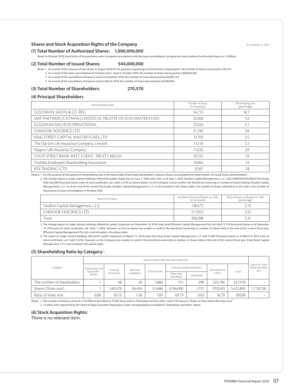# **Shares and Stock Acquisition Rights of the Company** Associated and Associated As of March 31, 2019

**(1) Total Number of Authorized Shares: 1,000,000,000**

(Note) In October 2018, the Articles of Incorporation were changed in accordance with the share consolidation, bringing the total number of authorized shares to 1.0 billion.

# **(2) Total Number of Issued Shares: 544,000,000**

(Note) 1. As a result of the issuance of new shares in August 2018 for the purpose of granting restricted stock compensation, the number of shares increased by 250,310.

2. As a result of the share consolidation of 10 shares into 1 share in October 2018, the number of shares decreased by 5,868,861,603.

3. As a result of the cancellation of treasury stock in December 2018, the number of shares decreased by 66,095,733.

4. As a result of the cancellation of treasury stock in March 2019, the number of shares decreased by 42,000,000.

#### **(3) Total Number of Shareholders: 270,570**

# **(4) Principal Shareholders**

| Name of Shareholder                                         | Number of shares<br>(in thousands) | Shareholding ratio<br>(percentage) |
|-------------------------------------------------------------|------------------------------------|------------------------------------|
| GOLDMAN, SACHS & CO. REG                                    | 54.713                             | 10.1                               |
| SMP PARTNERS (CAYMAN) LIMITED AS TRUSTEE OF ECM MASTER FUND | 32,000                             | 5.9                                |
| <b>GOLDMAN SACHS INTERNATIONAL</b>                          | 22.024                             | 4.1                                |
| CHINOOK HOLDINGS LTD                                        | 21,192                             | 3.9                                |
| KING STREET CAPITAL MASTER FUND, LTD                        | 13.703                             | 2.5                                |
| The Dai-ichi Life Insurance Company, Limited                | 11.516                             | 2.1                                |
| Nippon Life Insurance Company                               | 11.035                             | 2.0                                |
| STATE STREET BANK WEST CLIENT- TREATY 505234                | 10.155                             | 1.9                                |
| Toshiba Employees Shareholding Association                  | 10.064                             | 1.9                                |
| <b>KSS TRADING I LTD</b>                                    | 9,567                              | 1.8                                |

(Notes) 1. For the purpose of calculation of shareholding ratio in the above table of principal shareholders, treasury shares are excluded from total number of issued shares (denominator).

2. The change report on large-volume holdings offered for public inspection on June 1, 2018 notes that, as of June 1, 2018, Farallon Capital Management L.L.C. and CHINOOK HOLDINGS LTD jointly hold 350,398 thousand shares (ratio of stock certificates, etc. held: 5.37%) as shown below. As the Company cannot confirm the beneficial ownership or number of shares held by Farallon Capital Management L.L.C. as of the end of the current fiscal year, Farallon Capital Management L.L.C. is not included in the above table. The number of shares referred to in this note is the number of shares prior to share consolidation in October 2018.

| Name of company                     | Number of stock certificates, etc. held<br>(in thousands) | Ratio of stock certificates, etc. held<br>(percentage) |
|-------------------------------------|-----------------------------------------------------------|--------------------------------------------------------|
| Farallon Capital Management, L.L.C. | 138.475                                                   |                                                        |
| CHINOOK HOLDINGS LTD                | 211.923                                                   | 3.25                                                   |
| Total                               | 350.398                                                   | 5.37                                                   |

3. The change report on large-volume holdings offered for public inspection on December 19, 2018 notes that Effissimo Capital Management Pte Ltd. held 73,718 thousand shares as of December 14, 2018 (ratio of stock certificates, etc. held: 11.30%). However, as the Company was unable to confirm the beneficial ownership or number of shares held at the end of the current fiscal year, Effissimo Capital Management Pte Ltd. is not included in the above table.

4. The report on large-volume holdings offered for public inspection on March 12, 2019 notes that King Street Capital Management, L.P. held 31,694 thousand shares as of March 8, 2019 (ratio of stock certificates, etc. held: 5.41%). However, as the Company was unable to confirm the beneficial ownership or number of shares held at the end of the current fiscal year, King Street Capital Management, L.P. is not included in the above table.

#### **(5) Shareholding Ratio by Category :**

|                            | Status of share (100 shares per share unit) |                           |        |                           |                              |        |                 |           |                                            |
|----------------------------|---------------------------------------------|---------------------------|--------|---------------------------|------------------------------|--------|-----------------|-----------|--------------------------------------------|
| Category                   | Government and I<br>local public            | Financial<br>Securities   |        | Other entities            | Overseas entities and others |        | Individuals and | Total     | Status of share<br>below the share<br>unit |
|                            | entities                                    | institutions<br>companies |        | Other than<br>individuals | Individuals                  | others |                 |           |                                            |
| The number of shareholders |                                             | 48                        | 46     | 1.606                     | 731                          | 290    | 225.196         | 227.918   | $\overline{\phantom{a}}$                   |
| Shares (Share unit)        |                                             | 549.578                   | 84.494 | 91.686                    | 3,784,900                    | 1.731  | 910.503         | 5,422,893 | 1,710,700                                  |
| Ratio of share unit        | 0.00                                        | 10.13                     | 1.56   | 1.69                      | 69.79                        | 0.03   | 16.79           | 100.00    |                                            |

(Note) 1. The number of treasury stock of 2,735,038 are described in 27,350 share units in "Individuals and the other" and in 38 shares in "Status of share below the share unit" 2. 23 share units registered by the name of Japan Securities Depository Center, Incorporated are included in "Individuals and other" above.

**(6) Stock Acquisition Rights:**

There is no relevant item.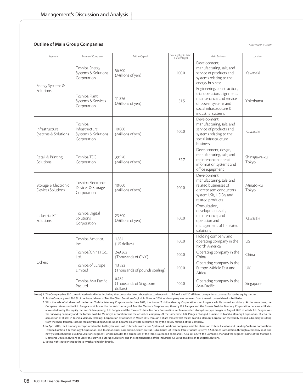# **Outline of Main Group Companies** Associated and the Main State Associated and Associated 31, 2019

| Segment                                   | Name of Company                                                 | Paid in Capital                              | Voting Rights Ratio<br>(Percentage) | Main Business                                                                                                                                                  | Location               |
|-------------------------------------------|-----------------------------------------------------------------|----------------------------------------------|-------------------------------------|----------------------------------------------------------------------------------------------------------------------------------------------------------------|------------------------|
|                                           | Toshiba Energy<br>Systems & Solutions<br>Corporation            | 56.500<br>(Millions of yen)                  | 100.0                               | Development,<br>manufacturing, sale, and<br>service of products and<br>systems relating to the<br>energy business                                              | Kawasaki               |
| Energy Systems &<br>Solutions             | Toshiba Plant<br>Systems & Services<br>Corporation              | 11.876<br>(Millions of yen)                  | 51.5                                | Engineering, construction,<br>trial operation, alignment,<br>maintenance, and service<br>of power systems and<br>social infrastructure &<br>industrial systems | Yokohama               |
| Infrastructure<br>Systems & Solutions     | Toshiba<br>Infrastructure<br>Systems & Solutions<br>Corporation | 10.000<br>(Millions of yen)                  | 100.0                               | Development,<br>manufacturing, sale, and<br>service of products and<br>systems relating to the<br>social infrastructure<br>business                            | Kawasaki               |
| Retail & Printing<br>Solutions            | Toshiba TEC<br>Corporation                                      | 39.970<br>(Millions of yen)                  | 52.7                                | Development, design,<br>manufacturing, sale, and<br>maintenance of retail<br>information systems and<br>office equipment                                       | Shinagawa-ku,<br>Tokyo |
| Storage & Electronic<br>Devices Solutions | Toshiba Electronic<br>Devices & Storage<br>Corporation          | 10.000<br>(Millions of yen)                  | 100.0                               | Development,<br>manufacturing, sale, and<br>related businesses of<br>discrete semiconductors,<br>system LSIs, HDDs, and<br>related products                    | Minato-ku.<br>Tokyo    |
| Industrial ICT<br>Solutions               | Toshiba Digital<br>Solutions<br>Corporation                     | 23,500<br>(Millions of yen)                  | 100.0                               | Consultation,<br>development, sale,<br>maintenance, and<br>operation and<br>management of IT-related<br>solutions                                              | Kawasaki               |
|                                           | Toshiba America.<br>Inc.                                        | 1.884<br>(US dollars)                        | 100.0                               | Holding company and<br>operating company in the<br>North America                                                                                               | US                     |
| Others                                    | Toshiba(China) Co.,<br>Ltd.                                     | 249.362<br>(Thousands of CNY)                | 100.0                               | Operating company in the<br>China                                                                                                                              | China                  |
|                                           | Toshiba of Europe<br>Limited                                    | 13,522<br>(Thousands of pounds sterling)     | 100.0                               | Operating company in the<br>Europe, Middle East and<br>Africa                                                                                                  | UK                     |
|                                           | Toshiba Asia Pacific<br>Pte. Ltd.                               | 6,784<br>(Thousands of Singapore<br>dollars) | 100.0                               | Operating company in the<br>Asia-Pacific                                                                                                                       | Singapore              |

(Notes) 1. The Company has 350 consolidated subsidiaries (including the companies listed above) in accordance with US GAAP, and 120 affiliated companies accounted for by the equity method. 2. As the Company sold 80.1 % of the issued shares of Toshiba Client Solutions Co., Ltd. in October 2018, said company was removed from the main consolidated subsidiaries.

4. In April 2019, the Company incorporated in the battery business of Toshiba Infrastructure Systems & Solutions Company, and the shares of Toshiba Elevator and Building Systems Corporation, Toshiba Lighting & Technology Corporation, and Toshiba Carrier Corporation, which are sub-subsidiaries of Toshiba Infrastructure Systems & Solutions Corporation, through a company split, and newly established the Building Solutions segment, which includes the businesses of the three succeeded companies. Also in FY2019, the Company changed the segment name of the Storage & Electronic Device Solutions to Electronic Device & Storage Solutions and the segment name of the Industrial ICT Solutions division to Digital Solutions.

5. Voting rights ratio includes those which are held indirectly.

<sup>3.</sup> With the sale of all shares of the former Toshiba Memory Corporation in June 2018, the former Toshiba Memory Corporation is no longer a wholly owned subsidiary. At the same time, the Company reinvested in K.K. Pangea, which was the parent company of Toshiba Memory Corporation, thereby K.K Pangea and the former Toshiba Memory Corporation became affiliates accounted for by the equity method. Subsequently, K.K. Pangea and the former Toshiba Memory Corporation implemented an absorption-type merger in August 2018 in which K.K. Pangea was the surviving company and the former Toshiba Memory Corporation was the absorbed company. At the same time, K.K. Pangea changed its name to Toshiba Memory Corporation. Due to the acquisition of shares in Toshiba Memory Holdings Corporation established in March 2019 through a share transfer that makes Toshiba Memory Corporation the wholly owned subsidiary resulting from the share transfer, Toshiba Memory Holdings Corporation became an affiliate accounted for by the equity method of the Company.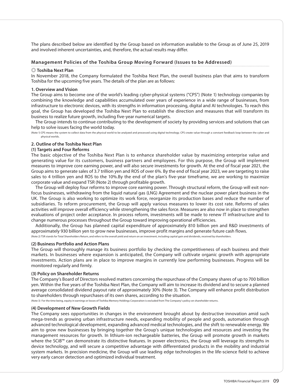The plans described below are identified by the Group based on information available to the Group as of June 25, 2019 and involved inherent uncertainties, and, therefore, the actual results may differ.

# **Management Policies of the Toshiba Group Moving Forward (Issues to be Addressed)**

#### ◎ **Toshiba Next Plan**

In November 2018, the Company formulated the Toshiba Next Plan, the overall business plan that aims to transform Toshiba for the upcoming five years. The details of the plan are as follows:

# **1. Overview and Vision**

The Group aims to become one of the world's leading cyber-physical systems ("CPS") (Note 1) technology companies by combining the knowledge and capabilities accumulated over years of experience in a wide range of businesses, from infrastructure to electronic devices, with its strengths in information processing, digital and AI technologies. To reach this goal, the Group has developed the Toshiba Next Plan to establish the direction and measures that will transform its business to realize future growth, including five-year numerical targets.

The Group intends to continue contributing to the development of society by providing services and solutions that can help to solve issues facing the world today.

(Note 1) CPS means the system to collect data from the physical world to be analyzed and processed using digital technology. CPS create value through a constant feedback loop between the cyber and physical worlds.

# **2. Outline of the Toshiba Next Plan**

# **(1) Targets and Four Reforms**

The basic objective of the Toshiba Next Plan is to enhance shareholder value by maximizing enterprise value and generating value for its customers, business partners and employees. For this purpose, the Group will implement measures to improve core earning power, and will also secure investments for growth. At the end of fiscal year 2021, the Group aims to generate sales of 3.7 trillion yen and ROS of over 6%. By the end of fiscal year 2023, we are targeting to raise sales to 4 trillion yen and ROS to the 10%.By the end of the plan's five-year timeframe, we are working to maximize corporate value and expand TSR (Note 2) through profitable growth.

The Group will deploy four reforms to improve core earning power. Through structural reform, the Group will exit nonfocus businesses, withdrawing from the liquid natural gas (LNG) Agreement and the nuclear power plant business in the UK. The Group is also working to optimize its work force, reorganize its production bases and reduce the number of subsidiaries. To reform procurement, the Group will apply various measures to lower its cost rate. Reforms of sales activities will improve overall efficiency while strengthening the sales force. Measures are also now in place to strengthen evaluations of project order acceptance. In process reform, investments will be made to renew IT infrastructure and to change numerous processes throughout the Group toward improving operational efficiencies.

Additionally, the Group has planned capital expenditure of approximately 810 billion yen and R&D investments of approximately 930 billion yen to grow new businesses, improve profit margins and generate future cash flows.

(Note 2) TSR stands for Total Shareholders Return, and refers to the overall yield and return on an investment, including capital gain and dividends, received by shareholders.

## **(2) Business Portfolio and Action Plans**

The Group will thoroughly manage its business portfolio by checking the competitiveness of each business and their markets. In businesses where expansion is anticipated, the Company will cultivate organic growth with appropriate investments. Action plans are in place to improve margins in currently low performing businesses. Progress will be monitored regularly and firmly.

# **(3) Policy on Shareholder Returns**

The Company's Board of Directors resolved matters concerning the repurchase of the Company shares of up to 700 billion yen. Within the five years of the Toshiba Next Plan, the Company will aim to increase its dividend and to secure a planned average consolidated dividend payout rate of approximately 30% (Note 3). The Company will enhance profit distribution to shareholders through repurchases of its own shares, according to the situation.

(Note 3) For the time being, equity in earnings or losses of Toshiba Memory Holdings Corporaiton is excluded from The Company's policy on shareholder returns.

#### **(4) Development of New Growth Fields**

The Company sees opportunities in changes in the environment brought about by destructive innovation amid such mega-trends as growing urban infrastructure needs, expanding mobility of people and goods, automation through advanced technological development, expanding advanced medical technologies, and the shift to renewable energy. We aim to grow new businesses by bringing together the Group's unique technologies and resources and investing the management resources for growth. In lithium-ion rechargeable batteries, the Group will promote growth in markets where the SCiB™ can demonstrate its distinctive features. In power electronics, the Group will leverage its strengths in device technology, and will secure a competitive advantage with differentiated products in the mobility and industrial system markets. In precision medicine, the Group will use leading edge technologies in the life-science field to achieve very early cancer detection and optimized individual treatment.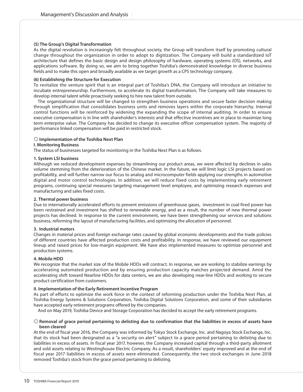# **(5) The Group's Digital Transformation**

As the digital revolution is increasingly felt throughout society, the Group will transform itself by promoting cultural change throughout the organization in order to adopt to digitization. The Company will build a standardized IoT architecture that defines the basic design and design philosophy of hardware, operating systems (OS), networks, and applications software. By doing so, we aim to bring together Toshiba's demonstrated knowledge in diverse business fields and to make this open and broadly available as we target growth as a CPS technology company.

# **(6) Establishing the Structure for Execution**

To revitalize the venture spirit that is an integral part of Toshiba's DNA, the Company will introduce an initiative to incubate entrepreneurship. Furthermore, to accelerate its digital transformation, The Company will take measures to develop internal talent while proactively seeking to hire new talent from outside.

The organizational structure will be changed to strengthen business operations and secure faster decision making through simplification that consolidates business units and removes layers within the corporate hierarchy. Internal control functions will be reinforced by widening the expanding the scope of internal auditing. In order to ensure executive compensation is in line with shareholder's interests and that effective incentives are in place to maximize long term enterprise value. The Company has decided to change its executive officer compensation system. The majority of performance linked compensation will be paid in restricted stock.

# ◎ **Implementation of the Toshiba Next Plan**

# **I. Monitoring Business**

The status of businesses targeted for monitoring in the Toshiba Next Plan is as follows.

# **1. System LSI business**

Although we reduced development expenses by streamlining our product areas, we were affected by declines in sales volume stemming from the deterioration of the Chinese market. In the future, we will limit logic LSI projects based on profitability, and will further narrow our focus to analog and microcomputer fields applying our strengths in automotive digital and motor control technologies. In addition, we will reduce fixed costs by implementing early retirement programs, continuing special measures targeting management level employee, and optimizing research expenses and manufacturing and sales fixed costs.

# **2. Thermal power business**

Due to internationally accelerated efforts to prevent emissions of greenhouse gases, investment in coal-fired power has been restrained and investment has shifted to renewable energy, and as a result, the number of new thermal power projects has declined. In response to the current environment, we have been strengthening our services and solutions business, reforming the layout of manufacturing facilities, and optimizing the allocation of personnel.

# **3. Industrial motors**

Changes in material prices and foreign exchange rates caused by global economic developments and the trade policies of different countries have affected production costs and profitability. In response, we have reviewed our equipment lineup and raised prices for low-margin equipment. We have also implemented measures to optimize personnel and production systems.

# **4. Mobile HDD**

We recognize that the market size of the Mobile HDDs will contract. In response, we are working to stabilize earnings by accelerating automated production and by ensuring production capacity matches projected demand. Amid the accelerating shift toward Nearline HDDs for data centers, we are also developing near-line HDDs and working to secure product certification from customers.

# **II. Implementation of the Early Retirement Incentive Program**

As part of efforts to optimize the work force in the context of reforming production under the Toshiba Next Plan, at Toshiba Energy Systems & Solutions Corporation, Toshiba Digital Solutions Corporation, and some of their subsidiaries have accepted early retirement programs offered by the companies.

And on May 2019, Toshiba Device and Storage Corporation has decided to accept the early retirement programs.

# ◎ **Removal of grace period pertaining to delisting due to confirmation that the liabilities in excess of assets have been cleared**

At the end of fiscal year 2016, the Company was informed by Tokyo Stock Exchange, Inc. and Nagoya Stock Exchange, Inc. that its stock had been designated as a "a security on alert" subject to a grace period pertaining to delisting due to liabilities in excess of assets. In fiscal year 2017, however, the Company increased capital through a third-party allotment and sold assets relating to Westinghouse Electric Company. As a result, shareholders' equity improved and at the end of fiscal year 2017 liabilities in excess of assets were eliminated. Consequently, the two stock exchanges in June 2018 removed Toshiba's stock from the grace period pertaining to delisting.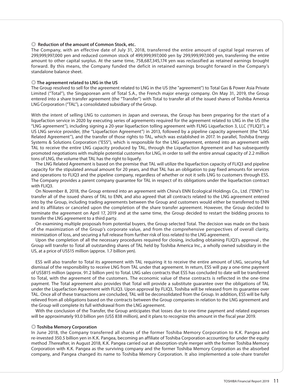## ◎ **Reduction of the amount of Common Stock, etc.**

The Company, with an effective date of July 31, 2018, transferred the entire amount of capital legal reserves of 299,999,997,000 yen and reduced common stock of 499,999,997,000 yen by 299,999,997,000 yen, transferring the entire amount to other capital surplus. At the same time, 758,687,345,174 yen was reclassified as retained earnings brought forward. By this means, the Company funded the deficit in retained earnings brought forward in the Company's standalone balance sheet.

#### ◎ **The agreement related to LNG in the US**

The Group resolved to sell for the agreement related to LNG in the US (the "agreement") to Total Gas & Power Asia Private Limited ("Total"), the Singaporean arm of Total S.A., the French major energy company. On May 31, 2019, the Group entered into a share transfer agreement (the "Transfer") with Total to transfer all of the issued shares of Toshiba America LNG Corporation ("TAL"), a consolidated subsidiary of the Group.

With the intent of selling LNG to customers in Japan and overseas, the Group has been preparing for the start of a liquefaction service in 2020 by executing series of agreements required for the agreement related to LNG in the US (the "LNG agreement"), including signing a 20-year liquefaction tolling agreement with FLNG Liquefaction 3, LLC ("FLIQ3"), a US LNG service provider, (the "Liquefaction Agreement") in 2013, followed by a pipeline capacity agreement (the "LNG Related Agreement"), and the transfer of those rights to TAL, which was established in 2017. In parallel, Toshiba Energy Systems & Solutions Corporation ("ESS"), which is responsible for the LNG agreement, entered into an agreement with TAL to receive the entire LNG capacity produced by TAL, through the Liquefaction Agreement and has subsequently promoted negotiations with multiple potential customers for LNG, in order to sell the entire annual capacity of 2.2 million tons of LNG, the volume that TAL has the right to liquefy.

The LNG Related Agreement is based on the premise that TAL will utilize the liquefaction capacity of FLIQ3 and pipeline capacity for the stipulated annual amount for 20 years, and that TAL has an obligation to pay fixed amounts for services and operations to FLIQ3 and the pipeline company, regardless of whether or not it sells LNG to customers through ESS. The Company provides a parent company guarantee for TAL in respect of its obligations under the liquefaction contract with FLIQ3.

On November 8, 2018, the Group entered into an agreement with China's ENN Ecological Holdings Co., Ltd. ("ENN") to transfer all of the issued shares of TAL to ENN, and also agreed that all contracts related to the LNG agreement entered into by the Group, including trading agreements between the Group and customers would either be transferred to ENN and its affiliates or canceled upon the completion of the share transfer agreement. However, the Group decided to terminate the agreement on April 17, 2019 and at the same time, the Group decided to restart the bidding process to transfer the LNG agreement to a third party.

On examining multiple proposals from potential buyers, the Group selected Total. The decision was made on the basis of the maximization of the Group's corporate value, and from the comprehensive perspectives of overall clarity, minimization of loss, and securing a full release from further risk of loss related to the LNG agreement.

Upon the completion of all the necessary procedures required for closing, including obtaining FLIQ3's approval , the Group will transfer to Total all outstanding shares of TAL held by Toshiba America Inc., a wholly owned subsidiary in the US, at a price of US\$15 million (approx. 1.7 billion yen).

ESS will also transfer to Total its agreement with TAL requiring it to receive the entire amount of LNG, securing full dismissal of the responsibility to receive LNG from TAL under that agreement. In return, ESS will pay a one-time payment of US\$815 million (approx. 91.2 billion yen) to Total. LNG sales contracts that ESS has concluded to date will be transferred to Total, with the agreement of the customers. The economic value of these contracts is reflected in the one-time payment. The Total agreement also provides that Total will provide a substitute guarantee over the obligations of TAL under the Liquefaction Agreement with FLIQ3. Upon approval by FLIQ3, Toshiba will be released from its guarantee over TAL. Once all of these transactions are concluded, TAL will be deconsolidated from the Group. In addition, ESS will be fully relieved from all obligations based on the contracts between the Group companies in relation to the LNG agreement and the Group will complete its full withdrawal from the LNG agreement.

With the conclusion of the Transfer, the Group anticipates that losses due to one-time payment and related expenses will be approximately 93.0 billion yen (US\$ 838 million), and it plans to recognize this amount in the fiscal year 2019.

#### ◎ **Toshiba Memory Corporation**

In June 2018, the Company transferred all shares of the former Toshiba Memory Corporation to K.K. Pangea and re-invested 350.5 billion yen in K.K. Pangea, becoming an affiliate of Toshiba Corporation accounting for under the equity method .Thereafter, in August 2018, K.K. Pangea carried out an absorption-style merger with the former Toshiba Memory Corporation with K.K. Pangea as the surviving company and the former Toshiba Memory Corporation as the absorbed company, and Pangea changed its name to Toshiba Memory Corporation. It also implemented a sole-share transfer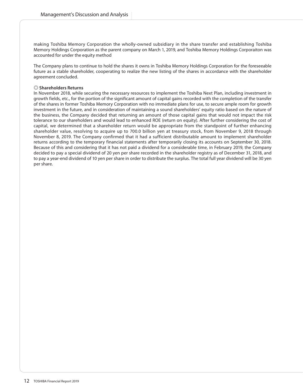making Toshiba Memory Corporation the wholly-owned subsidiary in the share transfer and establishing Toshiba Memory Holdings Corporation as the parent company on March 1, 2019, and Toshiba Memory Holdings Corporaiton was accounted for under the equity method

The Company plans to continue to hold the shares it owns in Toshiba Memory Holdings Corporation for the foreseeable future as a stable shareholder, cooperating to realize the new listing of the shares in accordance with the shareholder agreement concluded.

# ◎ **Shareholders Returns**

In November 2018, while securing the necessary resources to implement the Toshiba Next Plan, including investment in growth fields, etc., for the portion of the significant amount of capital gains recorded with the completion of the transfer of the shares in former Toshiba Memory Corporation with no immediate plans for use, to secure ample room for growth investment in the future, and in consideration of maintaining a sound shareholders' equity ratio based on the nature of the business, the Company decided that returning an amount of those capital gains that would not impact the risk tolerance to our shareholders and would lead to enhanced ROE (return on equity). After further considering the cost of capital, we determined that a shareholder return would be appropriate from the standpoint of further enhancing shareholder value, resolving to acquire up to 700.0 billion yen at treasury stock, from November 9, 2018 through November 8, 2019. The Company confirmed that it had a sufficient distributable amount to implement shareholder returns according to the temporary financial statements after temporarily closing its accounts on September 30, 2018. Because of this and considering that it has not paid a dividend for a considerable time, in February 2019, the Company decided to pay a special dividend of 20 yen per share recorded in the shareholder registry as of December 31, 2018, and to pay a year-end dividend of 10 yen per share in order to distribute the surplus. The total full year dividend will be 30 yen per share.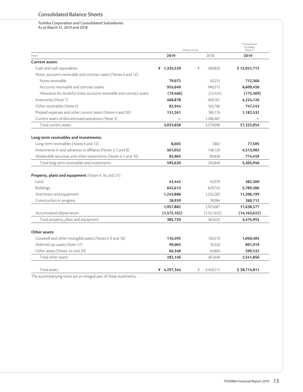#### Toshiba Corporation and Consolidated Subsidiaries As at March 31, 2019 and 2018

|                                                                                                                                                                                                                     | Millions of yen            | Thousands of<br>US dollars<br>(Note 1) |                                |
|---------------------------------------------------------------------------------------------------------------------------------------------------------------------------------------------------------------------|----------------------------|----------------------------------------|--------------------------------|
| Assets                                                                                                                                                                                                              | 2019                       | 2018                                   | 2019                           |
| <b>Current assets:</b>                                                                                                                                                                                              |                            |                                        |                                |
| Cash and cash equivalents                                                                                                                                                                                           | $* 1,335,520$              | ¥<br>500,820                           | \$12,031,712                   |
| Notes, accounts receivable and contract assets (Notes 6 and 12):                                                                                                                                                    |                            |                                        |                                |
| Notes receivable                                                                                                                                                                                                    | 79,072                     | 50,255                                 | 712,360                        |
| Accounts receivable and contract assets                                                                                                                                                                             | 955,649                    | 940,315                                | 8,609,450                      |
| Allowance for doubtful notes, accounts receivable and contract assets                                                                                                                                               | (19, 466)                  | (22, 424)                              | (175, 369)                     |
| Inventories (Note 7)                                                                                                                                                                                                | 468,878                    | 469.767                                | 4,224,126                      |
| Other receivables (Note 6)                                                                                                                                                                                          | 82,944                     | 163,706                                | 747,243                        |
| Prepaid expenses and other current assets (Notes 4 and 20)                                                                                                                                                          | 131,261                    | 180,176                                | 1,182,532                      |
| Current assets of discontinued operations (Note 3)                                                                                                                                                                  |                            | 1,296,481                              |                                |
| Total current assets                                                                                                                                                                                                | 3,033,858                  | 3,579,096                              | 27,332,054                     |
| Long-term receivables and investments:<br>Long-term receivables (Notes 6 and 12)<br>Investments in and advances to affiliates (Notes 3, 5 and 8)<br>Marketable securities and other investments (Notes 4, 5 and 10) | 8,603<br>501,052<br>85.965 | 7,862<br>148,120<br>89.858             | 77,505<br>4,513,982<br>774,459 |
| Total long-term receivables and investments                                                                                                                                                                         | 595,620                    | 245,840                                | 5,365,946                      |
| <b>Property, plant and equipment</b> (Notes 4, 16, and 21):<br>Land<br><b>Buildings</b>                                                                                                                             | 42,442<br>642,613          | 42,079<br>629,742                      | 382,360<br>5,789,306           |
| Machinery and equipment                                                                                                                                                                                             | 1,243,888                  | 1,232,282                              | 11,206,199                     |
| Construction in progress                                                                                                                                                                                            | 28,939                     | 18,984                                 | 260,712                        |
|                                                                                                                                                                                                                     | 1,957,882                  | 1,923,087                              | 17,638,577                     |
| Accumulated depreciation                                                                                                                                                                                            | (1,572,162)                | (1,557,452)                            | (14, 163, 622)                 |
| Total property, plant and equipment                                                                                                                                                                                 | 385,720                    | 365,635                                | 3,474,955                      |
| Other assets:<br>Goodwill and other intangible assets (Notes 4, 9 and 16)                                                                                                                                           | 116,595                    | 126.510                                | 1,050,405                      |
| Deferred tax assets (Note 17)                                                                                                                                                                                       | 99,003                     | 76.326                                 | 891,919                        |
| Other assets (Notes 3,4 and 20)                                                                                                                                                                                     | 66,548                     | 64,804                                 | 599,532                        |
| Total other assets                                                                                                                                                                                                  | 282,146                    | 267,640                                | 2,541,856                      |
| Total assets                                                                                                                                                                                                        | ¥ 4,297,344                | 4,458,211<br>¥                         | \$38,714,811                   |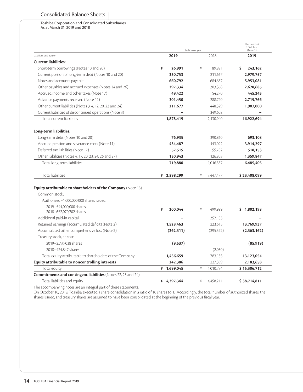# Consolidated Balance Sheets

## Toshiba Corporation and Consolidated Subsidiaries As at March 31, 2019 and 2018

|                                                                              |   | Millions of yen | Thousands of<br>US dollars<br>(Note 1) |            |                         |
|------------------------------------------------------------------------------|---|-----------------|----------------------------------------|------------|-------------------------|
| Liabilities and equity                                                       |   | 2019            | 2019                                   |            |                         |
| <b>Current liabilities:</b>                                                  |   |                 |                                        |            |                         |
| Short-term borrowings (Notes 10 and 20)                                      | ¥ | 26,991          | ¥                                      | 89,891     | \$<br>243,162           |
| Current portion of long-term debt (Notes 10 and 20)                          |   | 330,753         |                                        | 211,667    | 2,979,757               |
| Notes and accounts payable                                                   |   | 660,792         |                                        | 684,687    | 5,953,081               |
| Other payables and accrued expenses (Notes 24 and 26)                        |   | 297,334         |                                        | 303,568    | 2,678,685               |
| Accrued income and other taxes (Note 17)                                     |   | 49.422          |                                        | 54,270     | 445,243                 |
| Advance payments received (Note 12)                                          |   | 301,450         |                                        | 288,720    | 2,715,766               |
| Other current liabilities (Notes 3, 4, 12, 20, 23 and 24)                    |   | 211,677         |                                        | 448,529    | 1,907,000               |
| Current liabilities of discontinued operations (Note 3)                      |   |                 |                                        | 349,608    |                         |
| Total current liabilities                                                    |   | 1,878,419       |                                        | 2,430,940  | 16,922,694              |
| Long-term liabilities:                                                       |   |                 |                                        |            |                         |
| Long-term debt (Notes 10 and 20)                                             |   | 76,935          |                                        | 390,860    | 693,108                 |
| Accrued pension and severance costs (Note 11)                                |   | 434,487         |                                        | 443,092    | 3,914,297               |
| Deferred tax liabilities (Note 17)                                           |   | 57,515          |                                        | 55,782     | 518,153                 |
| Other liabilities (Notes 4, 17, 20, 23, 24, 26 and 27)                       |   | 150,943         |                                        | 126,803    | 1,359,847               |
| Total long-term liabilities                                                  |   | 719,880         |                                        | 1,016,537  | 6,485,405               |
| <b>Total liabilities</b>                                                     |   | ¥ 2,598,299     | ¥                                      | 3,447,477  | \$23,408,099            |
| <b>Equity attributable to shareholders of the Company</b> (Note 18):         |   |                 |                                        |            |                         |
| Common stock:                                                                |   |                 |                                        |            |                         |
| Authorized-1,000,000,000 shares issued:<br>2019-544,000,000 shares           |   |                 |                                        |            |                         |
| 2018-652,070,702 shares                                                      | ¥ | 200,044         | ¥                                      | 499,999    | 1,802,198<br>S.         |
| Additional paid-in capital                                                   |   |                 |                                        | 357.153    |                         |
| Retained earnings (accumulated deficit) (Note 2)                             |   | 1,528,463       |                                        | 223,615    | 13,769,937              |
| Accumulated other comprehensive loss (Note 2)                                |   | (262, 311)      |                                        | (295, 572) | (2,363,162)             |
| Treasury stock, at cost:                                                     |   |                 |                                        |            |                         |
|                                                                              |   | (9,537)         |                                        |            | (85, 919)               |
| 2019-2,735,038 shares                                                        |   |                 |                                        |            |                         |
| 2018-424.847 shares                                                          |   |                 |                                        | (2,060)    |                         |
|                                                                              |   | 1,456,659       |                                        | 783,135    |                         |
| Total equity attributable to shareholders of the Company                     |   | 242,386         |                                        | 227,599    | 13,123,054<br>2,183,658 |
| Equity attributable to noncontrolling interests                              |   | ¥ 1,699,045     | ¥                                      | 1,010,734  | \$15,306,712            |
| Total equity<br>Commitments and contingent liabilities (Notes 22, 23 and 24) |   |                 |                                        |            |                         |

The accompanying notes are an integral part of these statements.

On October 10, 2018, Toshiba executed a share consolidation in a ratio of 10 shares to 1. Accordingly, the total number of authorized shares, the shares issued, and treasury shares are assumed to have been consolidated at the beginning of the previous fiscal year.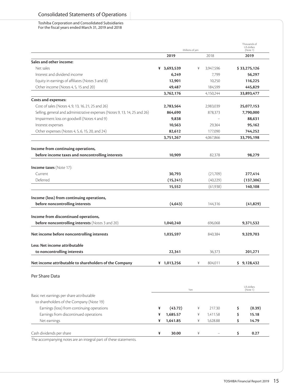Toshiba Corporation and Consolidated Subsidiaries For the fiscal years ended March 31, 2019 and 2018

|                                                                              | Millions of yen | Thousands of<br>US dollars<br>(Note 1) |                        |
|------------------------------------------------------------------------------|-----------------|----------------------------------------|------------------------|
|                                                                              | 2019            | 2018                                   | 2019                   |
| Sales and other income:                                                      |                 |                                        |                        |
| Net sales                                                                    | ¥ 3,693,539     | 3,947,596<br>¥                         | \$33,275,126           |
| Interest and dividend income                                                 | 6,249           | 7,799                                  | 56,297                 |
| Equity in earnings of affiliates (Notes 3 and 8)                             | 12,901          | 10,250                                 | 116,225                |
| Other income (Notes 4, 5, 15 and 20)                                         | 49,487          | 184,599                                | 445,829                |
|                                                                              | 3,762,176       | 4,150,244                              | 33,893,477             |
| Costs and expenses:                                                          |                 |                                        |                        |
| Cost of sales (Notes 4, 9, 13, 16, 21, 25 and 26)                            | 2,783,564       | 2,983,039                              | 25,077,153             |
| Selling, general and administrative expenses (Notes 9, 13, 14, 25 and 26)    | 864,690         | 878,373                                | 7,790,000              |
| Impairment loss on goodwill (Notes 4 and 9)                                  | 9,838           |                                        | 88,631                 |
| Interest expenses                                                            | 10,563          | 29,364                                 | 95,162                 |
| Other expenses (Notes 4, 5, 6, 15, 20, and 24)                               | 82,612          | 177,090                                | 744,252                |
|                                                                              | 3,751,267       | 4,067,866                              | 33,795,198             |
|                                                                              |                 |                                        |                        |
| Income from continuing operations,                                           |                 |                                        |                        |
| before income taxes and noncontrolling interests                             | 10,909          | 82,378                                 | 98,279                 |
|                                                                              |                 |                                        |                        |
| <b>Income taxes</b> (Note 17):                                               |                 |                                        |                        |
| Current                                                                      | 30,793          | (21,709)                               | 277,414                |
| Deferred                                                                     | (15, 241)       | (40,229)                               | (137, 306)             |
|                                                                              | 15,552          | (61,938)                               | 140,108                |
| Income (loss) from continuing operations,<br>before noncontrolling interests | (4, 643)        | 144,316                                | (41,829)               |
| Income from discontinued operations,                                         |                 |                                        |                        |
| <b>before noncontrolling interests</b> (Notes 3 and 20)                      | 1,040,240       | 696,068                                | 9,371,532              |
| Net income before noncontrolling interests                                   | 1,035,597       | 840,384                                | 9,329,703              |
| Less: Net income attributable                                                |                 |                                        |                        |
| to noncontrolling interests                                                  | 22,341          | 36.373                                 | 201,271                |
|                                                                              |                 |                                        |                        |
| Net income attributable to shareholders of the Company                       | ¥ 1,013,256     | ¥<br>804,011                           | \$9,128,432            |
| Per Share Data                                                               |                 |                                        |                        |
|                                                                              |                 | Yen                                    | US dollars<br>(Note 1) |
| Basic net earnings per share attributable                                    |                 |                                        |                        |
| to shareholders of the Company (Note 19)                                     |                 |                                        |                        |
| Earnings (loss) from continuing operations                                   | (43.72)<br>¥    | 217.30<br>¥                            | (0.39)<br>\$           |
| Earnings from discontinued operations                                        | 1,685.57<br>¥   | 1,411.58<br>¥                          | \$<br>15.18            |
| Net earnings                                                                 | 1,641.85<br>¥   | 1,628.88<br>¥                          | \$<br>14.79            |
|                                                                              |                 |                                        |                        |
| Cash dividends per share                                                     | 30.00<br>¥      | ¥                                      | \$<br>0.27             |
| otos aro an intogral part of those statom                                    |                 |                                        |                        |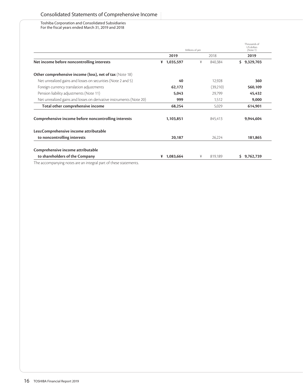Toshiba Corporation and Consolidated Subsidiaries For the fiscal years ended March 31, 2019 and 2018

|                                                                     |                | Millions of yen | Thousands of<br>US dollars<br>(Note 1) |
|---------------------------------------------------------------------|----------------|-----------------|----------------------------------------|
|                                                                     | 2019           | 2018            | 2019                                   |
| Net income before noncontrolling interests                          | $* 1,035,597$  | ¥<br>840,384    | \$9,329,703                            |
| <b>Other comprehensive income (loss), net of tax (Note 18)</b>      |                |                 |                                        |
| Net unrealized gains and losses on securities (Note 2 and 5)        | 40             | 12,928          | 360                                    |
| Foreign currency translation adjustments                            | 62,172         | (39,210)        | 560,109                                |
| Pension liability adjustments (Note 11)                             | 5,043          | 29,799          | 45,432                                 |
| Net unrealized gains and losses on derivative instruments (Note 20) | 999            | 1,512           | 9,000                                  |
| Total other comprehensive income                                    | 68,254         | 5,029           | 614,901                                |
| Comprehensive income before noncontrolling interests                | 1,103,851      | 845,413         | 9,944,604                              |
| Less:Comprehensive income attributable                              |                |                 |                                        |
| to noncontrolling interests                                         | 20,187         | 26,224          | 181,865                                |
| Comprehensive income attributable                                   |                |                 |                                        |
| to shareholders of the Company                                      | 1,083,664<br>¥ | 819,189<br>¥    | 9,762,739<br>S.                        |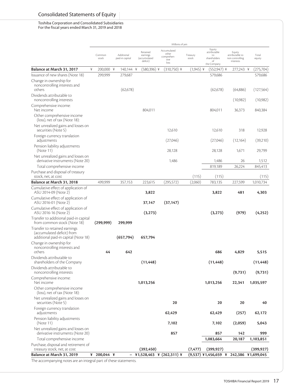# Consolidated Statements of Equity

Toshiba Corporation and Consolidated Subsidiaries For the fiscal years ended March 31, 2019 and 2018

|                                                                                                     |   |                 |                               |                                                  | Millions of yen                                    |                   |                                                                   |                                                           |                    |
|-----------------------------------------------------------------------------------------------------|---|-----------------|-------------------------------|--------------------------------------------------|----------------------------------------------------|-------------------|-------------------------------------------------------------------|-----------------------------------------------------------|--------------------|
|                                                                                                     |   | Common<br>stock | Additional<br>paid-in capital | Retained<br>earnings<br>(accumulated<br>deficit) | Accumulated<br>other<br>comprehen-<br>sive<br>loss | Treasury<br>stock | Equity<br>attributable<br>to<br>shareholders<br>of<br>the Company | Equity<br>attributable to<br>non controlling<br>interests | Total<br>equity    |
| Balance at March 31, 2017                                                                           | ¥ | 200,000 ¥       | 140,144 ¥                     | $(580,396)$ ¥                                    | $(310,750)$ ¥                                      | (1,945) ¥         | $(552, 947)$ ¥                                                    | 277,243 ¥                                                 | (275, 704)         |
| Issuance of new shares (Note 18)                                                                    |   | 299,999         | 279,687                       |                                                  |                                                    |                   | 579,686                                                           |                                                           | 579,686            |
| Change in ownership for<br>noncontrolling interests and<br>others<br>Dividends attributable to      |   |                 | (62, 678)                     |                                                  |                                                    |                   | (62, 678)                                                         | (64,886)                                                  | (127, 564)         |
| noncontrolling interests<br>Comprehensive income:                                                   |   |                 |                               |                                                  |                                                    |                   |                                                                   | (10,982)                                                  | (10,982)           |
| Net income                                                                                          |   |                 |                               | 804,011                                          |                                                    |                   | 804,011                                                           | 36,373                                                    | 840,384            |
| Other comprehensive income<br>(loss), net of tax (Note 18):                                         |   |                 |                               |                                                  |                                                    |                   |                                                                   |                                                           |                    |
| Net unrealized gains and losses on<br>securities (Note 5)                                           |   |                 |                               |                                                  | 12,610                                             |                   | 12,610                                                            | 318                                                       | 12,928             |
| Foreign currency translation<br>adjustments                                                         |   |                 |                               |                                                  | (27,046)                                           |                   | (27,046)                                                          | (12, 164)                                                 | (39,210)           |
| Pension liability adjustments<br>(Note 11)                                                          |   |                 |                               |                                                  | 28.128                                             |                   | 28.128                                                            | 1,671                                                     | 29,799             |
| Net unrealized gains and losses on<br>derivative instruments (Note 20)                              |   |                 |                               |                                                  | 1,486                                              |                   | 1,486                                                             | 26                                                        | 1,512              |
| Total comprehensive income                                                                          |   |                 |                               |                                                  |                                                    |                   | 819,189                                                           | 26,224                                                    | 845,413            |
| Purchase and disposal of treasury                                                                   |   |                 |                               |                                                  |                                                    |                   |                                                                   |                                                           |                    |
| stock, net, at cost<br>Balance at March 31, 2018                                                    |   | 499,999         | 357,153                       | 223.615                                          | (295, 572)                                         | (115)<br>(2,060)  | (115)<br>783.135                                                  | 227,599                                                   | (115)<br>1,010,734 |
| Cumulative effect of application of<br>ASU 2014-09 (Note 2)                                         |   |                 |                               | 3,822                                            |                                                    |                   | 3,822                                                             | 481                                                       | 4,303              |
| Cumulative effect of application of<br>ASU 2016-01 (Note 2)                                         |   |                 |                               | 37,147                                           | (37, 147)                                          |                   |                                                                   |                                                           |                    |
| Cumulative effect of application of<br>ASU 2016-16 (Note 2)                                         |   |                 |                               | (3, 273)                                         |                                                    |                   | (3, 273)                                                          | (979)                                                     | (4,252)            |
| Transfer to additional paid-in capital<br>from common stock (Note 18)                               |   | (299, 999)      | 299,999                       |                                                  |                                                    |                   |                                                                   |                                                           |                    |
| Transfer to retained earnings<br>(accumulated deficit) from<br>additional paid-in capital (Note 18) |   |                 | (657, 794)                    | 657,794                                          |                                                    |                   |                                                                   |                                                           |                    |
| Change in ownership for<br>noncontrolling interests and                                             |   |                 |                               |                                                  |                                                    |                   |                                                                   |                                                           |                    |
| others                                                                                              |   | 44              | 642                           |                                                  |                                                    |                   | 686                                                               | 4,829                                                     | 5,515              |
| Dividends attributable to<br>shareholders of the Company                                            |   |                 |                               | (11, 448)                                        |                                                    |                   | (11, 448)                                                         |                                                           | (11, 448)          |
| Dividends attributable to<br>noncontrolling interests                                               |   |                 |                               |                                                  |                                                    |                   |                                                                   | (9, 731)                                                  | (9,731)            |
| Comprehensive income:<br>Net income                                                                 |   |                 |                               | 1,013,256                                        |                                                    |                   | 1,013,256                                                         | 22,341                                                    | 1,035,597          |
| Other comprehensive income<br>(loss), net of tax (Note 18):                                         |   |                 |                               |                                                  |                                                    |                   |                                                                   |                                                           |                    |
| Net unrealized gains and losses on<br>securities (Note 5)                                           |   |                 |                               |                                                  | 20                                                 |                   | 20                                                                | 20                                                        | 40                 |
| Foreign currency translation<br>adjustments                                                         |   |                 |                               |                                                  | 62,429                                             |                   | 62,429                                                            | (257)                                                     | 62,172             |
| Pension liability adjustments<br>(Note 11)                                                          |   |                 |                               |                                                  | 7,102                                              |                   | 7,102                                                             | (2,059)                                                   | 5,043              |
| Net unrealized gains and losses on<br>derivative instruments (Note 20)                              |   |                 |                               |                                                  | 857                                                |                   | 857                                                               | 142                                                       | 999                |
| Total comprehensive income                                                                          |   |                 |                               |                                                  |                                                    |                   | 1,083,664                                                         | 20,187                                                    | 1,103,851          |
| Purchase, disposal and retirement of<br>treasury stock, net, at cost                                |   |                 |                               | (392, 450)                                       |                                                    | (7, 477)          | (399, 927)                                                        |                                                           | (399, 927)         |
| Balance at March 31, 2019                                                                           |   | ¥ 200,044 ¥     |                               | $-$ ¥1,528,463 ¥ (262,311) ¥                     |                                                    |                   | (9,537) ¥1,456,659 ¥ 242,386 ¥1,699,045                           |                                                           |                    |
|                                                                                                     |   |                 |                               |                                                  |                                                    |                   |                                                                   |                                                           |                    |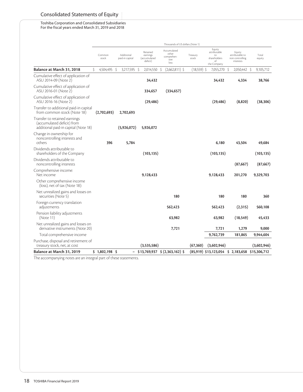# Consolidated Statements of Equity

Toshiba Corporation and Consolidated Subsidiaries For the fiscal years ended March 31, 2019 and 2018

|                                                                                                     |                 |     |                               |    |                                                  |                      | Thousands of US dollars (Note 1)                   |                   |                                                                   |   |                                                           |                 |
|-----------------------------------------------------------------------------------------------------|-----------------|-----|-------------------------------|----|--------------------------------------------------|----------------------|----------------------------------------------------|-------------------|-------------------------------------------------------------------|---|-----------------------------------------------------------|-----------------|
|                                                                                                     | Common<br>stock |     | Additional<br>paid-in capital |    | Retained<br>earnings<br>(accumulated<br>deficit) |                      | Accumulated<br>other<br>comprehen-<br>sive<br>loss | Treasury<br>stock | Equity<br>attributable<br>to<br>shareholders<br>of<br>the Company |   | Equity<br>attributable to<br>non controlling<br>interests | Total<br>equity |
| Balance at March 31, 2018                                                                           | Ŝ.<br>4,504,495 |     | Ŝ<br>3,217,595                | -S | 2,014,550                                        | $\boldsymbol{\zeta}$ | $(2,662,811)$ \$                                   | $(18,559)$ \$     | 7,055,270                                                         | S | 2,050,442 \$                                              | 9,105,712       |
| Cumulative effect of application of<br>ASU 2014-09 (Note 2)                                         |                 |     |                               |    | 34,432                                           |                      |                                                    |                   | 34,432                                                            |   | 4,334                                                     | 38,766          |
| Cumulative effect of application of<br>ASU 2016-01 (Note 2)                                         |                 |     |                               |    | 334,657                                          |                      | (334, 657)                                         |                   |                                                                   |   |                                                           |                 |
| Cumulative effect of application of<br>ASU 2016-16 (Note 2)                                         |                 |     |                               |    | (29, 486)                                        |                      |                                                    |                   | (29, 486)                                                         |   | (8,820)                                                   | (38, 306)       |
| Transfer to additional paid-in capital<br>from common stock (Note 18)                               | (2,702,693)     |     | 2,702,693                     |    |                                                  |                      |                                                    |                   |                                                                   |   |                                                           |                 |
| Transfer to retained earnings<br>(accumulated deficit) from<br>additional paid-in capital (Note 18) |                 |     | (5,926,072)                   |    | 5,926,072                                        |                      |                                                    |                   |                                                                   |   |                                                           |                 |
| Change in ownership for<br>noncontrolling interests and<br>others                                   |                 | 396 | 5,784                         |    |                                                  |                      |                                                    |                   | 6,180                                                             |   | 43,504                                                    | 49,684          |
| Dividends attributable to<br>shareholders of the Company                                            |                 |     |                               |    | (103, 135)                                       |                      |                                                    |                   | (103, 135)                                                        |   |                                                           | (103, 135)      |
| Dividends attributable to<br>noncontrolling interests                                               |                 |     |                               |    |                                                  |                      |                                                    |                   |                                                                   |   | (87, 667)                                                 | (87, 667)       |
| Comprehensive income:<br>Net income                                                                 |                 |     |                               |    | 9,128,433                                        |                      |                                                    |                   | 9,128,433                                                         |   | 201,270                                                   | 9,329,703       |
| Other comprehensive income<br>(loss), net of tax (Note 18):                                         |                 |     |                               |    |                                                  |                      |                                                    |                   |                                                                   |   |                                                           |                 |
| Net unrealized gains and losses on<br>securities (Note 5)                                           |                 |     |                               |    |                                                  |                      | 180                                                |                   | 180                                                               |   | 180                                                       | 360             |
| Foreign currency translation<br>adjustments                                                         |                 |     |                               |    |                                                  |                      | 562,423                                            |                   | 562,423                                                           |   | (2,315)                                                   | 560,108         |
| Pension liability adjustments<br>(Note 11)                                                          |                 |     |                               |    |                                                  |                      | 63,982                                             |                   | 63,982                                                            |   | (18, 549)                                                 | 45,433          |
| Net unrealized gains and losses on<br>derivative instruments (Note 20)                              |                 |     |                               |    |                                                  |                      | 7,721                                              |                   | 7,721                                                             |   | 1,279                                                     | 9,000           |
| Total comprehensive income                                                                          |                 |     |                               |    |                                                  |                      |                                                    |                   | 9,762,739                                                         |   | 181,865                                                   | 9,944,604       |
| Purchase, disposal and retirement of<br>treasury stock, net, at cost                                |                 |     |                               |    | (3,535,586)                                      |                      |                                                    | (67, 360)         | (3,602,946)                                                       |   |                                                           | (3,602,946)     |
| Balance at March 31, 2019                                                                           | $$1,802,198$ \$ |     | -                             |    |                                                  |                      | $$13,769,937 \$ (2,363,162) $$                     |                   | $(85,919)$ \$13,123,054 \$ 2,183,658 \$15,306,712                 |   |                                                           |                 |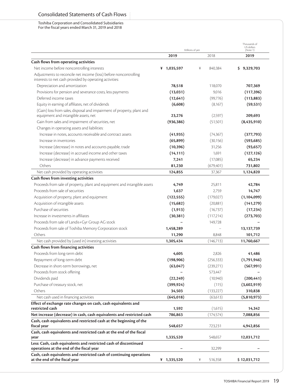# Consolidated Statements of Cash Flows

Toshiba Corporation and Consolidated Subsidiaries For the fiscal years ended March 31, 2019 and 2018

|                                                                                                                             |             | Millions of yen | Thousands of<br>US dollars<br>(Note 1) |
|-----------------------------------------------------------------------------------------------------------------------------|-------------|-----------------|----------------------------------------|
|                                                                                                                             | 2019        | 2018            | 2019                                   |
| Cash flows from operating activities                                                                                        |             |                 |                                        |
| Net income before noncontrolling interests                                                                                  | ¥ 1,035,597 | ¥<br>840,384    | \$9,329,703                            |
| Adjustments to reconcile net income (loss) before noncontrolling<br>interests to net cash provided by operating activities: |             |                 |                                        |
| Depreciation and amortization                                                                                               | 78,518      | 118,070         | 707,369                                |
| Provisions for pension and severance costs, less payments                                                                   | (13,031)    | 9,016           | (117, 396)                             |
| Deferred income taxes                                                                                                       | (12, 641)   | (99, 776)       | (113, 883)                             |
| Equity in earning of affiliates, net of dividends                                                                           | (6,608)     | (8,167)         | (59, 531)                              |
| (Gain) loss from sales, disposal and impairment of property, plant and<br>equipment and intangible assets, net              | 23,276      | (2,597)         | 209,693                                |
| Gain from sales and impairment of securities, net                                                                           | (936, 386)  | (51,501)        | (8,435,910)                            |
| Changes in operating assets and liabilities:                                                                                |             |                 |                                        |
| Increase in notes, accounts receivable and contract assets                                                                  | (41, 935)   | (74, 367)       | (377, 793)                             |
| Increase in inventories                                                                                                     | (65, 899)   | (30, 156)       | (593, 685)                             |
| Increase (decrease) in notes and accounts payable, trade                                                                    | (10, 396)   | 31,256          | (93, 657)                              |
| Increase (decrease) in accrued income and other taxes                                                                       | (14, 111)   | 1,691           | (127, 126)                             |
| Increase (decrease) in advance payments received                                                                            | 7,241       | (17,085)        | 65,234                                 |
| Others                                                                                                                      | 81,230      | (679, 401)      | 731,802                                |
| Net cash provided by operating activities                                                                                   | 124,855     | 37,367          | 1,124,820                              |
| Cash flows from investing activities                                                                                        |             |                 |                                        |
| Proceeds from sale of property, plant and equipment and intangible assets                                                   | 4,749       | 25,811          | 42,784                                 |
| Proceeds from sale of securities                                                                                            | 1,637       | 2,759           | 14,747                                 |
| Acquisition of property, plant and equipment                                                                                | (122, 555)  | (179,027)       | (1, 104, 099)                          |
| Acquisition of intangible assets                                                                                            | (15,682)    | (20,881)        | (141, 279)                             |
| Purchase of securities                                                                                                      | (1, 913)    | (16,737)        | (17, 234)                              |
| Increase in investments in affiliates                                                                                       | (30, 381)   | (117,214)       | (273, 703)                             |
| Proceeds from sale of Landis+Gyr Group AG stock                                                                             |             | 149,728         |                                        |
| Proceeds from sale of Toshiba Memory Corporation stock                                                                      | 1,458,289   |                 | 13,137,739                             |
| Others                                                                                                                      | 11,290      | 8,848           | 101,712                                |
| Net cash provided by (used in) investing activities                                                                         | 1,305,434   | (146,713)       | 11,760,667                             |
| Cash flows from financing activities                                                                                        |             |                 |                                        |
| Proceeds from long-term debt                                                                                                | 4,605       | 2,826           | 41,486                                 |
| Repayment of long-term debt                                                                                                 | (198, 906)  | (256, 333)      | (1,791,946)                            |
| Decrease in short-term borrowings, net                                                                                      | (63,047)    | (239,271)       | (567, 991)                             |
| Proceeds from stock offering                                                                                                |             | 573,447         |                                        |
| Dividends paid                                                                                                              | (22, 249)   | (10,940)        | (200, 441)                             |
| Purchase of treasury stock, net                                                                                             | (399, 924)  | (115)           | (3,602,919)                            |
| Others                                                                                                                      | 34,503      | (133, 227)      | 310,838                                |
| Net cash used in financing activities                                                                                       | (645, 018)  | (63, 613)       | (5,810,973)                            |
| Effect of exchange rate changes on cash, cash equivalents and<br>restricted cash                                            | 1,592       | (1,615)         | 14,342                                 |
| Net increase (decrease) in cash, cash equivalents and restricted cash                                                       | 786,863     | (174, 574)      | 7,088,856                              |
| Cash, cash equivalents and restricted cash at the beginning of the<br>fiscal year                                           | 548,657     | 723,231         | 4,942,856                              |
| Cash, cash equivalents and restricted cash at the end of the fiscal<br>year                                                 | 1,335,520   | 548,657         | 12,031,712                             |
| Less: Cash, cash equivalents and restricted cash of discontinued<br>operations at the end of the fiscal year                |             | 32,299          |                                        |
|                                                                                                                             | ¥ 1,335,520 | ¥<br>516,358    | \$12,031,712                           |
| Cash, cash equivalents and restricted cash of continuing operations<br>at the end of the fiscal year                        |             |                 |                                        |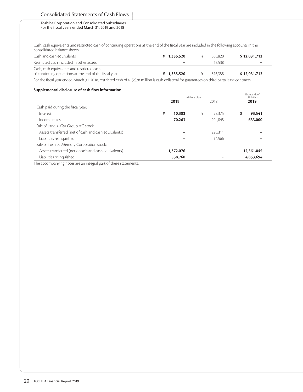# Consolidated Statements of Cash Flows

#### Toshiba Corporation and Consolidated Subsidiaries For the fiscal years ended March 31, 2019 and 2018

Cash, cash equivalents and restricted cash of continuing operations at the end of the fiscal year are included in the following accounts in the consolidated balance sheets.

| Cash and cash equivalents                                                                                                                                                                                                            | $* 1.335.520$            | 500.820 | \$12,031,712             |
|--------------------------------------------------------------------------------------------------------------------------------------------------------------------------------------------------------------------------------------|--------------------------|---------|--------------------------|
| Restricted cash included in other assets                                                                                                                                                                                             | $\overline{\phantom{0}}$ | 15.538  | $\overline{\phantom{0}}$ |
| Cash, cash equivalents and restricted cash                                                                                                                                                                                           |                          |         |                          |
| of continuing operations at the end of the fiscal year                                                                                                                                                                               | $* 1.335.520$            | 516.358 | \$12,031,712             |
| $\mathsf{F}$ at $\mathsf{f}$ and the contract of the contract of the contract of the contract of the contract of the contract of the contract of the contract of the contract of the contract of the contract of the contract of the |                          |         |                          |

For the fiscal year ended March 31, 2018, restricted cash of ¥15,538 million is cash collateral for guarantees on third party lease contracts.

## **Supplemental disclosure of cash flow information**

|                                                       | Millions of ven | Thousands of<br>US dollars |            |
|-------------------------------------------------------|-----------------|----------------------------|------------|
|                                                       | 2019            | 2018                       | 2019       |
| Cash paid during the fiscal year:                     |                 |                            |            |
| Interest                                              | ¥<br>10,383     | 23,375<br>¥                | 93,541     |
| Income taxes                                          | 70.263          | 104.845                    | 633,000    |
| Sale of Landis+Gyr Group AG stock:                    |                 |                            |            |
| Assets transferred (net of cash and cash equivalents) |                 | 290.311                    |            |
| Liabilities relinguished                              |                 | 94,566                     |            |
| Sale of Toshiba Memory Corporation stock:             |                 |                            |            |
| Assets transferred (net of cash and cash equivalents) | 1,372,076       |                            | 12,361,045 |
| Liabilities relinguished                              | 538,760         |                            | 4,853,694  |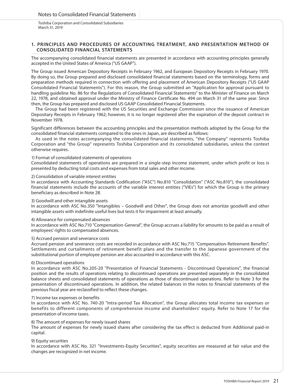# **1. PRINCIPLES AND PROCEDURES OF ACCOUNTING TREATMENT, AND PRESENTATION METHOD OF CONSOLIDATED FINANCIAL STATEMENTS**

The accompanying consolidated financial statements are presented in accordance with accounting principles generally accepted in the United States of America ("US GAAP").

The Group issued American Depository Receipts in February 1962, and European Depository Receipts in February 1970. By doing so, the Group prepared and disclosed consolidated financial statements based on the terminology, forms and preparation methods required in connection with offering and placement of American Depository Receipts ("US GAAP Consolidated Financial Statements"). For this reason, the Group submitted an "Application for approval pursuant to handling guideline No. 86 for the Regulations of Consolidated Financial Statements" to the Minister of Finance on March 22, 1978, and obtained approval under the Ministry of Finance Certificate No. 494 on March 31 of the same year. Since then, the Group has prepared and disclosed US GAAP Consolidated Financial Statements.

The Group had been registered with the US Securities and Exchange Commission since the issuance of American Depositary Receipts in February 1962; however, it is no longer registered after the expiration of the deposit contract in November 1978.

Significant differences between the accounting principles and the presentation methods adopted by the Group for the consolidated financial statements compared to the ones in Japan, are described as follows:

As used in the notes accompanying the consolidated financial statements, "the Company" represents Toshiba Corporation and "the Group" represents Toshiba Corporation and its consolidated subsidiaries, unless the context otherwise requires.

# 1) Format of consolidated statements of operations

Consolidated statements of operations are prepared in a single-step income statement, under which profit or loss is presented by deducting total costs and expenses from total sales and other income.

## 2) Consolidation of variable interest entities

In accordance with Accounting Standards Codification ("ASC") No.810 "Consolidation" ("ASC No.810"), the consolidated financial statements include the accounts of the variable interest entities ("VIEs") for which the Group is the primary beneficiary as described in Note 28.

#### 3) Goodwill and other intangible assets

In accordance with ASC No.350 "Intangibles – Goodwill and Other", the Group does not amortize goodwill and other intangible assets with indefinite useful lives but tests it for impairment at least annually.

#### 4) Allowance for compensated absences

In accordance with ASC No.710 "Compensation-General", the Group accrues a liability for amounts to be paid as a result of employees' rights to compensated absences.

#### 5) Accrued pension and severance costs

Accrued pension and severance costs are recorded in accordance with ASC No.715 "Compensation-Retirement Benefits". Settlements and curtailments of retirement benefit plans and the transfer to the Japanese government of the substitutional portion of employee pension are also accounted in accordance with this ASC.

# 6) Discontinued operations

In accordance with ASC No.205-20 "Presentation of Financial Statements - Discontinued Operations", the financial position and the results of operations relating to discontinued operations are presented separately in the consolidated balance sheets and consolidated statements of operations as those of discontinued operations. Refer to Note 3 for the presentation of discontinued operations. In addition, the related balances in the notes to financial statements of the previous fiscal year are reclassified to reflect these changes.

#### 7) Income tax expenses or benefits

In accordance with ASC No. 740-20 "Intra-period Tax Allocation", the Group allocates total income tax expenses or benefits to different components of comprehensive income and shareholders' equity. Refer to Note 17 for the presentation of income taxes.

# 8) The amount of expenses for newly issued shares

The amount of expenses for newly issued shares after considering the tax effect is deducted from Additional paid-in capital.

#### 9) Equity securities

In accordance with ASC No. 321 "Investments-Equity Securities", equity securities are measured at fair value and the changes are recognized in net income.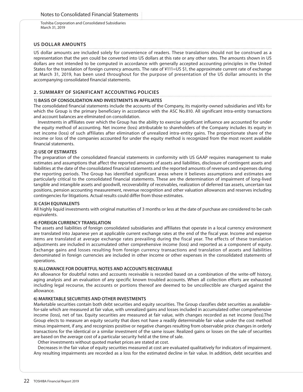# **US DOLLAR AMOUNTS**

US dollar amounts are included solely for convenience of readers. These translations should not be construed as a representation that the yen could be converted into US dollars at this rate or any other rates. The amounts shown in US dollars are not intended to be computed in accordance with generally accepted accounting principles in the United States for the translation of foreign currency amounts. The rate of ¥111=US \$1, the approximate current rate of exchange at March 31, 2019, has been used throughout for the purpose of presentation of the US dollar amounts in the accompanying consolidated financial statements.

# **2. SUMMARY OF SIGNIFICANT ACCOUNTING POLICIES**

# **1) BASIS OF CONSOLIDATION AND INVESTMENTS IN AFFILIATES**

The consolidated financial statements include the accounts of the Company, its majority-owned subsidiaries and VIEs for which the Group is the primary beneficiary in accordance with the ASC No.810. All significant intra-entity transactions and account balances are eliminated on consolidation.

Investments in affiliates over which the Group has the ability to exercise significant influence are accounted for under the equity method of accounting. Net income (loss) attributable to shareholders of the Company includes its equity in net income (loss) of such affiliates after elimination of unrealized intra-entity gains. The proportionate share of the income or loss of the companies accounted for under the equity method is recognized from the most recent available financial statements.

# **2) USE OF ESTIMATES**

The preparation of the consolidated financial statements in conformity with US GAAP requires management to make estimates and assumptions that affect the reported amounts of assets and liabilities, disclosure of contingent assets and liabilities at the date of the consolidated financial statements and the reported amounts of revenues and expenses during the reporting periods. The Group has identified significant areas where it believes assumptions and estimates are particularly critical to the consolidated financial statements. These are the determination of impairment of long-lived tangible and intangible assets and goodwill, recoverability of receivables, realization of deferred tax assets, uncertain tax positions, pension accounting measurement, revenue recognition and other valuation allowances and reserves including contingencies for litigations. Actual results could differ from those estimates.

# **3) CASH EQUIVALENTS**

All highly liquid investments with original maturities of 3 months or less at the date of purchase are considered to be cash equivalents.

# **4) FOREIGN CURRENCY TRANSLATION**

The assets and liabilities of foreign consolidated subsidiaries and affiliates that operate in a local currency environment are translated into Japanese yen at applicable current exchange rates at the end of the fiscal year. Income and expense items are translated at average exchange rates prevailing during the fiscal year. The effects of these translation adjustments are included in accumulated other comprehensive income (loss) and reported as a component of equity. Exchange gains and losses resulting from foreign currency transactions and translation of assets and liabilities denominated in foreign currencies are included in other income or other expenses in the consolidated statements of operations.

# **5) ALLOWANCE FOR DOUBTFUL NOTES AND ACCOUNTS RECEIVABLE**

An allowance for doubtful notes and accounts receivable is recorded based on a combination of the write-off history, aging analysis and an evaluation of any specific known troubled accounts. When all collection efforts are exhausted including legal recourse, the accounts or portions thereof are deemed to be uncollectible are charged against the allowance.

# **6) MARKETABLE SECURITIES AND OTHER INVESTMENTS**

Marketable securities contain both debt securities and equity securities. The Group classifies debt securities as availablefor-sale which are measured at fair value, with unrealized gains and losses included in accumulated other comprehensive income (loss), net of tax. Equity securities are measured at fair value, with changes recorded as net income (loss).The Group elects to measure an equity security that does not have a readily determinable fair value under the cost method minus impairment, if any, and recognizes positive or negative changes resulting from observable price changes in orderly transactions for the identical or a similar investment of the same issuer. Realized gains or losses on the sale of securities are based on the average cost of a particular security held at the time of sale.

Other investments without quoted market prices are stated at cost.

Decreases in the fair value of equity securities measured at cost are evaluated qualitatively for indicators of impairment. Any resulting impairments are recorded as a loss for the estimated decline in fair value. In addition, debt securities and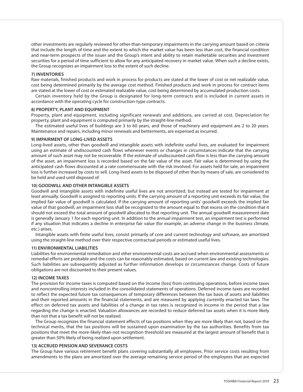other investments are regularly reviewed for other-than-temporary impairments in the carrying amount based on criteria that include the length of time and the extent to which the market value has been less than cost, the financial condition and near-term prospects of the issuer and the Group's intent and ability to retain marketable securities and investment securities for a period of time sufficient to allow for any anticipated recovery in market value. When such a decline exists, the Group recognizes an impairment loss to the extent of such decline.

# **7) INVENTORIES**

Raw materials, finished products and work in process for products are stated at the lower of cost or net realizable value, cost being determined primarily by the average cost method. Finished products and work in process for contract items are stated at the lower of cost or estimated realizable value, cost being determined by accumulated production costs.

Certain inventory held by the Group is designated for long-term contracts and is included in current assets in accordance with the operating cycle for construction-type contracts.

#### **8) PROPERTY, PLANT AND EQUIPMENT**

Property, plant and equipment, including significant renewals and additions, are carried at cost. Depreciation for property, plant and equipment is computed primarily by the straight-line method.

The estimated useful lives of buildings are 3 to 60 years, and those of machinery and equipment are 2 to 20 years. Maintenance and repairs, including minor renewals and betterments, are expensed as incurred.

## **9) IMPAIRMENT OF LONG-LIVED ASSETS**

Long-lived assets, other than goodwill and intangible assets with indefinite useful lives, are evaluated for impairment using an estimate of undiscounted cash flows whenever events or changes in circumstances indicate that the carrying amount of such asset may not be recoverable. If the estimate of undiscounted cash flow is less than the carrying amount of the asset, an impairment loss is recorded based on the fair value of the asset. Fair value is determined by using the anticipated cash flows discounted at a rate commensurate with the risk involved. For assets held for sale, an impairment loss is further increased by costs to sell. Long-lived assets to be disposed of other than by means of sale, are considered to be held and used until disposed of.

# **10) GOODWILL AND OTHER INTANGIBLE ASSETS**

Goodwill and intangible assets with indefinite useful lives are not amortized, but instead are tested for impairment at least annually. Goodwill is assigned to reporting units. If the carrying amount of a reporting unit exceeds its fair value, the implied fair value of goodwill is calculated. If the carrying amount of reporting units' goodwill exceeds the implied fair value of that goodwill, an impairment loss shall be recognized to the amount equal to that excess on the condition that it should not exceed the total amount of goodwill allocated to that reporting unit. The annual goodwill measurement date is generally January 1 for each reporting unit. In addition to the annual impairment test, an impairment test is performed if any situation that indicates a decline in enterprise fair value (for example, an adverse change in the business climate, etc.) arises.

Intangible assets with finite useful lives, consist primarily of core and current technology and software, are amortized using the straight-line method over their respective contractual periods or estimated useful lives.

#### **11) ENVIRONMENTAL LIABILITIES**

Liabilities for environmental remediation and other environmental costs are accrued when environmental assessments or remedial efforts are probable and the costs can be reasonably estimated, based on current law and existing technologies. Such liabilities are subsequently adjusted as further information develops or circumstances change. Costs of future obligations are not discounted to their present values.

# **12) INCOME TAXES**

The provision for income taxes is computed based on the income (loss) from continuing operations, before income taxes and noncontrolling interests included in the consolidated statements of operations. Deferred income taxes are recorded to reflect the expected future tax consequences of temporary differences between the tax basis of assets and liabilities and their reported amounts in the financial statements, and are measured by applying currently enacted tax laws. The effect on deferred tax assets and liabilities of a change in tax rates is recognized in income in the period that a law regarding the change is enacted. Valuation allowances are recorded to reduce deferred tax assets when it is more likely than not that a tax benefit will not be realized.

The Group recognizes the financial statement effects of tax positions when they are more likely than not, based on the technical merits, that the tax positions will be sustained upon examination by the tax authorities. Benefits from tax positions that meet the more-likely-than-not recognition threshold are measured at the largest amount of benefit that is greater than 50% likely of being realized upon settlement.

#### **13) ACCRUED PENSION AND SEVERANCE COSTS**

The Group have various retirement benefit plans covering substantially all employees. Prior service costs resulting from amendments to the plans are amortized over the average remaining service period of the employees that are expected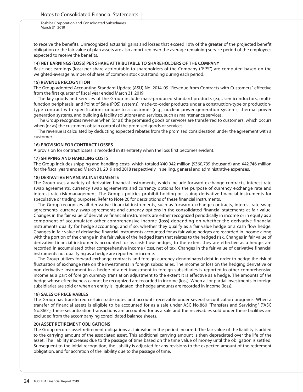to receive the benefits. Unrecognized actuarial gains and losses that exceed 10% of the greater of the projected benefit obligation or the fair value of plan assets are also amortized over the average remaining service period of the employees expected to receive the benefits.

# **14) NET EARNINGS (LOSS) PER SHARE ATTRIBUTABLE TO SHAREHOLDERS OF THE COMPANY**

Basic net earnings (loss) per share attributable to shareholders of the Company ("EPS") are computed based on the weighted-average number of shares of common stock outstanding during each period.

#### **15) REVENUE RECOGNITION**

The Group adopted Accounting Standard Update (ASU) No. 2014-09 "Revenue from Contracts with Customers" effective from the first quarter of fiscal year ended March 31, 2019.

The key goods and services of the Group include mass-produced standard products (e.g., semiconductors, multifunction peripherals, and Point of Sale (POS) systems), made-to-order products under a construction-type or productiontype contract with specifications unique to a customer (e.g., nuclear power generation systems, thermal power generation systems, and building & facility solutions) and services, such as maintenance services.

The Group recognizes revenue when (or as) the promised goods or services are transferred to customers, which occurs when (or as) the customers obtain control of the promised goods or services.

The revenue is calculated by deducting expected rebates from the promised consideration under the agreement with a customer.

## **16) PROVISION FOR CONTRACT LOSSES**

A provision for contract losses is recorded in its entirety when the loss first becomes evident.

## **17) SHIPPING AND HANDLING COSTS**

The Group includes shipping and handling costs, which totaled ¥40,042 million (\$360,739 thousand) and ¥42,746 million for the fiscal years ended March 31, 2019 and 2018 respectively, in selling, general and administrative expenses.

# **18) DERIVATIVE FINANCIAL INSTRUMENTS**

The Group uses a variety of derivative financial instruments, which include forward exchange contracts, interest rate swap agreements, currency swap agreements and currency options for the purpose of currency exchange rate and interest rate risk management. The Group's policies prohibit holding or issuing derivative financial instruments for speculative or trading purposes. Refer to Note 20 for descriptions of these financial instruments.

The Group recognizes all derivative financial instruments, such as forward exchange contracts, interest rate swap agreements, currency swap agreements and currency options in the consolidated financial statements at fair value. Changes in the fair value of derivative financial instruments are either recognized periodically in income or in equity as a component of accumulated other comprehensive income (loss) depending on whether the derivative financial instruments qualify for hedge accounting, and if so, whether they qualify as a fair value hedge or a cash flow hedge. Changes in fair value of derivative financial instruments accounted for as fair value hedges are recorded in income along with the portion of the change in the fair value of the hedged item that relates to the hedged risk. Changes in fair value of derivative financial instruments accounted for as cash flow hedges, to the extent they are effective as a hedge, are recorded in accumulated other comprehensive income (loss), net of tax. Changes in the fair value of derivative financial instruments not qualifying as a hedge are reported in income.

The Group utilizes forward exchange contracts and foreign-currency-denominated debt in order to hedge the risk of fluctuation of exchange rate on the investments in foreign subsidiaries. The income or loss on the hedging derivative or non derivative instrument in a hedge of a net investment in foreign subsidiaries is reported in other comprehensive income as a part of foreign currency translation adjustment to the extent it is effective as a hedge. The amounts of the hedge whose effectiveness cannot be recognized are recorded in income (loss). When all or partial investments in foreign subsidiaries are sold or when an entity is liquidated, the hedge amounts are recorded in income (loss).

# **19) SALES OF RECEIVABLES**

The Group has transferred certain trade notes and accounts receivable under several securitization programs. When a transfer of financial assets is eligible to be accounted for as a sale under ASC No.860 "Transfers and Servicing" ("ASC No.860"), these securitization transactions are accounted for as a sale and the receivables sold under these facilities are excluded from the accompanying consolidated balance sheets.

#### **20) ASSET RETIREMENT OBLIGATIONS**

The Group records asset retirement obligations at fair value in the period incurred. The fair value of the liability is added to the carrying amount of the associated asset. This additional carrying amount is then depreciated over the life of the asset. The liability increases due to the passage of time based on the time value of money until the obligation is settled. Subsequent to the initial recognition, the liability is adjusted for any revisions to the expected amount of the retirement obligation, and for accretion of the liability due to the passage of time.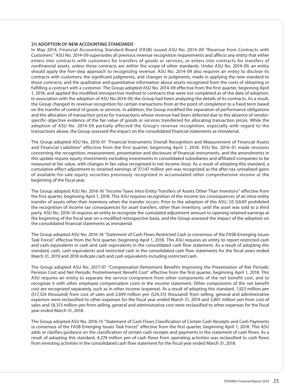# **21) ADOPTION OF NEW ACCOUNTING STANDARDS**

In May 2014, Financial Accounting Standard Board (FASB) issued ASU No. 2014-09 "Revenue from Contracts with Customers." ASU No. 2014-09 supersedes all previous revenue recognition requirements and affects any entity that either enters into contracts with customers for transfers of goods or services, or enters into contracts for transfers of nonfinancial assets, unless those contracts are within the scope of other standards. Under ASU No. 2014-09, an entity should apply the five-step approach to recognizing revenue. ASU No. 2014-09 also requires an entity to disclose its contracts with customers; the significant judgments, and changes in judgments, made in applying the new standard to those contracts; and the qualitative and quantitative information about assets recognized from the costs of obtaining or fulfilling a contract with a customer. The Group adopted ASU No. 2014-09 effective from the first quarter, beginning April 1, 2018, and applied the modified retrospective method to contracts that were not completed as of the date of adoption. In association with the adoption of ASU No.2014-09, the Group had been analyzing the details of its contracts. As a result, the Group changed its revenue recognition for certain transactions from at the point of completion to a fixed term based on the transfer of control of goods or services. In addition, the Group modified the separation of performance obligations and the allocation of transaction prices for transactions whose revenue had been deferred due to the absence of vendorspecific objective evidence of the fair value of goods or services transferred for allocating transaction prices. While the adoption of ASU No. 2014-09 partially affected the Group's revenue recognition, especially with regard to the transactions above, the Group assessed the impact on the consolidated financial statements as immaterial.

The Group adopted ASU No. 2016-01 "Financial Instruments Overall Recognition and Measurement of Financial Assets and Financial Liabilities" effective from the first quarter, beginning April 1, 2018. ASU No. 2016-01 made revisions concerning the recognition, measurement, presentation and disclosure of financial instruments, and the amendments in this update require equity investments excluding investments in consolidated subsidiaries and affiliated companies to be measured at fair value, with changes in fair value recognized in net income (loss). As a result of adopting this standard, a cumulative-effect adjustment to retained earnings of 37,147 million yen was recognized as the after-tax unrealized gains of available-for-sale equity securities previously recognized in accumulated other comprehensive income at the beginning of the fiscal year.

The Group adopted ASU No. 2016-16 "Income Taxes Intra-Entity Transfers of Assets Other Than Inventory" effective from the first quarter, beginning April 1, 2018. This ASU requires recognition of the income tax consequences of an intra-entity transfer of assets other than inventory when the transfer occurs. Prior to the adoption of this ASU, US GAAP prohibited the recognition of income tax consequences for asset transfers, other than inventory, until the asset was sold to a third party. ASU No. 2016-16 requires an entity to recognize the cumulated adjustment amount to opening retained earnings at the beginning of the fiscal year on a modified retrospective basis, and the Group assessed the impact of the adoption on the consolidated financial statements as immaterial.

The Group adopted ASU No. 2016-18 "Statement of Cash Flows Restricted Cash (a consensus of the FASB Emerging Issues Task Force)" effective from the first quarter, beginning April 1, 2018. This ASU requires an entity to report restricted cash and cash equivalents in cash and cash equivalents in the consolidated cash flow statement. As a result of adopting this standard, cash, cash equivalents and restricted cash in the consolidated cash flow statements for the fiscal years ended March 31, 2019 and 2018 indicate cash and cash equivalents including restricted cash.

The Group adopted ASU No. 2017-07 "Compensation Retirement Benefits Improving the Presentation of Net Periodic Pension Cost and Net Periodic Postretirement Benefit Cost" effective from the first quarter, beginning April 1, 2018. This ASU requires an entity to separate the service component from other components of the net benefit cost, and to recognize it with other employee compensation costs in the income statement. Other components of the net benefit cost are recognized separately, such as in other income (expense). As a result of adopting this standard, 1,923 million yen (\$17,324 thousand) from cost of sales and 2,699 million yen (\$24,315 thousand) from selling, general and administrative expenses were reclassified to other expenses for the fiscal year ended March 31, 2019 and 3,801 million yen from cost of sales and 18,313 million yen from selling, general and administrative cost were reclassified to other expenses for the fiscal year ended March 31, 2018.

The Group adopted ASU No. 2016-15 "Statement of Cash Flows Classification of Certain Cash Receipts and Cash Payments (a consensus of the FASB Emerging Issues Task Force)" effective from the first quarter, beginning April 1, 2018. This ASU adds or clarifies guidance on the classification of certain cash receipts and payments in the statement of cash flows. As a result of adopting this standard, 4,274 million yen of cash flows from operating activities was reclassified to cash flows from investing activities in the consolidated cash flow statement for the fiscal year ended March 31, 2018.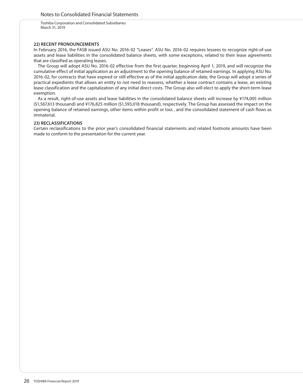# **22) RECENT PRONOUNCEMENTS**

In February 2016, the FASB issued ASU No. 2016-02 "Leases". ASU No. 2016-02 requires lessees to recognize right-of-use assets and lease liabilities in the consolidated balance sheets, with some exceptions, related to their lease agreements that are classified as operating leases.

The Group will adopt ASU No. 2016-02 effective from the first quarter, beginning April 1, 2019, and will recognize the cumulative effect of initial application as an adjustment to the opening balance of retained earnings. In applying ASU No. 2016-02, for contracts that have expired or still effective as of the initial application date, the Group will adopt a series of practical expedients that allows an entity to not need to reassess, whether a lease contract contains a lease, an existing lease classification and the capitalization of any initial direct costs. The Group also will elect to apply the short-term lease exemption.

As a result, right-of-use assets and lease liabilities in the consolidated balance sheets will increase by ¥174,005 million (\$1,567,613 thousand) and ¥176,825 million (\$1,593,018 thousand), respectively. The Group has assessed the impact on the opening balance of retained earnings, other items within profit or loss , and the consolidated statement of cash flows as immaterial.

# **23) RECLASSIFICATIONS**

Certain reclassifications to the prior year's consolidated financial statements and related footnote amounts have been made to conform to the presentation for the current year.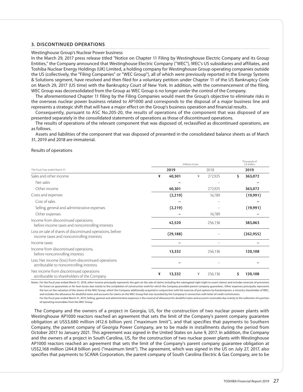# **3. DISCONTINUED OPERATIONS**

#### Westinghouse Group's Nuclear Power business

In the March 29, 2017 press release titled "Notice on Chapter 11 Filing by Westinghouse Electric Company and its Group Entities," the Company announced that Westinghouse Electric Company ("WEC"), WEC's US subsidiaries and affiliates, and Toshiba Nuclear Energy Holdings (UK) Limited, a holding company for Westinghouse Group operating companies outside the US (collectively, the "Filing Companies" or "WEC Group"), all of which were previously reported in the Energy Systems & Solutions segment, have resolved and then filed for a voluntary petition under Chapter 11 of the US Bankruptcy Code on March 29, 2017 (US time) with the Bankruptcy Court of New York. In addition, with the commencement of the filing, WEC Group was deconsolidated from the Group as WEC Group is no longer under the control of the Company.

The aforementioned Chapter 11 filing by the Filing Companies would meet the Group's objective to eliminate risks in the overseas nuclear power business related to AP1000 and corresponds to the disposal of a major business line and represents a strategic shift that will have a major effect on the Group's business operation and financial results.

Consequently, pursuant to ASC No.205-20, the results of operations of the component that was disposed of are presented separately in the consolidated statements of operations as those of discontinued operations.

The results of operations of the relevant component that was disposed of, reclassified as discontinued operations, are as follows.

Assets and liabilities of the component that was disposed of presented in the consolidated balance sheets as of March 31, 2019 and 2018 are immaterial.

## Results of operations

|                                                                                                        |             | Thousands of<br>US dollars                                                                                                                                                   |               |
|--------------------------------------------------------------------------------------------------------|-------------|------------------------------------------------------------------------------------------------------------------------------------------------------------------------------|---------------|
| The Fiscal Year ended March 31                                                                         | 2019        | Millions of yen<br>2018<br>40,301<br>¥<br>272,925<br>¥<br>40,301<br>272,925<br>(2,219)<br>16,789<br>(2,219)<br>16,789<br>42,520<br>256,136<br>(29, 188)<br>13,332<br>256,136 | 2019          |
| Sales and other income                                                                                 |             |                                                                                                                                                                              | \$<br>363,072 |
| Net sales                                                                                              |             |                                                                                                                                                                              |               |
| Other income                                                                                           |             |                                                                                                                                                                              | 363,072       |
| Costs and expenses                                                                                     |             |                                                                                                                                                                              | (19,991)      |
| Cost of sales                                                                                          |             |                                                                                                                                                                              |               |
| Selling, general and administrative expenses                                                           |             |                                                                                                                                                                              | (19,991)      |
| Other expenses                                                                                         |             |                                                                                                                                                                              |               |
| Income from discontinued operations,<br>before income taxes and noncontrolling interests               |             |                                                                                                                                                                              | 383,063       |
| Loss on sale of shares of discontinued operations, before<br>income taxes and noncontrolling interests |             |                                                                                                                                                                              | (262, 955)    |
| Income taxes                                                                                           |             |                                                                                                                                                                              |               |
| Income from discontinued operations,<br>before noncontrolling interests                                |             |                                                                                                                                                                              | 120,108       |
| Less: Net income (loss) from discontinued operations<br>attributable to noncontrolling interests       |             |                                                                                                                                                                              |               |
| Net income from discontinued operations<br>attributable to shareholders of the Company                 | ¥<br>13,332 | ¥<br>256,136                                                                                                                                                                 | 120,108<br>\$ |

Notes: For the fiscal year ended March 31, 2018, other income principally represents the gain on the sale of claims including the subrogated right (right to assert claims) and includes reversals of provisions for losses on guarantees or for loan losses due mainly to the completion of construction work for which the Company provided parent company guarantees. Other expenses principally represents the loss on the valuation of the shares of the WEC Group, which the Company additionally acquired in conjunction with the exercise of put options by Kazatomprom, a minority shareholder of WEC, and includes the allowance for doubtful notes and accounts for claims on the WEC Group that was recorded by the Company in connection with letter of credit commissions. For the fiscal year ended March 31, 2019, Selling, general and administrative expenses is the reversal of allowance for doubtful notes and accounts receivable due mainly to the collection of a portion

of operating receivables from the WEC Group.

 The Company and the owners of a project in Georgia, US, for the construction of two nuclear power plants with Westinghouse AP1000 reactors reached an agreement that sets the limit of the Company's parent company guarantee obligation at US\$3,680 million (412.6 billion yen) ("maximum limit"), and that specifies that payments to Southern Company, the parent company of Georgia Power Company, are to be made in installments during the period from October 2017 to January 2021. This agreement was signed in the United States on June 9, 2017. In addition, the Company and the owners of a project in South Carolina, US, for the construction of two nuclear power plants with Westinghouse AP1000 reactors reached an agreement that sets the limit of the Company's parent company guarantee obligation at US\$2,168 million (244.8 billion yen) ("maximum limit"). The agreement, which was signed in the US on July 27, 2017, also specifies that payments to SCANA Corporation, the parent company of South Carolina Electric & Gas Company, are to be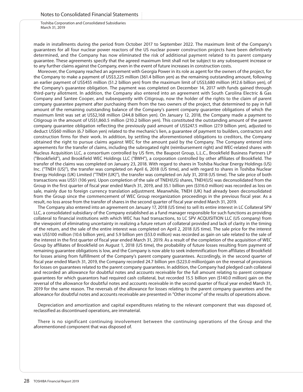made in installments during the period from October 2017 to September 2022. The maximum limit of the Company's guarantees for all four nuclear power reactors of the US nuclear power construction projects have been definitively determined, and the Company has now eliminated the risk of additional payment related to its parent company guarantee. These agreements specify that the agreed maximum limit shall not be subject to any subsequent increase or to any further claims against the Company, even in the event of future increases in construction costs.

Moreover, the Company reached an agreement with Georgia Power in its role as agent for the owners of the project, for the Company to make a payment of US\$3,225 million (361.4 billion yen) as the remaining outstanding amount, following an earlier payment of US\$455 million (51.2 billion yen) from the maximum limit of US\$3,680 million (412.6 billion yen), of the Company's guarantee obligation. The payment was completed on December 14, 2017 with funds gained through third-party allotment. In addition, the Company also entered into an agreement with South Carolina Electric & Gas Company and Santee Cooper, and subsequently with Citigroup, now the holder of the rights to the claim of parent company guarantee payment after purchasing them from the two owners of the project, that determined to pay in full amount of the remaining outstanding balance of the Company's parent company guarantee obligations of which the maximum limit was set at US\$2,168 million (244.8 billion yen). On January 12, 2018, the Company made a payment to Citigroup in the amount of US\$1,860.5 million (210.2 billion yen). This constituted the outstanding amount of the parent company guarantee obligation reflecting the previously paid amount of US\$247.5 million (27.9 billion yen), adjusted to deduct US\$60 million (6.7 billion yen) related to the mechanic's lien, a guarantee of payment to builders, contractors and construction firms for their work. In addition, by settling the aforementioned obligations to creditors, the Company obtained the right to pursue claims against WEC for the amount paid by the Company. The Company entered into agreements for the transfer of claims, including the subrogated right (reimbursement right) and WEC-related shares with Nucleus Acquisition LLC, a consortium controlled by US firm, the Baupost Group, L.L.C., Brookfield Business Partners LP ("Brookfield"), and Brookfield WEC Holdings LLC ("BWH"), a corporation controlled by other affiliates of Brookfield. The transfer of the claims was completed on January 23, 2018. With regard to shares in Toshiba Nuclear Energy Holdings (US) Inc. ("TNEH (US)"), the transfer was completed on April 6, 2018 (US time), and with regard to shares in Toshiba Nuclear Energy Holdings (UK) Limited ("TNEH (UK)"), the transfer was completed on July 31, 2018 (US time). The sale price of both transactions was US\$1 (106 yen). Upon completion of the sale of TNEH(US) shares, TNEH(US) was deconsolidated from the Group in the first quarter of fiscal year ended March 31, 2019, and 35.1 billion yen (\$316.0 million) was recorded as loss on sale, mainly due to foreign currency translation adjustment. Meanwhile, TNEH (UK) had already been deconsolidated from the Group since the commencement of WEC Group reorganization proceedings in the previous fiscal year. As a result, no loss arose from the transfer of shares in the second quarter of fiscal year ended March 31, 2019.

The Company also entered into an agreement on January 17, 2018 (US time) to sell its entire interest in LC Collateral SPV LLC, a consolidated subsidiary of the Company established as a fund manager responsible for such functions as providing collateral to financial institutions with which WEC has had transactions, to LC SPV ACQUISITION LLC (US company) from the viewpoint of eliminating uncertainty in realizing a future return of collateral provided and lack of clarity in the timing of the return, and the sale of the entire interest was completed on April 2, 2018 (US time). The sale price for the interest was US\$100 million (10.6 billion yen), and 5.9 billion yen (\$53.0 million) was recorded as gain on sale related to the sale of the interest in the first quarter of fiscal year ended March 31, 2019. As a result of the completion of the acquisition of WEC Group by affiliates of Brookfield on August 1, 2018 (US time), the probability of future losses resulting from payment of remaining guarantee obligations is low, and the Company is now able to seek indemnification from affiliates of Brookfield for losses arising from fulfillment of the Company's parent company guarantees. Accordingly, in the second quarter of fiscal year ended March 31, 2019, the Company recorded 24.7 billion yen (\$223.0 million)gain on the reversal of provisions for losses on guarantees related to the parent company guarantees. In addition, the Company had pledged cash collateral and recorded an allowance for doubtful notes and accounts receivable for the full amount relating to parent company guarantees for which guarantors had required cash collateral, but recorded 15.5 billion yen (\$140.0 million) gain on the reversal of the allowance for doubtful notes and accounts receivable in the second quarter of fiscal year ended March 31, 2019 for the same reason. The reversals of the allowance for losses relating to the parent company guarantees and the allowance for doubtful notes and accounts receivable are presented in "Other income" of the results of operations above.

Depreciation and amortization and capital expenditures relating to the relevant component that was disposed of, reclassified as discontinued operations, are immaterial.

There is no significant continuing involvement between the continuing operations of the Group and the aforementioned component that was disposed of.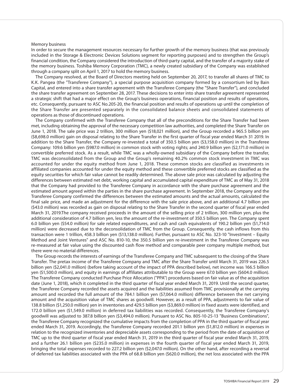#### Memory business

In order to secure the management resources necessary for further growth of the memory business (that was previously included in the Storage & Electronic Devices Solutions segment for reporting purposes) and to strengthen the Group's financial condition, the Company considered the introduction of third-party capital, and the transfer of a majority stake of the memory business. Toshiba Memory Corporation (TMC), a newly created subsidiary of the Company was established through a company split on April 1, 2017 to hold the memory business.

The Company resolved, at the Board of Directors meeting held on September 20, 2017, to transfer all shares of TMC to K.K. Pangea (the "Transferee Company"), a special purpose acquisition company formed by a consortium led by Bain Capital, and entered into a share transfer agreement with the Transferee Company (the "Share Transfer"), and concluded the share transfer agreement on September 28, 2017. These decisions to enter into share transfer agreement represented a strategic shift that had a major effect on the Group's business operations, financial position and results of operations, etc. Consequently, pursuant to ASC No.205-20, the financial position and results of operations up until the completion of the Share Transfer are presented separately in the consolidated balance sheets and consolidated statements of operations as those of discontinued operations.

The Company confirmed with the Transferee Company that all of the preconditions for the Share Transfer had been met, including obtaining the approval of the necessary competition law authorities, and completed the Share Transfer on June 1, 2018. The sale price was 2 trillion, 300 million yen (\$18,021 million), and the Group recorded a 965.5 billion yen (\$8,698.0 million) gain on disposal relating to the Share Transfer in the first quarter of fiscal year ended March 31 2019. In addition to the Share Transfer, the Company re-invested a total of 350.5 billion yen (\$3,158.0 million) in the Transferee Company: 109.6 billion yen (\$987.0 million) in common stock with voting rights; and 240.9 billion yen (\$2,171.0 million) in convertible preferred stock. As a result, while TMC was a wholly-owned subsidiary of the Company before the transfer, TMC was deconsolidated from the Group and the Group's remaining 40.2% common stock investment in TMC was accounted for under the equity method from June 1, 2018. These common stocks are classified as investments in affiliated companies accounted for under the equity method and these convertible preferred stocks are classified as the equity securities for which fair value cannot be readily determined. The above sale price was calculated by adjusting the differences between estimated net debt, working capital and accumulated capital expenditure of TMC as of May 31, 2018 that the Company had provided to the Transferee Company in accordance with the share purchase agreement and the estimated amount agreed within the parties in the share purchase agreement. In September 2018, the Company and the Transferee Company confirmed the differences between the estimated amounts and the actual amounts, calculated the final sale price, and made an adjustment for the difference with the sale price above, and an additional 4.7 billion yen (\$43.0 million) was recorded as gain on disposal relating to the Share Transfer in the second quarter of fiscal year ended March 31, 2019.The company received proceeds in the amount of the selling price of 2 trillion, 300 million yen, plus the additional consideration of 4.7 billion yen, less the amount of the re-investment of 350.5 billion yen. The Company spent 6.0 billion yen (\$54.0 million) for sale related expenditures, and cash and cash equivalents of 190.2 billion yen (\$1,714.0 million) were decreased due to the deconsolidation of TMC from the Group. Consequently, the cash inflows from this transaction were 1 trillion, 458.3 billion yen (\$13,138.0 million). Further, pursuant to ASC No. 323-10 "Investment – Equity Method and Joint Ventures" and ASC No. 810-10, the 350.5 billion yen re-investment in the Transferee Company was re-measured at fair value using the discounted cash flow method and comparable peer company multiple method, but there were no material differences.

The Group records the interests of earnings of the Transferee Company and TMC subsequent to the closing of the Share Transfer. The pretax income of the Transferee Company and TMC after the Share Transfer until March 31, 2019 was 226.5 billion yen (\$2,041.0 million) (before taking account of the impact of PPA described below), net income was 166.5 billion yen (\$1,500.0 million), and equity in earnings of affiliates attributable to the Group were 67.0 billion yen (\$604.0 million). The Transferee Company conducted Purchase Price Allocation ("PPA") procedures based on fair value as of the acquisition date (June 1, 2018), which it completed in the third quarter of fiscal year ended March 31, 2019. Until the second quarter, the Transferee Company recorded the assets acquired and the liabilities assumed from TMC provisionally at the carrying amount and recorded the full amount of the 784.1 billion yen (\$7,064.0 million) difference between the net carrying amount and the acquisition value of TMC shares as goodwill. However, as a result of PPA, adjustments to fair value of 138.8 billion (\$1,250.0 million) yen in inventories and 429.5 billion yen (\$3,869.0 million) in fixed assets were identified, and 172.0 billion yen (\$1,549.0 million) in deferred tax liabilities was recorded. Consequently, the Transferee Company's goodwill was adjusted to 387.8 billion yen (\$3,494.0 million). Pursuant to ASC No. 805-10-25-13 "Business Combinations", the Transferee Company recognized the cumulative impacts from the completion of PPA in the third quarter of fiscal year ended March 31, 2019. Accordingly, the Transferee Company recorded 201.1 billion yen (\$1,812.0 million) in expenses in relation to the recognized inventories and depreciable assets corresponding to the period from the date of acquisition of TMC up to the third quarter of fiscal year ended March 31, 2019 in the third quarter of fiscal year ended March 31, 2019, and a further 26.1 billion yen (\$235.0 million) in expenses in the fourth quarter of fiscal year ended March 31, 2019, bringing the total expenses recorded to 227.2 billion yen (\$2,047.0 million). On the other hand, after recording a reversal of deferred tax liabilities associated with the PPA of 68.8 billion yen (\$620.0 million), the net loss associated with the PPA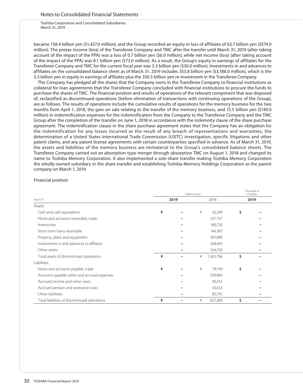became 158.4 billion yen (\$1,427.0 million), and the Group recorded an equity in loss of affiliates of 63.7 billion yen (\$574.0 million). The pretax income (loss) of the Transferee Company and TMC after the transfer until March 31, 2019 (after taking account of the impact of the PPA) was a loss of 0.7 billion yen (\$6.0 million); while net income (loss) (after taking account of the impact of the PPA) was 8.1 billion yen (\$73.0 million). As a result, the Group's equity in earnings of affiliates for the Transferee Company and TMC for the current fiscal year was 3.3 billion yen (\$30.0 million). Investments in and advances to affiliates on the consolidated balance sheet as of March 31, 2019 includes 353.8 billion yen (\$3,188.0 million), which is the 3.3 billion yen in equity in earnings of affiliates plus the 350.5 billion yen re-investment in the Transferee Company.

The Company has pledged all the shares that the Company owns in the Transferee Company to financial institutions as collateral for loan agreements that the Transferee Company concluded with financial institutions to procure the funds to purchase the shares of TMC. The financial position and results of operations of the relevant component that was disposed of, reclassified as discontinued operations (before elimination of transactions with continuing operations of the Group), are as follows. The results of operations include the cumulative results of operations for the memory business for the two months from April 1, 2018, the gain on sale relating to the transfer of the memory business, and 15.5 billion yen (\$140.0 million) in indemnification expenses for the indemnification from the Company to the Transferee Company and the TMC Group after the completion of the transfer on June 1, 2018 in accordance with the indemnity clause of the share purchase agreement. The indemnification clause in the share purchase agreement states that the Company has an obligation for the indemnification for any losses incurred as the result of any breach of representations and warranties, the determination of a United States International Trade Commission (USITC) investigation, specific litigations and other patent claims, and any patent license agreements with certain counterparties specified in advance. As of March 31, 2019, the assets and liabilities of the memory business are immaterial to the Group's consolidated balance sheets. The Transferee Company carried out an absorption-type merger through absorption TMC on August 1, 2018 and changed its name to Toshiba Memory Corporation. It also implemented a sole-share transfer making Toshiba Memory Corporation the wholly-owned subsidiary in the share transfer and establishing Toshiba Memory Holdings Corporation as the parent company on March 1, 2019.

#### Financial position

|                                              |   |      | Thousands of<br>US dollars |           |    |      |
|----------------------------------------------|---|------|----------------------------|-----------|----|------|
| March 31                                     |   | 2019 |                            | 2018      |    | 2019 |
| Assets:                                      |   |      |                            |           |    |      |
| Cash and cash equivalents                    | ¥ |      | ¥                          | 32,299    | \$ |      |
| Notes and accounts receivable, trade         |   |      |                            | 237,747   |    |      |
| Inventories                                  |   |      |                            | 160,726   |    |      |
| Short-term loans receivable                  |   |      |                            | 146,392   |    |      |
| Property, plant and equipment                |   |      |                            | 491,889   |    |      |
| Investments in and advances to affiliates    |   |      |                            | 268,493   |    |      |
| Other assets                                 |   |      |                            | 244,250   |    |      |
| Total assets of discontinued operations      | ¥ |      | ¥                          | 1,581,796 | \$ |      |
| Liabilities:                                 |   |      |                            |           |    |      |
| Notes and accounts payable, trade            | ¥ |      | ¥                          | 79,749    | Ś  |      |
| Accounts payable, other and accrued expenses |   |      |                            | 339,964   |    |      |
| Accrued income and other taxes               |   |      |                            | 90,252    |    |      |
| Accrued pension and severance costs          |   |      |                            | 43,633    |    |      |
| Other liabilities                            |   |      |                            | 83,791    |    |      |
| Total liabilities of discontinued operations | ¥ |      | ¥                          | 637,389   | \$ |      |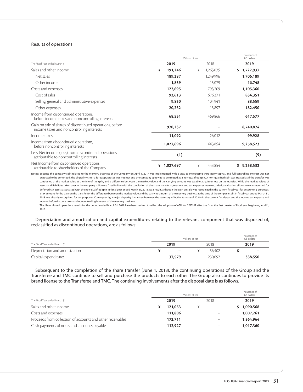# Results of operations

|                                                                                                        | Millions of yen | Thousands of<br>US dollars |                  |
|--------------------------------------------------------------------------------------------------------|-----------------|----------------------------|------------------|
| The Fiscal Year ended March 31                                                                         | 2019            | 2018                       | 2019             |
| Sales and other income                                                                                 | ¥<br>191,246    | ¥<br>1,265,075             | 1,722,937<br>\$. |
| Net sales                                                                                              | 189,387         | 1,249,996                  | 1,706,189        |
| Other income                                                                                           | 1,859           | 15,079                     | 16,748           |
| Costs and expenses                                                                                     | 122,695         | 795,209                    | 1,105,360        |
| Cost of sales                                                                                          | 92,613          | 676,371                    | 834,351          |
| Selling, general and administrative expenses                                                           | 9,830           | 104,941                    | 88,559           |
| Other expenses                                                                                         | 20,252          | 13,897                     | 182,450          |
| Income from discontinued operations,<br>before income taxes and noncontrolling interests               | 68,551          | 469,866                    | 617,577          |
| Gain on sale of shares of discontinued operations, before<br>income taxes and noncontrolling interests | 970,237         |                            | 8,740,874        |
| Income taxes                                                                                           | 11,092          | 26,012                     | 99,928           |
| Income from discontinued operations,<br>before noncontrolling interests                                | 1,027,696       | 443,854                    | 9,258,523        |
| Less: Net income (loss) from discontinued operations<br>attributable to noncontrolling interests       | (1)             |                            | (9)              |
| Net Income from discontinued operations<br>attributable to shareholders of the Company                 | 1,027,697<br>¥  | ¥<br>443,854               | 9,258,532<br>S   |

Notes: Because the company split related to the memory business of the Company on April 1, 2017 was implemented with a view to introducing third-party capital, and full controlling interest was not expected to be continued, the eligibility criteria for tax purposes was not met and the company split was to be treated as a non-qualified split. A non-qualified split was treated as if the transfer was conducted at the market value at the time of the split, and a difference between the market value and the carrying amount was taxable as gain or loss on the transfer. While the market values of assets and liabilities taken over in the company split were fixed in line with the conclusion of the share transfer agreement and tax expenses were recorded, a valuation allowance was recorded for deferred tax assets associated with the non-qualified split in fiscal year ended March 31, 2018. As a result, although the gain on sale was recognized in the current fiscal year for accounting purposes, a tax amount for the gain on the transfer for the difference between the market value and the carrying amount of the memory business at the time of the company split in fiscal year ended March 31, 2018 was already recognized for tax purposes. Consequently, a major disparity has arisen between the statutory effective tax rate of 30.6% in the current fiscal year and the income tax expense and income before income taxes and noncontrolling interests of the memory business.

 The discontinued operations results for the period ended March 31, 2018 have been revised to reflect the adoption of ASU No. 2017-07 effective from the first quarter of fiscal year beginning April 1, 2018.

Depreciation and amortization and capital expenditures relating to the relevant component that was disposed of, reclassified as discontinued operations, are as follows:

|                                | Millions of ven |                          |      |         |  |         |  |
|--------------------------------|-----------------|--------------------------|------|---------|--|---------|--|
| The Fiscal Year ended March 31 | 2019            |                          | 2018 |         |  | 2019    |  |
| Depreciation and amortization  |                 | $\overline{\phantom{m}}$ |      | 36.402  |  | -       |  |
| Capital expenditures           |                 | 37,579                   |      | 230.092 |  | 338,550 |  |

Subsequent to the completion of the share transfer (June 1, 2018), the continuing operations of the Group and the Transferee and TMC continue to sell and purchase the products to each other The Group also continues to provide its brand license to the Transferee and TMC. The continuing involvements after the disposal date is as follows.

|                                                            | Millions of yen |  | Thousands of<br>US dollars |           |
|------------------------------------------------------------|-----------------|--|----------------------------|-----------|
| The Fiscal Year ended March 31                             | 2019            |  | 2018                       | 2019      |
| Sales and other income                                     | 121.053         |  |                            | 1,090,568 |
| Costs and expenses                                         | 111.806         |  |                            | 1,007,261 |
| Proceeds from collection of accounts and other receivables | 173.711         |  |                            | 1,564,964 |
| Cash payments of notes and accounts payable                | 112,927         |  |                            | 1,017,360 |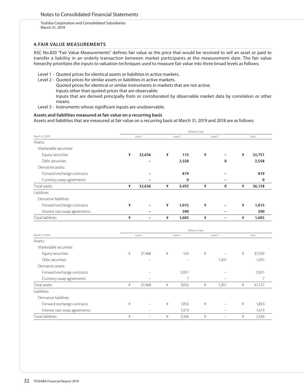# **4.FAIR VALUE MEASUREMENTS**

ASC No.820 "Fair Value Measurements" defines fair value as the price that would be received to sell an asset or paid to transfer a liability in an orderly transaction between market participants at the measurement date. The fair value hierarchy prioritizes the inputs to valuation techniques used to measure fair value into three broad levels as follows;

- Level 1 Quoted prices for identical assets or liabilities in active markets.
- Level 2 Quoted prices for similar assets or liabilities in active markets.
	- Quoted prices for identical or similar instruments in markets that are not active.
	- Inputs other than quoted prices that are observable.
	- Inputs that are derived principally from or corroborated by observable market data by correlation or other means.
- Level 3 Instruments whose significant inputs are unobservable.

# **Assets and liabilities measured at fair value on a recurring basis**

Assets and liabilities that are measured at fair value on a recurring basis at March 31, 2019 and 2018 are as follows:

|                               | Millions of yen |                          |   |          |                 |                          |   |          |  |  |
|-------------------------------|-----------------|--------------------------|---|----------|-----------------|--------------------------|---|----------|--|--|
| March 31, 2019                |                 | Level 1                  |   | Level 2  |                 | Level 3                  |   | Total    |  |  |
| Assets:                       |                 |                          |   |          |                 |                          |   |          |  |  |
| Marketable securities:        |                 |                          |   |          |                 |                          |   |          |  |  |
| Equity securities             | ¥               | 32,636                   | ¥ | 115      | ¥               |                          | ¥ | 32,751   |  |  |
| Debt securities               |                 |                          |   | 2,558    |                 | $\bf{0}$                 |   | 2,558    |  |  |
| Derivative assets:            |                 |                          |   |          |                 |                          |   |          |  |  |
| Forward exchange contracts    |                 |                          |   | 819      |                 |                          |   | 819      |  |  |
| Currency swap agreements      |                 |                          |   | $\bf{0}$ |                 |                          |   | $\bf{0}$ |  |  |
| Total assets                  | ¥               | 32,636                   | ¥ | 3,492    | ¥               | $\bf{0}$                 | ¥ | 36,128   |  |  |
| Liabilities:                  |                 |                          |   |          |                 |                          |   |          |  |  |
| Derivative liabilities:       |                 |                          |   |          |                 |                          |   |          |  |  |
| Forward exchange contracts    | ¥               |                          | ¥ | 1,015    | ¥               |                          | ¥ | 1,015    |  |  |
| Interest rate swap agreements |                 |                          |   | 590      |                 |                          |   | 590      |  |  |
| Total liabilities             | ¥               | $\overline{\phantom{0}}$ | ¥ | 1,605    | ¥               | $\overline{\phantom{0}}$ | ¥ | 1,605    |  |  |
|                               |                 |                          |   |          |                 |                          |   |          |  |  |
|                               |                 |                          |   |          | Millions of yen |                          |   |          |  |  |
| March 31, 2018                |                 | Level 1                  |   | Level 2  |                 | Level 3                  |   | Total    |  |  |
| Assets:                       |                 |                          |   |          |                 |                          |   |          |  |  |
| Marketable securities:        |                 |                          |   |          |                 |                          |   |          |  |  |
| Equity securities             | ¥               | 37,468                   | ¥ | 124      | ¥               |                          | ¥ | 37,592   |  |  |
| Debt securities               |                 |                          |   |          |                 | 1,201                    |   | 1,201    |  |  |
| Derivative assets:            |                 |                          |   |          |                 |                          |   |          |  |  |
| Forward exchange contracts    |                 |                          |   | 2,921    |                 |                          |   | 2,921    |  |  |
| Currency swap agreements      |                 |                          |   | 7        |                 |                          |   | 7        |  |  |
| Total assets                  | ¥               | 37,468                   | ¥ | 3,052    | ¥               | 1,201                    | ¥ | 41,721   |  |  |
| Liabilities:                  |                 |                          |   |          |                 |                          |   |          |  |  |
| Derivative liabilities:       |                 |                          |   |          |                 |                          |   |          |  |  |
| Forward exchange contracts    | ¥               |                          | ¥ | 1,853    | ¥               |                          | ¥ | 1,853    |  |  |
| Interest rate swap agreements |                 |                          |   | 1,473    |                 |                          |   | 1,473    |  |  |
| <b>Total liabilities</b>      | ¥               |                          | ¥ | 3,326    | ¥               | $\overline{\phantom{0}}$ | ¥ | 3,326    |  |  |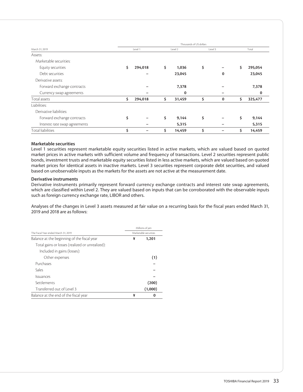|                               | Thousands of US dollars |         |         |        |         |          |       |         |  |  |
|-------------------------------|-------------------------|---------|---------|--------|---------|----------|-------|---------|--|--|
| March 31, 2019                | Level 1                 |         | Level 2 |        | Level 3 |          | Total |         |  |  |
| Assets:                       |                         |         |         |        |         |          |       |         |  |  |
| Marketable securities:        |                         |         |         |        |         |          |       |         |  |  |
| Equity securities             | S                       | 294,018 | \$      | 1,036  | \$      |          | \$    | 295,054 |  |  |
| Debt securities               |                         |         |         | 23,045 |         | 0        |       | 23,045  |  |  |
| Derivative assets:            |                         |         |         |        |         |          |       |         |  |  |
| Forward exchange contracts    |                         |         |         | 7,378  |         |          |       | 7,378   |  |  |
| Currency swap agreements      |                         |         |         | 0      |         |          |       | 0       |  |  |
| Total assets                  | \$                      | 294,018 | \$      | 31,459 | \$      | $\bf{0}$ | \$    | 325,477 |  |  |
| Liabilities:                  |                         |         |         |        |         |          |       |         |  |  |
| Derivative liabilities:       |                         |         |         |        |         |          |       |         |  |  |
| Forward exchange contracts    | \$                      |         | \$      | 9,144  | \$      |          | \$    | 9,144   |  |  |
| Interest rate swap agreements |                         |         |         | 5,315  |         |          |       | 5,315   |  |  |
| Total liabilities             | \$                      |         | \$      | 14,459 | \$      |          | \$    | 14,459  |  |  |

# **Marketable securities**

Level 1 securities represent marketable equity securities listed in active markets, which are valued based on quoted market prices in active markets with sufficient volume and frequency of transactions. Level 2 securities represent public bonds, investment trusts and marketable equity securities listed in less active markets, which are valued based on quoted market prices for identical assets in inactive markets. Level 3 securities represent corporate debt securities, and valued based on unobservable inputs as the markets for the assets are not active at the measurement date.

# **Derivative instruments**

Derivative instruments primarily represent forward currency exchange contracts and interest rate swap agreements, which are classified within Level 2. They are valued based on inputs that can be corroborated with the observable inputs such as foreign currency exchange rate, LIBOR and others.

Analyses of the changes in Level 3 assets measured at fair value on a recurring basis for the fiscal years ended March 31, 2019 and 2018 are as follows:

|                                                 |   | Millions of yen       |
|-------------------------------------------------|---|-----------------------|
| The Fiscal Year ended March 31, 2019            |   | Marketable securities |
| Balance at the beginning of the fiscal year     | ¥ | 1,201                 |
| Total gains or losses (realized or unrealized): |   |                       |
| Included in gains (losses):                     |   |                       |
| Other expenses                                  |   | (1)                   |
| Purchases                                       |   |                       |
| Sales                                           |   |                       |
| Issuances                                       |   |                       |
| Settlements                                     |   | (200)                 |
| Transferred out of Level 3                      |   | (1,000)               |
| Balance at the end of the fiscal year           | ¥ | 0                     |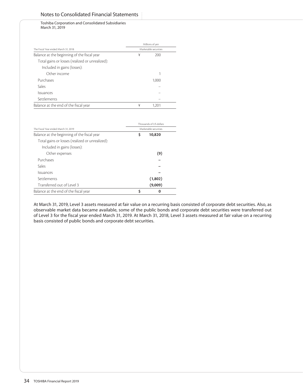# Notes to Consolidated Financial Statements

Toshiba Corporation and Consolidated Subsidiaries March 31, 2019

|                                                 |   | Millions of yen       |  |
|-------------------------------------------------|---|-----------------------|--|
| The Fiscal Year ended March 31, 2018            |   | Marketable securities |  |
| Balance at the beginning of the fiscal year     | ¥ | 200                   |  |
| Total gains or losses (realized or unrealized): |   |                       |  |
| Included in gains (losses):                     |   |                       |  |
| Other income                                    |   |                       |  |
| Purchases                                       |   | 1,000                 |  |
| Sales                                           |   |                       |  |
| Issuances                                       |   |                       |  |
| Settlements                                     |   |                       |  |
| Balance at the end of the fiscal year           | ¥ | 1.201                 |  |

|                                                 |   | Thousands of US dollars |
|-------------------------------------------------|---|-------------------------|
| The Fiscal Year ended March 31, 2019            |   | Marketable securities   |
| Balance at the beginning of the fiscal year     | Ś | 10,820                  |
| Total gains or losses (realized or unrealized): |   |                         |
| Included in gains (losses):                     |   |                         |
| Other expenses                                  |   | (9)                     |
| Purchases                                       |   |                         |
| Sales                                           |   |                         |
| <b>Issuances</b>                                |   |                         |
| Settlements                                     |   | (1,802)                 |
| Transferred out of Level 3                      |   | (9,009)                 |
| Balance at the end of the fiscal year           | Ś | ი                       |

At March 31, 2019, Level 3 assets measured at fair value on a recurring basis consisted of corporate debt securities. Also, as observable market data became available, some of the public bonds and corporate debt securities were transferred out of Level 3 for the fiscal year ended March 31, 2019. At March 31, 2018, Level 3 assets measured at fair value on a recurring basis consisted of public bonds and corporate debt securities.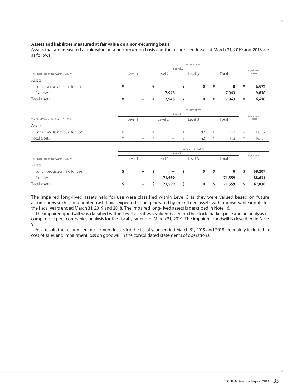# **Assets and liabilities measured at fair value on a non-recurring basis**

Assets that are measured at fair value on a non-recurring basis and the recognized losses at March 31, 2019 and 2018 are as follows:

|                                      | Millions of yen |                          |         |                          |         |          |       |          |                      |            |  |
|--------------------------------------|-----------------|--------------------------|---------|--------------------------|---------|----------|-------|----------|----------------------|------------|--|
|                                      | Fair value      |                          |         |                          |         |          |       |          |                      | Impairment |  |
| The Fiscal Year ended March 31, 2019 | Level 1         |                          | Level 2 |                          | Level 3 |          | Total |          | losses               |            |  |
| Assets:                              |                 |                          |         |                          |         |          |       |          |                      |            |  |
| Long-lived assets held for use       | ¥               |                          | ¥       |                          | ¥       | $\bf{0}$ | ¥     | $\bf{0}$ | ¥                    | 6,572      |  |
| Goodwill                             |                 |                          |         | 7,943                    |         |          |       | 7,943    |                      | 9,838      |  |
| Total assets                         | ¥               | -                        | ¥       | 7,943                    | ¥       | 0        | ¥     | 7,943    | ¥                    | 16,410     |  |
|                                      | Millions of yen |                          |         |                          |         |          |       |          |                      |            |  |
|                                      |                 | Fair value               |         |                          |         |          |       |          |                      |            |  |
| The Fiscal Year ended March 31, 2018 | Level 1         |                          | Level 2 |                          | Level 3 |          | Total |          | Impairment<br>losses |            |  |
| Assets:                              |                 |                          |         |                          |         |          |       |          |                      |            |  |
| Long-lived assets held for use       | ¥               | $\overline{\phantom{a}}$ | ¥       | $\overline{\phantom{0}}$ | ¥       | 142      | ¥     | 142      | ¥                    | 14,107     |  |
| Total assets                         | ¥               |                          | ¥       | $\overline{\phantom{0}}$ | ¥       | 142      | ¥     | 142      | ¥                    | 14,107     |  |
|                                      |                 | Thousands of US dollars  |         |                          |         |          |       |          |                      |            |  |
|                                      | Fair value      |                          |         |                          |         |          |       |          |                      | Impairment |  |
| The Fiscal Year ended March 31, 2019 |                 | Level 1<br>Level 2       |         | Level 3                  |         |          | Total |          | losses               |            |  |
| Assets:                              |                 |                          |         |                          |         |          |       |          |                      |            |  |
| Long-lived assets held for use       | \$              |                          | \$      |                          | \$      | 0        | \$    | 0        | \$                   | 59,207     |  |
| Goodwill                             |                 |                          |         | 71,559                   |         |          |       | 71,559   |                      | 88,631     |  |
| Total assets                         | \$              | -                        | \$      | 71,559                   | \$      | 0        | \$    | 71,559   | \$                   | 147,838    |  |

The impaired long-lived assets held for use were classified within Level 3 as they were valued based on future assumptions such as discounted cash flows expected to be generated by the related assets with unobservable inputs for the fiscal years ended March 31, 2019 and 2018. The impaired long-lived assets is described in Note 16.

The impaired goodwill was classified within Level 2 as it was valued based on the stock market price and an analysis of comparable peer companies analysis for the fiscal year ended March 31, 2019. The impaired goodwill is described in Note 9.

As a result, the recognized impairment losses for the fiscal years ended March 31, 2019 and 2018 are mainly included in cost of sales and impairment loss on goodwill in the consolidated statements of operations.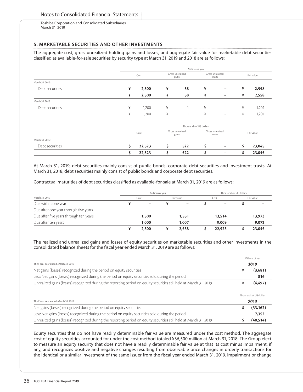# **5. MARKETABLE SECURITIES AND OTHER INVESTMENTS**

The aggregate cost, gross unrealized holding gains and losses, and aggregate fair value for marketable debt securities classified as available-for-sale securities by security type at March 31, 2019 and 2018 are as follows:

|                 |    | Millions of yen |                           |                           |                            |                            |    |            |  |  |
|-----------------|----|-----------------|---------------------------|---------------------------|----------------------------|----------------------------|----|------------|--|--|
|                 |    | Cost            | Gross unrealized<br>gains |                           | Gross unrealized<br>losses |                            |    | Fair value |  |  |
| March 31, 2019: |    |                 |                           |                           |                            |                            |    |            |  |  |
| Debt securities | ¥  | 2,500           | ¥                         | 58                        | ¥                          | $\overline{\phantom{m}}$   | ¥  | 2,558      |  |  |
|                 | ¥  | 2,500           | ¥                         | 58                        | ¥                          | -                          | ¥  | 2,558      |  |  |
| March 31, 2018: |    |                 |                           |                           |                            |                            |    |            |  |  |
| Debt securities | ¥  | 1,200           | ¥                         |                           | ¥                          | $\overline{\phantom{0}}$   | ¥  | 1,201      |  |  |
|                 | ¥  | 1,200           | ¥                         | и                         | ¥                          | $\qquad \qquad -$          | ¥  | 1,201      |  |  |
|                 |    |                 |                           |                           | Thousands of US dollars    |                            |    |            |  |  |
|                 |    | Cost            |                           | Gross unrealized<br>gains |                            | Gross unrealized<br>losses |    | Fair value |  |  |
| March 31, 2019: |    |                 |                           |                           |                            |                            |    |            |  |  |
| Debt securities | \$ | 22,523          | \$                        | 522                       | \$                         | -                          | \$ | 23,045     |  |  |
|                 | \$ | 22,523          | \$                        | 522                       | \$                         |                            | \$ | 23,045     |  |  |

At March 31, 2019, debt securities mainly consist of public bonds, corporate debt securities and investment trusts. At March 31, 2018, debt securities mainly consist of public bonds and corporate debt securities.

Contractual maturities of debt securities classified as available-for-sale at March 31, 2019 are as follows:

|                                        | Millions of yen |                          |            |                          |      | Thousands of US dollars |            |        |  |
|----------------------------------------|-----------------|--------------------------|------------|--------------------------|------|-------------------------|------------|--------|--|
| March 31, 2019                         | Cost            |                          | Fair value |                          | Cost |                         | Fair value |        |  |
| Due within one year                    |                 | $\overline{\phantom{0}}$ |            | $\overline{\phantom{0}}$ |      |                         |            |        |  |
| Due after one year through five years  |                 | -                        |            |                          |      |                         |            |        |  |
| Due after five years through ten years |                 | 1,500                    |            | 1,551                    |      | 13,514                  |            | 13,973 |  |
| Due after ten years                    |                 | 1.000                    |            | 1.007                    |      | 9,009                   |            | 9,072  |  |
|                                        |                 | 2,500                    |            | 2,558                    |      | 22,523                  |            | 23,045 |  |

The realized and unrealized gains and losses of equity securities on marketable securities and other investments in the consolidated balance sheets for the fiscal year ended March 31, 2019 are as follows:

|                                                                                                                    | Millions of yen |                         |  |
|--------------------------------------------------------------------------------------------------------------------|-----------------|-------------------------|--|
| The Fiscal Year ended March 31, 2019                                                                               |                 | 2019                    |  |
| Net gains (losses) recognized during the period on equity securities                                               | ¥               | (3,681)                 |  |
| Less: Net gains (losses) recognized during the period on equity securities sold during the period                  |                 | 816                     |  |
| Unrealized gains (losses) recognized during the reporting period on equity securities still held at March 31, 2019 | ¥               | (4, 497)                |  |
|                                                                                                                    |                 | Thousands of US dollars |  |
| The Fiscal Year ended March 31, 2019                                                                               |                 | 2019                    |  |
| Net gains (losses) recognized during the period on equity securities                                               |                 | (33, 162)               |  |
| Less: Net gains (losses) recognized during the period on equity securities sold during the period                  |                 | 7,352                   |  |
| Unrealized gains (losses) recognized during the reporting period on equity securities still held at March 31, 2019 |                 | (40, 514)               |  |

Equity securities that do not have readily determinable fair value are measured under the cost method. The aggregate cost of equity securities accounted for under the cost method totaled ¥36,500 million at March 31, 2018. The Group elect to measure an equity security that does not have a readily determinable fair value at that its cost minus impairment, if any, and recognizes positive and negative changes resulting from observable price changes in orderly transactions for the identical or a similar investment of the same issuer from the fiscal year ended March 31, 2019. Impairment or change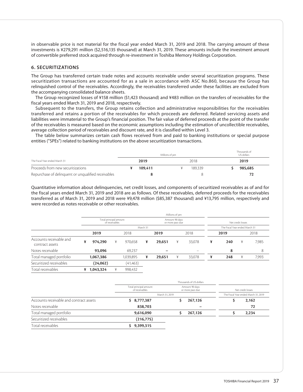in observable price is not material for the fiscal year ended March 31, 2019 and 2018. The carrying amount of these investments is ¥279,291 million (\$2,516,135 thousand) at March 31, 2019. These amounts include the investment amount of convertible preferred stock acquired through re-investment in Toshiba Memory Holdings Corporation.

### **6. SECURITIZATIONS**

The Group has transferred certain trade notes and accounts receivable under several securitization programs. These securitization transactions are accounted for as a sale in accordance with ASC No.860, because the Group has relinquished control of the receivables. Accordingly, the receivables transferred under these facilities are excluded from the accompanying consolidated balance sheets.

The Group recognized losses of ¥158 million (\$1,423 thousand) and ¥483 million on the transfers of receivables for the fiscal years ended March 31, 2019 and 2018, respectively.

Subsequent to the transfers, the Group retains collection and administrative responsibilities for the receivables transferred and retains a portion of the receivables for which proceeds are deferred. Related servicing assets and liabilities were immaterial to the Group's financial position. The fair value of deferred proceeds at the point of the transfer of the receivables is measured based on the economic assumptions including the estimation of uncollectible receivables, average collection period of receivables and discount rate, and it is classified within Level 3.

The table below summarizes certain cash flows received from and paid to banking institutions or special purpose entities ("SPEs") related to banking institutions on the above securitization transactions.

|                                                     |         | Millions of ven |         | Thousands of<br>US dollars |  |
|-----------------------------------------------------|---------|-----------------|---------|----------------------------|--|
| The Fiscal Year ended March 31                      | 2019    |                 | 2018    | 2019                       |  |
| Proceeds from new securitizations                   | 109.411 |                 | 189.339 | 985.685                    |  |
| Repurchase of delinguent or unqualified receivables |         |                 |         |                            |  |

Quantitative information about delinquencies, net credit losses, and components of securitized receivables as of and for the fiscal years ended March 31, 2019 and 2018 are as follows. Of these receivables, deferred proceeds for the receivables transferred as of March 31, 2019 and 2018 were ¥9,478 million (\$85,387 thousand) and ¥13,795 million, respectively and were recorded as notes receivable or other receivables.

|                                            |   | Millions of yen        |                |           |                                    |        |   |                   |   |                                |   |       |
|--------------------------------------------|---|------------------------|----------------|-----------|------------------------------------|--------|---|-------------------|---|--------------------------------|---|-------|
|                                            |   | Total principal amount | of receivables |           | Amount 90 days<br>or more past due |        |   | Net credit losses |   |                                |   |       |
|                                            |   |                        |                |           | March 31                           |        |   |                   |   | The Fiscal Year ended March 31 |   |       |
|                                            |   | 2019                   |                | 2018      |                                    | 2019   |   | 2018              |   | 2019                           |   | 2018  |
| Accounts receivable and<br>contract assets | ¥ | 974.290                | ¥              | 970.658   | ¥                                  | 29,651 | ¥ | 33,078            | ¥ | 240                            | ¥ | 7,985 |
| Notes receivable                           |   | 93,096                 |                | 69,237    |                                    |        |   |                   |   | 8                              |   | 8     |
| Total managed portfolio                    |   | 1,067,386              |                | 1,039,895 | ¥                                  | 29,651 | ¥ | 33,078            | ¥ | 248                            | ¥ | 7,993 |
| Securitized receivables                    |   | (24, 062)              |                | (41, 463) |                                    |        |   |                   |   |                                |   |       |
| Total receivables                          | ¥ | 1,043,324              | ¥              | 998,432   |                                    |        |   |                   |   |                                |   |       |

|                                         |                                                                                | Thousands of US dollars |                                      |                   |  |
|-----------------------------------------|--------------------------------------------------------------------------------|-------------------------|--------------------------------------|-------------------|--|
|                                         | Total principal amount<br>Amount 90 days<br>of receivables<br>or more past due |                         |                                      | Net credit losses |  |
|                                         | March 31, 2019                                                                 |                         | The Fiscal Year ended March 31, 2019 |                   |  |
| Accounts receivable and contract assets | \$8,777,387                                                                    | 267,126                 |                                      | 2,162             |  |
| Notes receivable                        | 838.703                                                                        | -                       |                                      | 72                |  |
| Total managed portfolio                 | 9,616,090                                                                      | 267.126                 |                                      | 2,234             |  |
| Securitized receivables                 | (216,775)                                                                      |                         |                                      |                   |  |
| Total receivables                       | 9,399,315                                                                      |                         |                                      |                   |  |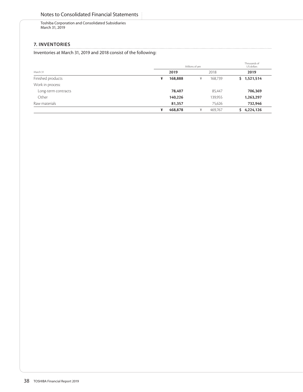# **7. INVENTORIES**

Inventories at March 31, 2019 and 2018 consist of the following:

|                     | Millions of yen | Thousands of<br>US dollars |             |
|---------------------|-----------------|----------------------------|-------------|
| March 31            | 2019            | 2018                       | 2019        |
| Finished products   | 168,888<br>¥    | 168,739<br>¥               | \$1,521,514 |
| Work in process:    |                 |                            |             |
| Long-term contracts | 78,407          | 85,447                     | 706,369     |
| Other               | 140,226         | 139,955                    | 1,263,297   |
| Raw materials       | 81,357          | 75,626                     | 732,946     |
|                     | 468,878<br>¥    | 469,767<br>¥               | 4,224,126   |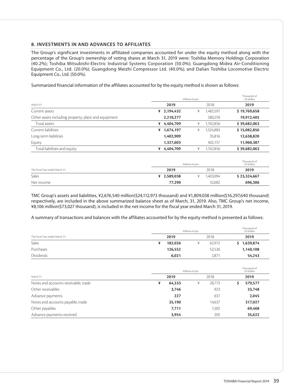## **8. INVESTMENTS IN AND ADVANCES TO AFFILIATES**

The Group's significant investments in affiliated companies accounted for under the equity method along with the percentage of the Group's ownership of voting shares at March 31, 2019 were: Toshiba Memory Holdings Corporation (40.2%); Toshiba Mitsubishi-Electric Industrial Systems Corporation (50.0%); Guangdong Midea Air-Conditioning Equipment Co., Ltd. (20.0%); Guangdong Meizhi Compressor Ltd. (40.0%); and Dalian Toshiba Locomotive Electric Equipment Co., Ltd. (50.0%).

Summarized financial information of the affiliates accounted for by the equity method is shown as follows:

|                                                      |   | Thousands of<br>US dollars |   |           |              |
|------------------------------------------------------|---|----------------------------|---|-----------|--------------|
| March 31                                             |   | 2019                       |   | 2018      | 2019         |
| Current assets                                       | ¥ | 2,194,432                  | ¥ | 1,482,597 | \$19,769,658 |
| Other assets including property, plant and equipment |   | 2,210,277                  |   | 280,259   | 19,912,405   |
| Total assets                                         | ¥ | 4,404,709                  | ¥ | 1,762,856 | \$39,682,063 |
| Current liabilities                                  | ¥ | 1,674,197                  | ¥ | 1,324,883 | \$15,082,856 |
| Long-term liabilities                                |   | 1,402,909                  |   | 35,816    | 12,638,820   |
| Equity                                               |   | 1,327,603                  |   | 402,157   | 11,960,387   |
| Total liabilities and equity                         | ¥ | 4,404,709                  | ¥ | 1,762,856 | \$39,682,063 |

|                                |             | Millions of yen |           |              |  |  |
|--------------------------------|-------------|-----------------|-----------|--------------|--|--|
| The Fiscal Year ended March 31 | 2019        |                 | 2018      | 2019         |  |  |
| Sales                          | ¥ 2,589,038 |                 | 1.403.094 | \$23,324,667 |  |  |
| Net income                     | 77,290      |                 | 32,002    | 696,306      |  |  |

TMC Group's assets and liabilities, ¥2,676,540 million(\$24,112,973 thousand) and ¥1,809,038 million(\$16,297,640 thousand) respectively, are included in the above summarized balance sheet as of March, 31, 2019. Also, TMC Group's net income, ¥8,106 million(\$73,027 thousand), is included in the net income for the fiscal year ended March 31, 2019.

A summary of transactions and balances with the affiliates accounted for by the equity method is presented as follows:

|                                | Millions of yen | Thousands of<br>US dollars |        |           |
|--------------------------------|-----------------|----------------------------|--------|-----------|
| The Fiscal Year ended March 31 | 2019            | 2018                       |        | 2019      |
| Sales                          | 182,026<br>¥    |                            | 62,972 | 1,639,874 |
| Purchases                      | 126,552         |                            | 52,526 | 1,140,108 |
| Dividends                      | 6,021           |                            | 2,871  | 54,243    |

|                                      | Millions of ven | Thousands of<br>US dollars |         |
|--------------------------------------|-----------------|----------------------------|---------|
| March 31                             | 2019            | 2018                       | 2019    |
| Notes and accounts receivable, trade | 64,333<br>¥     | 28,773<br>¥                | 579,577 |
| Other receivables                    | 3,746           | 923                        | 33,748  |
| Advance payments                     | 227             | 637                        | 2,045   |
| Notes and accounts payable, trade    | 35,190          | 14,637                     | 317,027 |
| Other payables                       | 7,711           | 1,502                      | 69,468  |
| Advance payments received            | 3,954           | 205                        | 35,622  |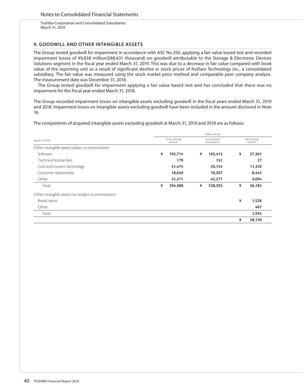## **9. GOODWILL AND OTHER INTANGIBLE ASSETS**

The Group tested goodwill for impairment in accordance with ASC No.350, applying a fair value based test and recorded impairment losses of ¥9,838 million(\$88,631 thousand) on goodwill attributable to the Storage & Electronic Devices Solutions segment in the fiscal year ended March 31, 2019. This was due to a decrease in fair value compared with book value of the reporting unit as a result of significant decline in stock prices of Nuflare Technology inc., a consolidated subsidiary. The fair value was measured using the stock market price method and comparable peer company analysis. The measurement date was December 31, 2018.

The Group tested goodwill for impairment applying a fair value based test and has concluded that there was no impairment for the fiscal year ended March 31, 2018.

The Group recorded impairment losses on intangible assets excluding goodwill in the fiscal years ended March 31, 2019 and 2018. Impairment losses on intangible assets excluding goodwill have been included in the amount disclosed in Note 16.

The components of acquired intangible assets excluding goodwill at March 31, 2019 and 2018 are as follows:

|                                                      | Millions of yen          |         |                             |         |                        |        |  |  |
|------------------------------------------------------|--------------------------|---------|-----------------------------|---------|------------------------|--------|--|--|
| March 31, 2019                                       | Gross carrying<br>amount |         | Accumulated<br>amortization |         | Net carrying<br>amount |        |  |  |
| Other intangible assets subject to amortization:     |                          |         |                             |         |                        |        |  |  |
| Software                                             | ¥                        | 192,714 | ¥                           | 165,413 | ¥                      | 27,301 |  |  |
| Technical license fees                               |                          | 179     |                             | 152     |                        | 27     |  |  |
| Core and current technology                          |                          | 31,474  |                             | 20,154  |                        | 11,320 |  |  |
| Customer relationship                                |                          | 18,650  |                             | 10,207  |                        | 8,443  |  |  |
| Other                                                |                          | 51,371  |                             | 42,277  |                        | 9,094  |  |  |
| Total                                                | ¥                        | 294,388 | ¥                           | 238,203 | ¥                      | 56,185 |  |  |
| Other intangible assets not subject to amortization: |                          |         |                             |         |                        |        |  |  |
| Brand name                                           |                          |         |                             |         | ¥                      | 1,528  |  |  |
| Other                                                |                          |         |                             |         |                        | 407    |  |  |
| Total                                                |                          |         |                             |         |                        | 1,935  |  |  |
|                                                      |                          |         |                             |         | ¥                      | 58,120 |  |  |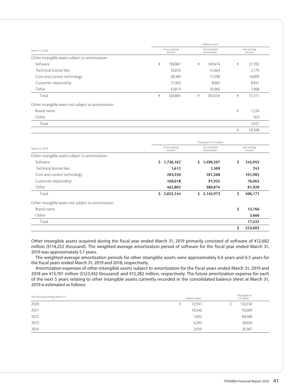|                                                                                                                                                                                         | Millions of yen          |         |   |                             |   |                        |  |  |
|-----------------------------------------------------------------------------------------------------------------------------------------------------------------------------------------|--------------------------|---------|---|-----------------------------|---|------------------------|--|--|
| March 31, 2018                                                                                                                                                                          | Gross carrying<br>amount |         |   | Accumulated<br>amortization |   | Net carrying<br>amount |  |  |
| Other intangible assets subject to amortization:<br>Software<br>Technical license fees<br>Core and current technology<br>Customer relationship<br>Other<br>Total<br>Brand name<br>Other |                          |         |   |                             |   |                        |  |  |
|                                                                                                                                                                                         | ¥                        | 196,867 | ¥ | 169.474                     | ¥ | 27,393                 |  |  |
|                                                                                                                                                                                         |                          | 33,833  |   | 31,663                      |   | 2,170                  |  |  |
|                                                                                                                                                                                         |                          | 28,389  |   | 17,490                      |   | 10,899                 |  |  |
|                                                                                                                                                                                         |                          | 17,903  |   | 8,962                       |   | 8,941                  |  |  |
|                                                                                                                                                                                         |                          | 43,873  |   | 35,965                      |   | 7,908                  |  |  |
|                                                                                                                                                                                         | ¥                        | 320,865 | ¥ | 263,554                     | ¥ | 57,311                 |  |  |
| Other intangible assets not subject to amortization:                                                                                                                                    |                          |         |   |                             |   |                        |  |  |
|                                                                                                                                                                                         |                          |         |   |                             | ¥ | 1,534                  |  |  |
|                                                                                                                                                                                         |                          |         |   |                             |   | 503                    |  |  |
| Total                                                                                                                                                                                   |                          |         |   |                             |   | 2,037                  |  |  |
|                                                                                                                                                                                         |                          |         |   |                             | ¥ | 59,348                 |  |  |

|                                                      | Thousands of US dollars  |                             |                        |         |  |  |  |
|------------------------------------------------------|--------------------------|-----------------------------|------------------------|---------|--|--|--|
| March 31, 2019                                       | Gross carrying<br>amount | Accumulated<br>amortization | Net carrying<br>amount |         |  |  |  |
| Other intangible assets subject to amortization:     |                          |                             |                        |         |  |  |  |
| Software                                             | Ś.<br>1,736,162          | 1,490,207<br>\$.            | \$                     | 245,955 |  |  |  |
| Technical license fees                               | 1,612                    | 1,369                       |                        | 243     |  |  |  |
| Core and current technology                          | 283,550                  | 181,568                     |                        | 101,982 |  |  |  |
| Customer relationship                                | 168,018                  | 91,955                      |                        | 76,063  |  |  |  |
| Other                                                | 462,802                  | 380,874                     |                        | 81,928  |  |  |  |
| Total                                                | 2,652,144<br>Ś.          | \$2,145,973                 | \$                     | 506,171 |  |  |  |
| Other intangible assets not subject to amortization: |                          |                             |                        |         |  |  |  |
| Brand name                                           |                          |                             | \$                     | 13,766  |  |  |  |
| Other                                                |                          |                             |                        | 3,666   |  |  |  |
| Total                                                |                          |                             |                        | 17,432  |  |  |  |
|                                                      |                          |                             | \$                     | 523,603 |  |  |  |

Other intangible assets acquired during the fiscal year ended March 31, 2019 primarily consisted of software of ¥12,682 million (\$114,252 thousand). The weighted-average amortization period of software for the fiscal year ended March 31, 2019 was approximately 5.1 years.

The weighted-average amortization periods for other intangible assets were approximately 6.6 years and 6.5 years for the fiscal years ended March 31, 2019 and 2018, respectively.

Amortization expenses of other intangible assets subject to amortization for the fiscal years ended March 31, 2019 and 2018 are ¥13,701 million (\$123,432 thousand) and ¥15,282 million, respectively. The future amortization expense for each of the next 5 years relating to other intangible assets currently recorded in the consolidated balance sheet at March 31, 2019 is estimated as follows:

| The Fiscal year ending March 31 | Millions of yen |        | Thousands of<br>US dollars |  |
|---------------------------------|-----------------|--------|----------------------------|--|
| 2020                            |                 | 12,937 | 116,550                    |  |
| 2021                            |                 | 10,546 | 95,009                     |  |
| 2022                            |                 | 7,602  | 68,486                     |  |
| 2023                            |                 | 4,295  | 38,694                     |  |
| 2024                            |                 | 2,929  | 26,387                     |  |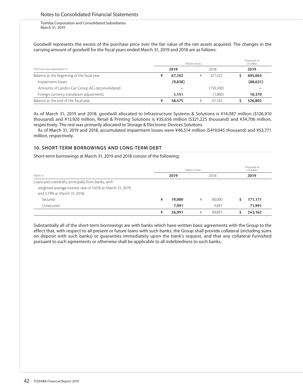Goodwill represents the excess of the purchase price over the fair value of the net assets acquired. The changes in the carrying amount of goodwill for the fiscal years ended March 31, 2019 and 2018 are as follows:

|                                               | Millions of yen |         |  |           | Thousands of<br>US dollars |
|-----------------------------------------------|-----------------|---------|--|-----------|----------------------------|
| The Fiscal Year ended March 31                |                 | 2019    |  | 2018      | 2019                       |
| Balance at the beginning of the fiscal year   |                 | 67,162  |  | 227.422   | 605,063                    |
| Impairment losses                             |                 | (9,838) |  |           | (88, 631)                  |
| Amounts of Landis+Gyr Group AG deconsolidated |                 |         |  | (159,200) |                            |
| Foreign currency translation adjustments      |                 | 1.151   |  | (1,060)   | 10,370                     |
| Balance at the end of the fiscal year         |                 | 58,475  |  | 67.162    | 526.802                    |

As of March 31, 2019 and 2018, goodwill allocated to Infrastructure Systems & Solutions is ¥14,087 million (\$126,910 thousand) and ¥13,920 million, Retail & Printing Solutions is ¥35,656 million (\$321,225 thousand) and ¥34,706 million, respectively. The rest was primarily allocated to Storage & Electronic Devices Solutions.

As of March 31, 2019 and 2018, accumulated impairment losses were ¥46,514 million (\$419,045 thousand) and ¥53,771 million, respectively.

## **10. SHORT-TERM BORROWINGS AND LONG-TERM DEBT**

Short-term borrowings at March 31, 2019 and 2018 consist of the following:

|                                                                                            | Millions of ven |        |   |        | Thousands of<br>US dollars |         |
|--------------------------------------------------------------------------------------------|-----------------|--------|---|--------|----------------------------|---------|
| March 31                                                                                   |                 | 2019   |   | 2018   |                            | 2019    |
| Loans and overdrafts, principally from banks, with                                         |                 |        |   |        |                            |         |
| weighted-average interest rate of 1.65% at March 31, 2019,<br>and 3.19% at March 31, 2018: |                 |        |   |        |                            |         |
| Secured                                                                                    | ¥               | 19,000 | ¥ | 80.000 |                            | 171,171 |
| Unsecured                                                                                  |                 | 7.991  |   | 9.891  |                            | 71,991  |
|                                                                                            | ¥               | 26,991 | ¥ | 89.891 |                            | 243.162 |

Substantially all of the short-term borrowings are with banks which have written basic agreements with the Group to the effect that, with respect to all present or future loans with such banks, the Group shall provide collateral (including sums on deposit with such banks) or guaranties immediately upon the bank's request, and that any collateral furnished pursuant to such agreements or otherwise shall be applicable to all indebtedness to such banks.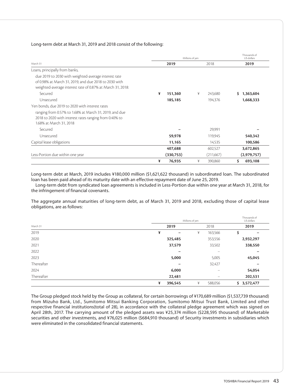### Long-term debt at March 31, 2019 and 2018 consist of the following:

|                                                                                                                                                                             | Millions of yen | Thousands of<br>US dollars |                 |
|-----------------------------------------------------------------------------------------------------------------------------------------------------------------------------|-----------------|----------------------------|-----------------|
| March 31                                                                                                                                                                    | 2019            | 2018                       | 2019            |
| Loans, principally from banks,                                                                                                                                              |                 |                            |                 |
| due 2019 to 2030 with weighted-average interest rate<br>of 0.98% at March 31, 2019, and due 2018 to 2030 with<br>weighted-average interest rate of 0.87% at March 31, 2018. |                 |                            |                 |
| Secured                                                                                                                                                                     | ¥<br>151,360    | ¥<br>243,680               | 1,363,604<br>S. |
| Unsecured                                                                                                                                                                   | 185,185         | 194,376                    | 1,668,333       |
| Yen bonds, due 2019 to 2020 with interest rates                                                                                                                             |                 |                            |                 |
| ranging from 0.57% to 1.68% at March 31, 2019, and due<br>2018 to 2020 with interest rates ranging from 0.40% to<br>1.68% at March 31, 2018                                 |                 |                            |                 |
| Secured                                                                                                                                                                     |                 | 29,991                     |                 |
| Unsecured                                                                                                                                                                   | 59,978          | 119,945                    | 540,342         |
| Capital lease obligations                                                                                                                                                   | 11,165          | 14,535                     | 100,586         |
|                                                                                                                                                                             | 407,688         | 602,527                    | 3,672,865       |
| Less-Portion due within one year                                                                                                                                            | (330,753)       | (211,667)                  | (2,979,757)     |
|                                                                                                                                                                             | ¥<br>76,935     | ¥<br>390,860               | \$<br>693,108   |

Long-term debt at March, 2019 includes ¥180,000 million (\$1,621,622 thousand) in subordinated loan. The subordinated loan has been paid ahead of its maturity date with an effective repayment date of June 25, 2019.

Long-term debt from syndicated loan agreements is included in Less-Portion due within one year at March 31, 2018, for the infringement of financial covenants.

The aggregate annual maturities of long-term debt, as of March 31, 2019 and 2018, excluding those of capital lease obligations, are as follows:

|            | Millions of yen               | Thousands of<br>US dollars      |                 |
|------------|-------------------------------|---------------------------------|-----------------|
| March 31   | 2019                          | 2018                            | 2019            |
| 2019       | ¥<br>$\overline{\phantom{m}}$ | 163,566<br>¥                    | \$<br>-         |
| 2020       | 325,485                       | 353,556                         | 2,932,297       |
| 2021       | 37,579                        | 33,502                          | 338,550         |
| 2022       | -                             | $\hspace{0.1mm}-\hspace{0.1mm}$ |                 |
| 2023       | 5,000                         | 5,005                           | 45,045          |
| Thereafter | -                             | 32,427                          |                 |
| 2024       | 6,000                         | $\overline{\phantom{0}}$        | 54,054          |
| Thereafter | 22,481                        | $\overline{\phantom{0}}$        | 202,531         |
|            | ¥<br>396,545                  | ¥<br>588,056                    | 3,572,477<br>\$ |

The Group pledged stock held by the Group as collateral, for certain borrowings of ¥170,689 million (\$1,537,739 thousand) from Mizuho Bank, Ltd., Sumitomo Mitsui Banking Corporation, Sumitomo Mitsui Trust Bank, Limited and other respective financial institutions(total of 28), in accordance with the collateral pledge agreement which was signed on April 28th, 2017. The carrying amount of the pledged assets was ¥25,374 million (\$228,595 thousand) of Marketable securities and other investments, and ¥76,025 million (\$684,910 thousand) of Security investments in subsidiaries which were eliminated in the consolidated financial statements.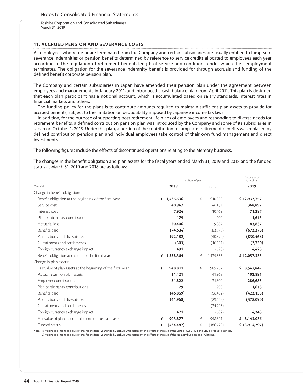## **11. ACCRUED PENSION AND SEVERANCE COSTS**

All employees who retire or are terminated from the Company and certain subsidiaries are usually entitled to lump-sum severance indemnities or pension benefits determined by reference to service credits allocated to employees each year according to the regulation of retirement benefit, length of service and conditions under which their employment terminates. The obligation for the severance indemnity benefit is provided for through accruals and funding of the defined benefit corporate pension plan.

The Company and certain subsidiaries in Japan have amended their pension plan under the agreement between employees and managements in January 2011, and introduced a cash balance plan from April 2011. This plan is designed that each plan participant has a notional account, which is accumulated based on salary standards, interest rates in financial markets and others.

The funding policy for the plans is to contribute amounts required to maintain sufficient plan assets to provide for accrued benefits, subject to the limitation on deductibility imposed by Japanese income tax laws.

In addition, for the purpose of supporting post-retirement life plans of employees and responding to diverse needs for retirement benefits, a defined contribution pension plan was introduced by the Company and some of its subsidiaries in Japan on October 1, 2015. Under this plan, a portion of the contribution to lump-sum retirement benefits was replaced by defined contribution pension plan and individual employees take control of their own fund management and direct investments.

The following figures include the effects of discontinued operations relating to the Memory business.

The changes in the benefit obligation and plan assets for the fiscal years ended March 31, 2019 and 2018 and the funded status at March 31, 2019 and 2018 are as follows:

|                                                               | Millions of yen | Thousands of<br>US dollars |                |
|---------------------------------------------------------------|-----------------|----------------------------|----------------|
| March 31                                                      | 2019            | 2018                       | 2019           |
| Change in benefit obligation:                                 |                 |                            |                |
| Benefit obligation at the beginning of the fiscal year        | 1,435,536<br>¥  | 1,510,530<br>¥             | \$12,932,757   |
| Service cost                                                  | 40.947          | 46.431                     | 368,892        |
| Interest cost                                                 | 7,924           | 10,469                     | 71,387         |
| Plan participants' contributions                              | 179             | 200                        | 1,613          |
| Actuarial loss                                                | 20,406          | 9.087                      | 183,837        |
| Benefits paid                                                 | (74, 634)       | (83,573)                   | (672, 378)     |
| Acquisitions and divestitures                                 | (92, 182)       | (40,872)                   | (830, 468)     |
| Curtailments and settlements                                  | (303)           | (16, 111)                  | (2,730)        |
| Foreign currency exchange impact                              | 491             | (625)                      | 4,423          |
| Benefit obligation at the end of the fiscal year              | ¥ 1,338,364     | 1,435,536<br>¥             | \$12,057,333   |
| Change in plan assets:                                        |                 |                            |                |
| Fair value of plan assets at the beginning of the fiscal year | 948,811<br>¥    | ¥<br>985,787               | \$8,547,847    |
| Actual return on plan assets                                  | 11,421          | 41,968                     | 102,891        |
| Employer contributions                                        | 31,822          | 31,800                     | 286,685        |
| Plan participants' contributions                              | 179             | 200                        | 1,613          |
| Benefits paid                                                 | (46, 859)       | (56, 402)                  | (422, 153)     |
| Acquisitions and divestitures                                 | (41, 968)       | (29, 645)                  | (378,090)      |
| Curtailments and settlements                                  |                 | (24, 295)                  |                |
| Foreign currency exchange impact                              | 471             | (602)                      | 4,243          |
| Fair value of plan assets at the end of the fiscal year       | 903,877<br>¥    | 948,811<br>¥               | \$8,143,036    |
| Funded status                                                 | (434, 487)<br>¥ | ¥<br>(486, 725)            | \$ (3,914,297) |

Notes: 1) Major acquisitions and divestitures for the fiscal year ended March 31, 2018 represent the effects of the sale of the Landis+Gyr Group and Visual Product business.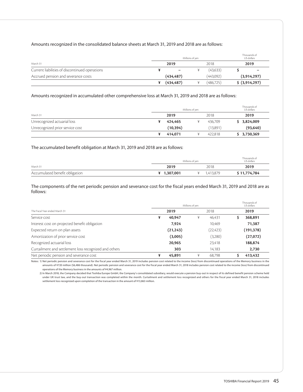### Amounts recognized in the consolidated balance sheets at March 31, 2019 and 2018 are as follows:

|                                                | Millions of yen |                          |  |            |  | Thousands of<br>US dollars |  |
|------------------------------------------------|-----------------|--------------------------|--|------------|--|----------------------------|--|
| March 31                                       |                 | 2019                     |  | 2018       |  | 2019                       |  |
| Current liabilities of discontinued operations |                 | $\overline{\phantom{0}}$ |  | (43, 633)  |  | -                          |  |
| Accrued pension and severance costs            |                 | (434, 487)               |  | (443,092)  |  | (3,914,297)                |  |
|                                                |                 | (434, 487)               |  | (486, 725) |  | \$ (3,914,297)             |  |

## Amounts recognized in accumulated other comprehensive loss at March 31, 2019 and 2018 are as follows:

|                                 |           | Millions of ven |          | Thousands of<br>US dollars |
|---------------------------------|-----------|-----------------|----------|----------------------------|
| March 31                        | 2019      |                 | 2018     | 2019                       |
| Unrecognized actuarial loss     | 424.465   |                 | 436.709  | \$3,824,009                |
| Unrecognized prior service cost | (10, 394) |                 | (13,891) | (93, 640)                  |
|                                 | 414.071   |                 | 422.818  | \$3,730,369                |

### The accumulated benefit obligation at March 31, 2019 and 2018 are as follows:

|                                | Millions of ven | Thousands of<br>US dollars |              |
|--------------------------------|-----------------|----------------------------|--------------|
| March 31                       | 2019            | 2018                       | 2019         |
| Accumulated benefit obligation | ¥ 1,307,001     | 1.413.879                  | \$11,774,784 |

### The components of the net periodic pension and severance cost for the fiscal years ended March 31, 2019 and 2018 are as follows:

|                                                       | Millions of yen | Thousands of<br>US dollars |            |
|-------------------------------------------------------|-----------------|----------------------------|------------|
| The Fiscal Year ended March 31                        | 2019            | 2018                       | 2019       |
| Service cost                                          | 40.947<br>¥     | 46,431<br>¥                | 368,891    |
| Interest cost on projected benefit obligation         | 7.924           | 10.469                     | 71,387     |
| Expected return on plan assets                        | (21, 243)       | (22, 423)                  | (191, 378) |
| Amortization of prior service cost                    | (3,005)         | (3,280)                    | (27,072)   |
| Recognized actuarial loss                             | 20,965          | 23,418                     | 188,874    |
| Curtailment and settlement loss recognized and others | 303             | 14.183                     | 2,730      |
| Net periodic pension and severance cost               | 45,891<br>¥     | ¥<br>68.798                | 413,432    |

Notes: 1) Net periodic pension and severance cost for the fiscal year ended March 31, 2019 includes pension cost related to the income (loss) from discontinued operations of the Memory business in the amounts of ¥720 million (\$6,486 thousand). Net periodic pension and severance cost for the fiscal year ended March 31, 2018 includes pension cost related to the income (loss) from discontinued operations of the Memory business in the amounts of ¥4,967 million.

2) In March 2018, the Company decided that Toshiba Europe GmbH, the Company's consolidated subsidiary, would execute a pension buy-out in respect of its defined benefit pension scheme held under UK trust law, and the buy-out transaction was completed within the month. Curtailment and settlement loss recognized and others for the fiscal year ended March 31, 2018 includes settlement loss recognized upon completion of the transaction in the amount of ¥13,863 million.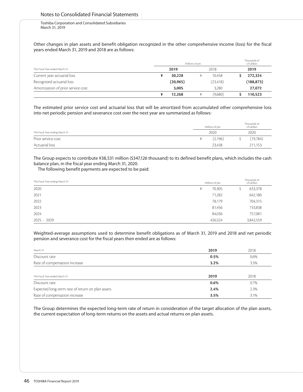Other changes in plan assets and benefit obligation recognized in the other comprehensive income (loss) for the fiscal years ended March 31, 2019 and 2018 are as follows:

|                                    | Millions of yen |  |           |  | Thousands of<br>US dollars |  |  |
|------------------------------------|-----------------|--|-----------|--|----------------------------|--|--|
| The Fiscal Year ended March 31     | 2019            |  | 2018      |  | 2019                       |  |  |
| Current year actuarial loss        | 30,228          |  | 10.458    |  | 272,324                    |  |  |
| Recognized actuarial loss          | (20, 965)       |  | (23, 418) |  | (188, 873)                 |  |  |
| Amortization of prior service cost | 3.005           |  | 3,280     |  | 27,072                     |  |  |
|                                    | 12,268          |  | (9,680)   |  | 110.523                    |  |  |

The estimated prior service cost and actuarial loss that will be amortized from accumulated other comprehensive loss into net periodic pension and severance cost over the next year are summarized as follows:

|                                 | Millions of ven |         | Thousands of<br>US dollars |          |  |
|---------------------------------|-----------------|---------|----------------------------|----------|--|
| The Fiscal Year ending March 31 |                 | 2020    |                            | 2020     |  |
| Prior service cost              |                 | (2,196) |                            | (19,784) |  |
| Actuarial loss                  |                 | 23,438  |                            | 211,153  |  |

The Group expects to contribute ¥38,531 million (\$347,126 thousand) to its defined benefit plans, which includes the cash balance plan, in the fiscal year ending March 31, 2020.

The following benefit payments are expected to be paid:

| The Fiscal Year ending March 31 |         | Thousands of<br>Millions of yen<br>US dollars |
|---------------------------------|---------|-----------------------------------------------|
| 2020                            | ¥       | 633,378<br>70,305                             |
| 2021                            |         | 642,180<br>71,282                             |
| 2022                            |         | 78,179<br>704,315                             |
| 2023                            |         | 733,838<br>81,456                             |
| 2024                            |         | 84,036<br>757,081                             |
| $2025 - 2029$                   | 426,524 | 3,842,559                                     |

Weighted-average assumptions used to determine benefit obligations as of March 31, 2019 and 2018 and net periodic pension and severance cost for the fiscal years then ended are as follows:

| March 31                                         | 2019 | 2018 |
|--------------------------------------------------|------|------|
| Discount rate                                    | 0.5% | 0.6% |
| Rate of compensation increase                    | 3.2% | 3.5% |
|                                                  |      |      |
| The Fiscal Year ended March 31                   | 2019 | 2018 |
| Discount rate                                    | 0.6% | 0.7% |
| Expected long-term rate of return on plan assets | 2.4% | 2.3% |
| Rate of compensation increase                    | 3.5% | 3.1% |

The Group determines the expected long-term rate of return in consideration of the target allocation of the plan assets, the current expectation of long-term returns on the assets and actual returns on plan assets.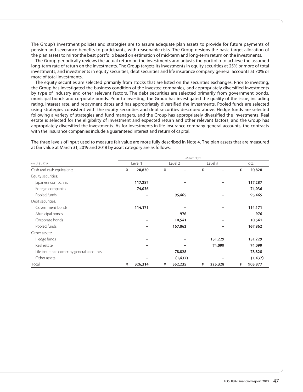The Group's investment policies and strategies are to assure adequate plan assets to provide for future payments of pension and severance benefits to participants, with reasonable risks. The Group designs the basic target allocation of the plan assets to mirror the best portfolio based on estimation of mid-term and long-term return on the investments.

The Group periodically reviews the actual return on the investments and adjusts the portfolio to achieve the assumed long-term rate of return on the investments. The Group targets its investments in equity securities at 25% or more of total investments, and investments in equity securities, debt securities and life insurance company general accounts at 70% or more of total investments.

The equity securities are selected primarily from stocks that are listed on the securities exchanges. Prior to investing, the Group has investigated the business condition of the investee companies, and appropriately diversified investments by type of industry and other relevant factors. The debt securities are selected primarily from government bonds, municipal bonds and corporate bonds. Prior to investing, the Group has investigated the quality of the issue, including rating, interest rate, and repayment dates and has appropriately diversified the investments. Pooled funds are selected using strategies consistent with the equity securities and debt securities described above. Hedge funds are selected following a variety of strategies and fund managers, and the Group has appropriately diversified the investments. Real estate is selected for the eligibility of investment and expected return and other relevant factors, and the Group has appropriately diversified the investments. As for investments in life insurance company general accounts, the contracts with the insurance companies include a guaranteed interest and return of capital.

The three levels of input used to measure fair value are more fully described in Note 4. The plan assets that are measured at fair value at March 31, 2019 and 2018 by asset category are as follows:

|                                         | Millions of yen |         |   |          |   |         |   |          |  |  |
|-----------------------------------------|-----------------|---------|---|----------|---|---------|---|----------|--|--|
| March 31, 2019                          |                 | Level 1 |   | Level 2  |   | Level 3 |   | Total    |  |  |
| Cash and cash equivalents               | ¥               | 20,820  | ¥ |          | ¥ | ¥<br>-  |   | 20,820   |  |  |
| Equity securities:                      |                 |         |   |          |   |         |   |          |  |  |
| Japanese companies                      |                 | 117,287 |   |          |   |         |   | 117,287  |  |  |
| Foreign companies                       |                 | 74,036  |   |          |   |         |   | 74,036   |  |  |
| Pooled funds                            |                 |         |   | 95,465   |   |         |   | 95,465   |  |  |
| Debt securities:                        |                 |         |   |          |   |         |   |          |  |  |
| Government bonds                        |                 | 114,171 |   |          |   |         |   | 114,171  |  |  |
| Municipal bonds                         |                 |         |   | 976      |   |         |   | 976      |  |  |
| Corporate bonds                         |                 |         |   | 10,541   |   |         |   | 10,541   |  |  |
| Pooled funds                            |                 |         |   | 167,862  |   |         |   | 167,862  |  |  |
| Other assets:                           |                 |         |   |          |   |         |   |          |  |  |
| Hedge funds                             |                 |         |   |          |   | 151,229 |   | 151,229  |  |  |
| Real estate                             |                 |         |   |          |   | 74,099  |   | 74,099   |  |  |
| Life insurance company general accounts |                 |         |   | 78,828   |   |         |   | 78,828   |  |  |
| Other assets                            |                 |         |   | (1, 437) |   |         |   | (1, 437) |  |  |
| Total                                   | ¥               | 326,314 | ¥ | 352,235  | ¥ | 225,328 | ¥ | 903,877  |  |  |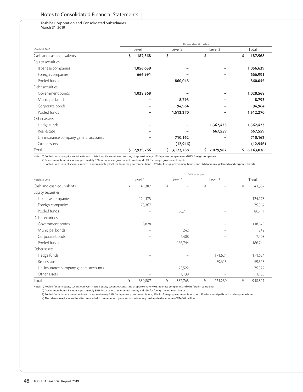## Notes to Consolidated Financial Statements

#### Toshiba Corporation and Consolidated Subsidiaries March 31, 2019

|                                         | Thousands of US dollars |             |                  |                 |  |  |  |  |  |  |  |
|-----------------------------------------|-------------------------|-------------|------------------|-----------------|--|--|--|--|--|--|--|
| March 31, 2019                          | Level 1                 | Level 2     | Level 3          | Total           |  |  |  |  |  |  |  |
| Cash and cash equivalents               | \$<br>187,568           | \$          | \$               | 187,568<br>\$   |  |  |  |  |  |  |  |
| Equity securities:                      |                         |             |                  |                 |  |  |  |  |  |  |  |
| Japanese companies                      | 1,056,639               |             |                  | 1,056,639       |  |  |  |  |  |  |  |
| Foreign companies                       | 666,991                 |             |                  | 666,991         |  |  |  |  |  |  |  |
| Pooled funds                            |                         | 860,045     |                  | 860,045         |  |  |  |  |  |  |  |
| Debt securities:                        |                         |             |                  |                 |  |  |  |  |  |  |  |
| Government bonds                        | 1,028,568               |             |                  | 1,028,568       |  |  |  |  |  |  |  |
| Municipal bonds                         |                         | 8,793       |                  | 8,793           |  |  |  |  |  |  |  |
| Corporate bonds                         |                         | 94,964      |                  | 94,964          |  |  |  |  |  |  |  |
| Pooled funds                            |                         | 1,512,270   |                  | 1,512,270       |  |  |  |  |  |  |  |
| Other assets:                           |                         |             |                  |                 |  |  |  |  |  |  |  |
| Hedge funds                             |                         |             | 1,362,423        | 1,362,423       |  |  |  |  |  |  |  |
| Real estate                             |                         |             | 667,559          | 667,559         |  |  |  |  |  |  |  |
| Life insurance company general accounts |                         | 710,162     |                  | 710,162         |  |  |  |  |  |  |  |
| Other assets                            |                         | (12, 946)   |                  | (12, 946)       |  |  |  |  |  |  |  |
| Total                                   | 2,939,766<br>\$.        | \$3,173,288 | \$.<br>2,029,982 | 8,143,036<br>\$ |  |  |  |  |  |  |  |

Notes: 1) Pooled funds in equity securities invest in listed equity securities consisting of approximately 11% Japanese companies and 89% foreign companies.

2) Government bonds include approximately 87% for Japanese government bonds, and 13% for foreign government bonds.

3) Pooled funds in debt securities invest in approximately 25% for Japanese government bonds, 39% for foreign government bonds, and 36% for municipal bonds and corporate bonds.

|                                         | Millions of yen |                                 |   |         |   |                          |        |         |  |  |  |
|-----------------------------------------|-----------------|---------------------------------|---|---------|---|--------------------------|--------|---------|--|--|--|
| March 31, 2018                          |                 | Level 1                         |   | Level 2 |   | Level 3                  |        | Total   |  |  |  |
| Cash and cash equivalents               | ¥               | 41,387                          | ¥ |         | ¥ |                          | ¥      | 41,387  |  |  |  |
| Equity securities:                      |                 |                                 |   |         |   |                          |        |         |  |  |  |
| Japanese companies                      |                 | 124,175                         |   |         |   |                          |        | 124,175 |  |  |  |
| Foreign companies                       |                 | 75,367                          |   | -       |   |                          |        | 75,367  |  |  |  |
| Pooled funds                            |                 | $\qquad \qquad$                 |   | 86,711  |   |                          | 86,711 |         |  |  |  |
| Debt securities:                        |                 |                                 |   |         |   |                          |        |         |  |  |  |
| Government bonds                        |                 | 118,878                         |   |         |   |                          |        | 118,878 |  |  |  |
| Municipal bonds                         |                 | $\hspace{0.1mm}-\hspace{0.1mm}$ |   | 242     |   |                          |        | 242     |  |  |  |
| Corporate bonds                         |                 | $\overline{\phantom{0}}$        |   | 7,408   |   |                          |        | 7,408   |  |  |  |
| Pooled funds                            |                 |                                 |   | 186,744 |   |                          |        | 186,744 |  |  |  |
| Other assets:                           |                 |                                 |   |         |   |                          |        |         |  |  |  |
| Hedge funds                             |                 |                                 |   |         |   | 171,624                  |        | 171,624 |  |  |  |
| Real estate                             |                 |                                 |   |         |   | 59,615                   |        | 59,615  |  |  |  |
| Life insurance company general accounts |                 |                                 |   | 75,522  |   | $\overline{\phantom{0}}$ |        | 75,522  |  |  |  |
| Other assets                            |                 |                                 |   | 1,138   |   |                          |        | 1,138   |  |  |  |
| Total                                   | ¥               | 359,807                         | ¥ | 357,765 | ¥ | 231,239                  | ¥      | 948,811 |  |  |  |

Notes: 1) Pooled funds in equity securities invest in listed equity securities consisting of approximately 9% Japanese companies and 91% foreign companies.

2) Government bonds include approximately 84% for Japanese government bonds, and 16% for foreign government bonds.

3) Pooled funds in debt securities invest in approximately 32% for Japanese government bonds, 35% for foreign government bonds, and 33% for municipal bonds and corporate bond. 4) The table above includes the effect related with discontinued operation of the Memory business in the amount of ¥54,101 million.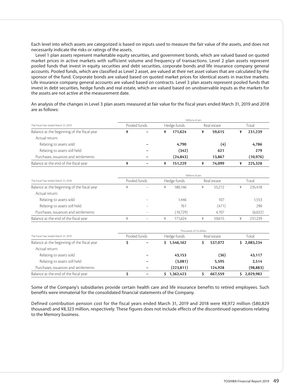Each level into which assets are categorized is based on inputs used to measure the fair value of the assets, and does not necessarily indicate the risks or ratings of the assets.

Level 1 plan assets represent marketable equity securities, and government bonds, which are valued based on quoted market prices in active markets with sufficient volume and frequency of transactions. Level 2 plan assets represent pooled funds that invest in equity securities and debt securities, corporate bonds and life insurance company general accounts. Pooled funds, which are classified as Level 2 asset, are valued at their net asset values that are calculated by the sponsor of the fund. Corporate bonds are valued based on quoted market prices for identical assets in inactive markets. Life insurance company general accounts are valued based on contracts. Level 3 plan assets represent pooled funds that invest in debt securities, hedge funds and real estate, which are valued based on unobservable inputs as the markets for the assets are not active at the measurement date.

An analysis of the changes in Level 3 plan assets measured at fair value for the fiscal years ended March 31, 2019 and 2018 are as follows:

|                                             | Millions of ven |  |   |             |  |             |       |          |  |  |
|---------------------------------------------|-----------------|--|---|-------------|--|-------------|-------|----------|--|--|
| The Fiscal Year ended March 31, 2019        | Pooled funds    |  |   | Hedge funds |  | Real estate | Total |          |  |  |
| Balance at the beginning of the fiscal year | ¥               |  |   | 171.624     |  | 59,615      |       | 231,239  |  |  |
| Actual return:                              |                 |  |   |             |  |             |       |          |  |  |
| Relating to assets sold                     |                 |  |   | 4,790       |  | (4)         |       | 4,786    |  |  |
| Relating to assets still held               |                 |  |   | (342)       |  | 621         |       | 279      |  |  |
| Purchases, issuances and settlements        |                 |  |   | (24, 843)   |  | 13,867      |       | (10,976) |  |  |
| Balance at the end of the fiscal year       |                 |  | ¥ | 151,229     |  | 74,099      |       | 225,328  |  |  |

|                                                                                     | Millions of yen |                          |  |             |   |             |       |         |  |  |
|-------------------------------------------------------------------------------------|-----------------|--------------------------|--|-------------|---|-------------|-------|---------|--|--|
| The Fiscal Year ended March 31, 2018<br>Balance at the beginning of the fiscal year | Pooled funds    |                          |  | Hedge funds |   | Real estate | Total |         |  |  |
|                                                                                     |                 | $\overline{\phantom{0}}$ |  | 180.146     | ¥ | 55.272      | ¥     | 235.418 |  |  |
| Actual return:                                                                      |                 |                          |  |             |   |             |       |         |  |  |
| Relating to assets sold                                                             |                 |                          |  | 1.446       |   | 107         |       | 1,553   |  |  |
| Relating to assets still held                                                       |                 |                          |  | 761         |   | (471)       |       | 290     |  |  |
| Purchases, issuances and settlements                                                |                 |                          |  | (10,729)    |   | 4.707       |       | (6,022) |  |  |
| Balance at the end of the fiscal year                                               |                 |                          |  | 171.624     |   | 59.615      |       | 231.239 |  |  |

|                                             | Thousands of US dollars |                          |             |  |             |  |             |  |  |  |
|---------------------------------------------|-------------------------|--------------------------|-------------|--|-------------|--|-------------|--|--|--|
| The Fiscal Year ended March 31, 2019        | Pooled funds            |                          | Hedge funds |  | Real estate |  | Total       |  |  |  |
| Balance at the beginning of the fiscal year |                         | $\overline{\phantom{0}}$ | \$1,546,162 |  | 537.072     |  | \$2,083,234 |  |  |  |
| Actual return:                              |                         |                          |             |  |             |  |             |  |  |  |
| Relating to assets sold                     |                         |                          | 43,153      |  | (36)        |  | 43,117      |  |  |  |
| Relating to assets still held               |                         |                          | (3,081)     |  | 5.595       |  | 2.514       |  |  |  |
| Purchases, issuances and settlements        |                         |                          | (223,811)   |  | 124,928     |  | (98, 883)   |  |  |  |
| Balance at the end of the fiscal year       |                         |                          | 1,362,423   |  | 667,559     |  | \$2,029,982 |  |  |  |

Some of the Company's subsidiaries provide certain health care and life insurance benefits to retired employees. Such benefits were immaterial for the consolidated financial statements of the Company.

Defined contribution pension cost for the fiscal years ended March 31, 2019 and 2018 were ¥8,972 million (\$80,829 thousand) and ¥8,323 million, respectively. These figures does not include effects of the discontinued operations relating to the Memory business.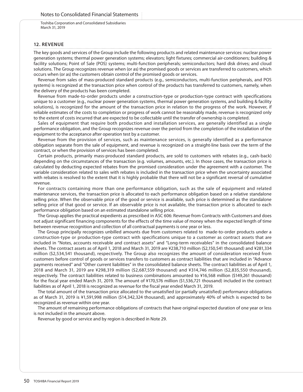### **12. REVENUE**

The key goods and services of the Group include the following products and related maintenance services: nuclear power generation systems; thermal power generation systems; elevators; light fixtures; commercial air-conditioners; building & facility solutions; Point of Sale (POS) systems; multi-function peripherals; semiconductors; hard disk drives; and cloud solutions. The Group recognizes revenue when (or as) the promised goods or services are transferred to customers, which occurs when (or as) the customers obtain control of the promised goods or services.

Revenue from sales of mass-produced standard products (e.g., semiconductors, multi-function peripherals, and POS systems) is recognized at the transaction price when control of the products has transferred to customers, namely, when the delivery of the products has been completed.

Revenue from made-to-order products under a construction-type or production-type contract with specifications unique to a customer (e.g., nuclear power generation systems, thermal power generation systems, and building & facility solutions), is recognized for the amount of the transaction price in relation to the progress of the work. However, if reliable estimates of the costs to completion or progress of work cannot be reasonably made, revenue is recognized only to the extent of costs incurred that are expected to be collectable until the transfer of ownership is completed.

Sales of equipment that require both production and installation services, are generally identified as a single performance obligation, and the Group recognizes revenue over the period from the completion of the installation of the equipment to the acceptance after operation test by a customer.

Revenue from the provision of services, such as maintenance services, is generally identified as a performance obligation separate from the sale of equipment, and revenue is recognized on a straight-line basis over the term of the contract, or when the provision of services has been completed.

Certain products, primarily mass-produced standard products, are sold to customers with rebates (e.g., cash-back) depending on the circumstances of the transaction (e.g. volumes, amounts, etc.). In those cases, the transaction price is calculated by deducting expected rebates from the promised consideration under the agreement with a customer. The variable consideration related to sales with rebates is included in the transaction price when the uncertainty associated with rebates is resolved to the extent that it is highly probable that there will not be a significant reversal of cumulative revenue.

For contracts containing more than one performance obligation, such as the sale of equipment and related maintenance services, the transaction price is allocated to each performance obligation based on a relative standalone selling price. When the observable price of the good or service is available, such price is determined as the standalone selling price of that good or service. If an observable price is not available, the transaction price is allocated to each performance obligation based on an estimated standalone selling price.

The Group applies the practical expedients as prescribed in ASC 606: Revenue from Contracts with Customers and does not adjust significant financing components for the effects of the time value of money when the expected length of time between revenue recognition and collection of all contractual payments is one year or less.

The Group principally recognizes unbilled amounts due from customers related to made-to-order products under a construction-type or production-type contract with specifications unique to a customer as contract assets that are included in "Notes, accounts receivable and contract assets" and "Long-term receivables" in the consolidated balance sheets. The contract assets as of April 1, 2018 and March 31, 2019 are ¥238,710 million (\$2,150,541 thousand) and ¥281,334 million (\$2,534,541 thousand), respectively. The Group also recognizes the amount of consideration received from customers before control of goods or services transfers to customers as contract liabilities that are included in "Advance payments received" and "Other current liabilities" in the consolidated balance sheets. The contract liabilities as of April 1, 2018 and March 31, 2019 are ¥298,319 million (\$2,687,559 thousand) and ¥314,746 million (\$2,835,550 thousand), respectively. The contract liabilities related to business combinations amounted to ¥16,568 million (\$149,261 thousand) for the fiscal year ended March 31, 2019. The amount of ¥170,576 million (\$1,536,721 thousand) included in the contract liabilities as of April 1, 2018 is recognized as revenue for the fiscal year ended March 31, 2019.

The total amount of the transaction price allocated to the unsatisfied (or partially unsatisfied) performance obligations as of March 31, 2019 is ¥1,591,998 million (\$14,342,324 thousand), and approximately 40% of which is expected to be recognized as revenue within one year.

The amount of remaining performance obligations of contracts that have original expected duration of one year or less is not included in the amount above.

Revenue by good or service and by region is described in Note 29.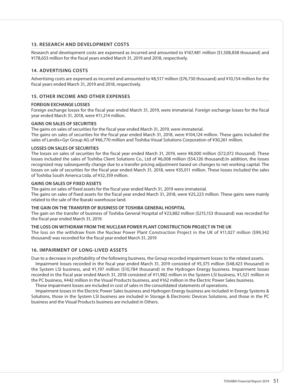## **13. RESEARCH AND DEVELOPMENT COSTS**

Research and development costs are expensed as incurred and amounted to ¥167,481 million (\$1,508,838 thousand) and ¥178,653 million for the fiscal years ended March 31, 2019 and 2018, respectively.

## **14. ADVERTISING COSTS**

Advertising costs are expensed as incurred and amounted to ¥8,517 million (\$76,730 thousand) and ¥10,154 million for the fiscal years ended March 31, 2019 and 2018, respectively.

## **15. OTHER INCOME AND OTHER EXPENSES**

### **FOREIGN EXCHANGE LOSSES**

Foreign exchange losses for the fiscal year ended March 31, 2019, were immaterial. Foreign exchange losses for the fiscal year ended March 31, 2018, were ¥11,214 million.

### **GAINS ON SALES OF SECURITIES**

The gains on sales of securities for the fiscal year ended March 31, 2019, were immaterial. The gains on sales of securities for the fiscal year ended March 31, 2018, were ¥104,124 million. These gains included the sales of Landis+Gyr Group AG of ¥66,770 million and Toshiba Visual Solutions Corporation of ¥30,261 million.

## **LOSSES ON SALES OF SECURITIES**

The losses on sales of securities for the fiscal year ended March 31, 2019, were ¥8,000 million (\$72,072 thousand). These losses included the sales of Toshiba Client Solutions Co., Ltd of ¥6,008 million (\$54,126 thousand).In addition, the losses recognized may subsequently change due to a transfer pricing adjustment based on changes to net working capital. The losses on sale of securities for the fiscal year ended March 31, 2018, were ¥35,011 million. These losses included the sales of Toshiba South America Ltda. of ¥32,359 million.

### **GAINS ON SALES OF FIXED ASSETS**

The gains on sales of fixed assets for the fiscal year ended March 31, 2019 were immaterial.

The gains on sales of fixed assets for the fiscal year ended March 31, 2018, were ¥25,223 million. These gains were mainly related to the sale of the Ibaraki warehouse land.

### **THE GAIN ON THE TRANSFER OF BUSINESS OF TOSHIBA GENERAL HOSPITAL**

The gain on the transfer of business of Toshiba General Hospital of ¥23,882 million (\$215,153 thousand) was recorded for the fiscal year ended March 31, 2019.

### **THE LOSS ON WITHDRAW FROM THE NUCLEAR POWER PLANT CONSTRUCTION PROJECT IN THE UK**

The loss on the withdraw from the Nuclear Power Plant Construction Project in the UK of ¥11,027 million (\$99,342 thousand) was recorded for the fiscal year ended March 31, 2019

## **16. IMPAIRMENT OF LONG-LIVED ASSETS**

Due to a decrease in profitability of the following business, the Group recorded impairment losses to the related assets.

Impairment losses recorded in the fiscal year ended March 31, 2019 consisted of ¥5,375 million (\$48,423 thousand) in the System LSI business, and ¥1,197 million (\$10,784 thousand) in the Hydrogen Energy business. Impairment losses recorded in the fiscal year ended March 31, 2018 consisted of ¥11,982 million in the System LSI business, ¥1,521 million in the PC business, ¥442 million in the Visual Products business, and ¥162 million in the Electric Power Sales business.

These impairment losses are included in cost of sales in the consolidated statements of operations.

Impairment losses in the Electric Power Sales business and Hydrogen Energy business are included in Energy Systems & Solutions, those in the System LSI business are included in Storage & Electronic Devices Solutions, and those in the PC business and the Visual Products business are included in Others.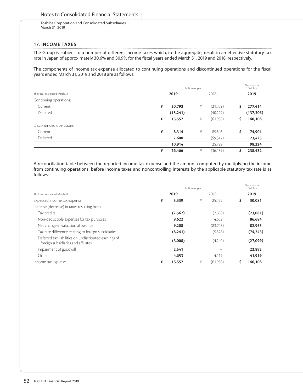## **17. INCOME TAXES**

The Group is subject to a number of different income taxes which, in the aggregate, result in an effective statutory tax rate in Japan of approximately 30.6% and 30.9% for the fiscal years ended March 31, 2019 and 2018, respectively.

The components of income tax expense allocated to continuing operations and discontinued operations for the fiscal years ended March 31, 2019 and 2018 are as follows:

|                                |   |           | Thousands of<br>US dollars |           |     |            |
|--------------------------------|---|-----------|----------------------------|-----------|-----|------------|
| The Fiscal Year ended March 31 |   | 2019      |                            |           |     | 2019       |
| Continuing operations:         |   |           |                            |           |     |            |
| Current                        | ¥ | 30,793    | ¥                          | (21,709)  | \$. | 277,414    |
| Deferred                       |   | (15, 241) |                            | (40,229)  |     | (137, 306) |
|                                | ¥ | 15,552    | ¥                          | (61,938)  | \$  | 140,108    |
| Discontinued operations:       |   |           |                            |           |     |            |
| Current                        | ¥ | 8,314     | ¥                          | 85,346    | \$  | 74,901     |
| Deferred                       |   | 2,600     |                            | (59, 547) |     | 23,423     |
|                                |   | 10.914    |                            | 25,799    |     | 98,324     |
|                                | ¥ | 26,466    | ¥                          | (36, 139) | \$  | 238,432    |

A reconciliation table between the reported income tax expense and the amount computed by multiplying the income from continuing operations, before income taxes and noncontrolling interests by the applicable statutory tax rate is as follows:

|                                                                                              |   |          | Thousands of<br>US dollars |          |    |           |
|----------------------------------------------------------------------------------------------|---|----------|----------------------------|----------|----|-----------|
| The Fiscal Year ended March 31                                                               |   |          | 2018                       | 2019     |    |           |
| Expected income tax expense                                                                  | ¥ | 3,339    | ¥                          | 25.422   | \$ | 30,081    |
| Increase (decrease) in taxes resulting from:                                                 |   |          |                            |          |    |           |
| Tax credits                                                                                  |   | (2, 562) |                            | (2,608)  |    | (23,081)  |
| Non-deductible expenses for tax purposes                                                     |   | 9,622    |                            | 4.602    |    | 86.684    |
| Net change in valuation allowance                                                            |   | 9,208    |                            | (83,705) |    | 82,955    |
| Tax rate difference relating to foreign subsidiaries                                         |   | (8, 241) |                            | (5,528)  |    | (74, 243) |
| Deferred tax liabilities on undistributed earnings of<br>foreign subsidiaries and affiliates |   | (3,008)  |                            | (4,240)  |    | (27,099)  |
| Impairment of goodwill                                                                       |   | 2,541    |                            |          |    | 22,892    |
| Other                                                                                        |   | 4,653    |                            | 4,119    |    | 41,919    |
| Income tax expense                                                                           | ¥ | 15,552   | ¥                          | (61,938) |    | 140,108   |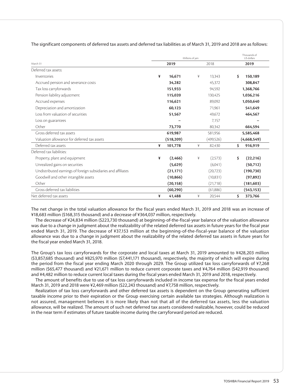|                                                               |   | Millions of yen | Thousands of<br>US dollars |            |                 |
|---------------------------------------------------------------|---|-----------------|----------------------------|------------|-----------------|
| March 31                                                      |   | 2019            |                            | 2018       | 2019            |
| Deferred tax assets:                                          |   |                 |                            |            |                 |
| Inventories                                                   | ¥ | 16.671          | ¥                          | 13,343     | \$<br>150,189   |
| Accrued pension and severance costs                           |   | 34,282          |                            | 45,372     | 308,847         |
| Tax loss carryforwards                                        |   | 151,933         |                            | 94,592     | 1,368,766       |
| Pension liability adjustment                                  |   | 115,020         |                            | 130,425    | 1,036,216       |
| Accrued expenses                                              |   | 116,621         |                            | 89,092     | 1,050,640       |
| Depreciation and amortization                                 |   | 60,123          |                            | 71,961     | 541,649         |
| Loss from valuation of securities                             |   | 51,567          |                            | 49,672     | 464,567         |
| Loss on guarantees                                            |   |                 |                            | 7,157      |                 |
| Other                                                         |   | 73,770          |                            | 80,342     | 664,594         |
| Gross deferred tax assets                                     |   | 619,987         |                            | 581,956    | 5,585,468       |
| Valuation allowance for deferred tax assets                   |   | (518, 209)      |                            | (499, 526) | (4,668,549)     |
| Deferred tax assets                                           | ¥ | 101,778         | ¥                          | 82,430     | \$<br>916,919   |
| Deferred tax liabilities:                                     |   |                 |                            |            |                 |
| Property, plant and equipment                                 | ¥ | (2,466)         | ¥                          | (2,573)    | \$<br>(22, 216) |
| Unrealized gains on securities                                |   | (5,629)         |                            | (6,041)    | (50,712)        |
| Undistributed earnings of foreign subsidiaries and affiliates |   | (21, 171)       |                            | (20,723)   | (190, 730)      |
| Goodwill and other intangible assets                          |   | (10, 866)       |                            | (10,831)   | (97, 892)       |
| Other                                                         |   | (20, 158)       |                            | (21,718)   | (181, 603)      |
| Gross deferred tax liabilities                                |   | (60, 290)       |                            | (61,886)   | (543, 153)      |
| Net deferred tax assets                                       | ¥ | 41,488          | ¥                          | 20,544     | \$<br>373,766   |

The significant components of deferred tax assets and deferred tax liabilities as of March 31, 2019 and 2018 are as follows:

The net change in the total valuation allowance for the fiscal years ended March 31, 2019 and 2018 was an increase of ¥18,683 million (\$168,315 thousand) and a decrease of ¥364,037 million, respectively.

The decrease of ¥24,834 million (\$223,730 thousand) at beginning-of-the-fiscal-year balance of the valuation allowance was due to a change in judgment about the realizability of the related deferred tax assets in future years for the fiscal year ended March 31, 2019. The decrease of ¥37,153 million at the beginning-of-the-fiscal-year balance of the valuation allowance was due to a change in judgment about the realizability of the related deferred tax assets in future years for the fiscal year ended March 31, 2018.

The Group's tax loss carryforwards for the corporate and local taxes at March 31, 2019 amounted to ¥428,203 million (\$3,857,685 thousand) and ¥825,970 million (\$7,441,171 thousand), respectively, the majority of which will expire during the period from the fiscal year ending March 2020 through 2029. The Group utilized tax loss carryforwards of ¥7,268 million (\$65,477 thousand) and ¥21,671 million to reduce current corporate taxes and ¥4,764 million (\$42,919 thousand) and ¥4,482 million to reduce current local taxes during the fiscal years ended March 31, 2019 and 2018, respectively.

The amount of benefits due to use of tax loss carryforwards included in income tax expense for the fiscal years ended March 31, 2019 and 2018 were ¥2,469 million (\$22,243 thousand) and ¥7,758 million, respectively.

Realization of tax loss carryforwards and other deferred tax assets is dependent on the Group generating sufficient taxable income prior to their expiration or the Group exercising certain available tax strategies. Although realization is not assured, management believes it is more likely than not that all of the deferred tax assets, less the valuation allowance, will be realized. The amount of such net deferred tax assets considered realizable, however, could be reduced in the near term if estimates of future taxable income during the carryforward period are reduced.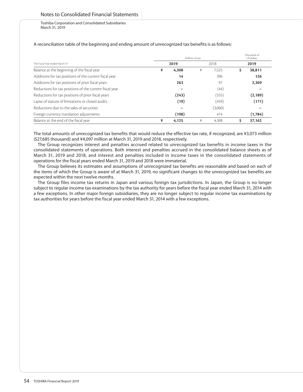|                                                         |   | Thousands of<br>US dollars |      |         |          |
|---------------------------------------------------------|---|----------------------------|------|---------|----------|
| The Fiscal Year ended March 31                          |   |                            | 2018 | 2019    |          |
| Balance at the beginning of the fiscal year             | ¥ | 4,308                      | ¥    | 7.525   | 38,811   |
| Additions for tax positions of the current fiscal year  |   | 14                         |      | 396     | 126      |
| Additions for tax positions of prior fiscal years       |   | 263                        |      | 91      | 2,369    |
| Reductions for tax positions of the current fiscal year |   |                            |      | (44)    |          |
| Reductions for tax positions of prior fiscal years      |   | (243)                      |      | (555)   | (2, 189) |
| Lapse of statute of limitations or closed audits        |   | (19)                       |      | (459)   | (171)    |
| Reductions due to the sales of securities               |   |                            |      | (3,060) |          |
| Foreign currency translation adjustments                |   | (198)                      |      | 414     | (1,784)  |
| Balance at the end of the fiscal year                   | ¥ | 4,125                      | ¥    | 4.308   | 37.162   |

A reconciliation table of the beginning and ending amount of unrecognized tax benefits is as follows:

The total amounts of unrecognized tax benefits that would reduce the effective tax rate, if recognized, are ¥3,073 million (\$27,685 thousand) and ¥4,097 million at March 31, 2019 and 2018, respectively.

The Group recognizes interest and penalties accrued related to unrecognized tax benefits in income taxes in the consolidated statements of operations. Both interest and penalties accrued in the consolidated balance sheets as of March 31, 2019 and 2018, and interest and penalties included in income taxes in the consolidated statements of operations for the fiscal years ended March 31, 2019 and 2018 were immaterial.

The Group believes its estimates and assumptions of unrecognized tax benefits are reasonable and based on each of the items of which the Group is aware of at March 31, 2019, no significant changes to the unrecognized tax benefits are expected within the next twelve months.

The Group files income tax returns in Japan and various foreign tax jurisdictions. In Japan, the Group is no longer subject to regular income tax examinations by the tax authority for years before the fiscal year ended March 31, 2014 with a few exceptions. In other major foreign subsidiaries, they are no longer subject to regular income tax examinations by tax authorities for years before the fiscal year ended March 31, 2014 with a few exceptions.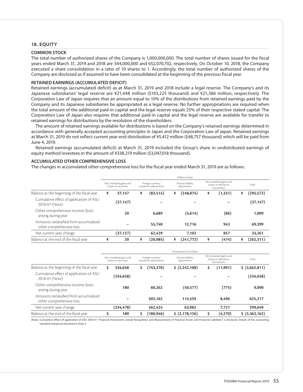### **18. EQUITY**

#### **COMMON STOCK**

The total number of authorized shares of the Company is 1,000,000,000. The total number of shares issued for the fiscal years ended March 31, 2019 and 2018 are 544,000,000 and 652,070,702, respectively. On October 10, 2018, the Company executed a share consolidation in a ratio of 10 shares to 1. Accordingly, the total number of authorized shares of the Company are disclosed as if assumed to have been consolidated at the beginning of the previous fiscal year.

#### **RETAINED EARNINGS (ACCUMULATED DEFICIT)**

Retained earnings (accumulated deficit) as at March 31, 2019 and 2018 include a legal reserve. The Company's and its Japanese subsidiaries' legal reserve are ¥21,448 million (\$193,225 thousand) and ¥21,386 million, respectively. The Corporation Law of Japan requires that an amount equal to 10% of the distributions from retained earnings paid by the Company and its Japanese subsidiaries be appropriated as a legal reserve. No further appropriations are required when the total amount of the additional paid-in capital and the legal reserve equals 25% of their respective stated capital. The Corporation Law of Japan also requires that additional paid-in capital and the legal reserve are available for transfer to retained earnings for distributions by the resolution of the shareholders.

The amount of retained earnings available for distributions is based on the Company's retained earnings determined in accordance with generally accepted accounting principles in Japan and the Corporation Law of Japan. Retained earnings at March 31, 2019 do not reflect current year-end distribution of ¥5,412 million (\$48,757 thousand) which will be paid from June 4, 2019.

Retained earnings (accumulated deficit) at March 31, 2019 included the Group's share in undistributed earnings of equity method investees in the amount of ¥338,219 million (\$3,047,018 thousand).

### **ACCUMULATED OTHER COMPREHENSIVE LOSS**

The changes in accumulated other comprehensive loss for the fiscal year ended March 31, 2019 are as follows:

|                                                                                                 |   |           |                                  |           |                                                                 | Millions of yen |       |          |   |            |
|-------------------------------------------------------------------------------------------------|---|-----------|----------------------------------|-----------|-----------------------------------------------------------------|-----------------|-------|----------|---|------------|
| Net unrealized gains and<br>Foreign currency<br>translation adjustments<br>losses on securities |   |           | Pension liability<br>adjustments |           | Net unrealized gains and<br>losses on derivative<br>instruments |                 | Total |          |   |            |
| Balance at the beginning of the fiscal year                                                     | ¥ | 37.147    | ¥                                | (82, 514) | ¥                                                               | (248, 874)      | ¥     | (1, 331) | ¥ | (295,572)  |
| Cumulative effect of application of ASU<br>2016-01 (Note)                                       |   | (37, 147) |                                  |           |                                                                 |                 |       |          |   | (37, 147)  |
| Other comprehensive income (loss)<br>arising during year                                        |   | 20        |                                  | 6.689     |                                                                 | (5,614)         |       | (86)     |   | 1.009      |
| Amounts reclassified from accumulated<br>other comprehensive loss                               |   |           |                                  | 55.740    |                                                                 | 12,716          |       | 943      |   | 69.399     |
| Net current year change                                                                         |   | (37,127)  |                                  | 62.429    |                                                                 | 7.102           |       | 857      |   | 33.261     |
| Balance at the end of the fiscal year                                                           | ¥ | 20        | ¥                                | (20,085)  | ¥                                                               | (241,772)       | ¥     | (474)    | ¥ | (262, 311) |

|                                                                   |    |                                                  |    |                                             | Thousands of US dollars          |   |                                                                 |                |
|-------------------------------------------------------------------|----|--------------------------------------------------|----|---------------------------------------------|----------------------------------|---|-----------------------------------------------------------------|----------------|
|                                                                   |    | Net unrealized gains and<br>losses on securities |    | Foreign currency<br>translation adjustments | Pension liability<br>adjustments |   | Net unrealized gains and<br>losses on derivative<br>instruments | Total          |
| Balance at the beginning of the fiscal year                       | Ś  | 334.658                                          | Ś  | (743,370)                                   | \$ (2, 242, 108)                 | S | (11, 991)                                                       | \$ (2,662,811) |
| Cumulative effect of application of ASU<br>2016-01 (Note)         |    | (334,658)                                        |    |                                             |                                  |   |                                                                 | (334, 658)     |
| Other comprehensive income (loss)<br>arising during year          |    | 180                                              |    | 60.262                                      | (50, 577)                        |   | (775)                                                           | 9,090          |
| Amounts reclassified from accumulated<br>other comprehensive loss |    |                                                  |    | 502.162                                     | 114.559                          |   | 8.496                                                           | 625.217        |
| Net current year change                                           |    | (334,478)                                        |    | 562,424                                     | 63.982                           |   | 7.721                                                           | 299,649        |
| Balance at the end of the fiscal year                             | \$ | 180                                              | \$ | (180, 946)                                  | \$ (2,178,126)                   |   | (4,270)                                                         | \$ (2,363,162) |

(Note) Cumulative effect of application of ASU 2016-01 "Financial Instruments overall Recognition and Measurement of Financial Assets and Financial Liabilities" is disclosed. Details of this accounting standard change are disclosed in Note 2.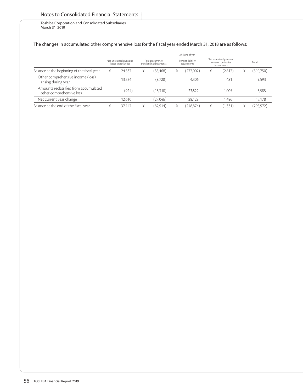# Notes to Consolidated Financial Statements

Toshiba Corporation and Consolidated Subsidiaries March 31, 2019

## The changes in accumulated other comprehensive loss for the fiscal year ended March 31, 2018 are as follows:

|                                                                   |   |                                                  |   |                                             |   | Millions of yen                  |   |                                                                 |   |            |
|-------------------------------------------------------------------|---|--------------------------------------------------|---|---------------------------------------------|---|----------------------------------|---|-----------------------------------------------------------------|---|------------|
|                                                                   |   | Net unrealized gains and<br>losses on securities |   | Foreign currency<br>translation adjustments |   | Pension liability<br>adjustments |   | Net unrealized gains and<br>losses on derivative<br>instruments |   | Total      |
| Balance at the beginning of the fiscal year                       | ¥ | 24.537                                           | ¥ | (55, 468)                                   | ¥ | (277,002)                        | ¥ | (2,817)                                                         | ¥ | (310,750)  |
| Other comprehensive income (loss)<br>arising during year          |   | 13.534                                           |   | (8,728)                                     |   | 4,306                            |   | 481                                                             |   | 9,593      |
| Amounts reclassified from accumulated<br>other comprehensive loss |   | (924)                                            |   | (18,318)                                    |   | 23.822                           |   | 1.005                                                           |   | 5.585      |
| Net current year change                                           |   | 12.610                                           |   | (27,046)                                    |   | 28.128                           |   | 1.486                                                           |   | 15,178     |
| Balance at the end of the fiscal year                             | ¥ | 37.147                                           | ¥ | (82,514)                                    |   | (248,874)                        | ¥ | (1, 331)                                                        | ¥ | (295, 572) |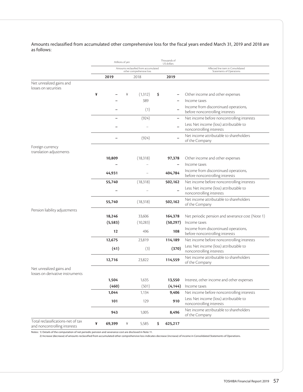Amounts reclassified from accumulated other comprehensive loss for the fiscal years ended March 31, 2019 and 2018 are as follows:

|                                                                    | Millions of yen |                                                                   | Thousands of<br>US dollars |                                                                         |
|--------------------------------------------------------------------|-----------------|-------------------------------------------------------------------|----------------------------|-------------------------------------------------------------------------|
|                                                                    |                 | Amounts reclassified from accumulated<br>other comprehensive loss |                            | Affected line item in Consolidated<br>Statements of Operations          |
|                                                                    | 2019            | 2018                                                              | 2019                       |                                                                         |
| Net unrealized gains and<br>losses on securities                   |                 |                                                                   |                            |                                                                         |
|                                                                    | ¥               | (1, 312)<br>¥                                                     | \$                         | Other income and other expenses                                         |
|                                                                    |                 | 389                                                               |                            | Income taxes                                                            |
|                                                                    |                 | (1)                                                               |                            | Income from discontinued operations,<br>before noncontrolling interests |
|                                                                    |                 | (924)                                                             | $\overline{\phantom{0}}$   | Net income before noncontrolling interests                              |
|                                                                    |                 |                                                                   |                            | Less: Net income (loss) attributable to<br>noncontrolling interests     |
|                                                                    |                 | (924)                                                             |                            | Net income attributable to shareholders<br>of the Company               |
| Foreign currency<br>translation adjustments                        |                 |                                                                   |                            |                                                                         |
|                                                                    | 10,809          | (18, 318)                                                         | 97,378                     | Other income and other expenses                                         |
|                                                                    |                 |                                                                   |                            | Income taxes                                                            |
|                                                                    | 44,931          |                                                                   | 404,784                    | Income from discontinued operations,<br>before noncontrolling interests |
|                                                                    | 55,740          | (18, 318)                                                         | 502,162                    | Net income before noncontrolling interests                              |
|                                                                    |                 |                                                                   |                            | Less: Net income (loss) attributable to<br>noncontrolling interests     |
|                                                                    | 55,740          | (18, 318)                                                         | 502,162                    | Net income attributable to shareholders<br>of the Company               |
| Pension liability adjustments                                      | 18,246          | 33,606                                                            | 164,378                    | Net periodic pension and severance cost (Note 1)                        |
|                                                                    | (5, 583)        | (10, 283)                                                         | (50, 297)                  | Income taxes                                                            |
|                                                                    | 12              | 496                                                               | 108                        | Income from discontinued operations,<br>before noncontrolling interests |
|                                                                    | 12,675          | 23,819                                                            | 114,189                    | Net income before noncontrolling interests                              |
|                                                                    | (41)            | (3)                                                               | (370)                      | Less: Net income (loss) attributable to<br>noncontrolling interests     |
|                                                                    | 12,716          | 23,822                                                            | 114,559                    | Net income attributable to shareholders<br>of the Company               |
| Net unrealized gains and<br>losses on derivative instruments       |                 |                                                                   |                            |                                                                         |
|                                                                    | 1,504           | 1,635                                                             | 13,550                     | Interest, other income and other expenses                               |
|                                                                    | (460)           | (501)                                                             | (4, 144)                   | Income taxes                                                            |
|                                                                    | 1,044           | 1,134                                                             | 9,406                      | Net income before noncontrolling interests                              |
|                                                                    | 101             | 129                                                               | 910                        | Less: Net income (loss) attributable to<br>noncontrolling interests     |
|                                                                    | 943             | 1,005                                                             | 8,496                      | Net income attributable to shareholders<br>of the Company               |
| Total reclassifications-net of tax<br>and noncontrolling interests | ¥<br>69,399     | ¥<br>5,585                                                        | \$<br>625,217              |                                                                         |

Notes: 1) Details of the computation of net periodic pension and severance cost are disclosed in Note 11.

2) Increase (decrease) of amounts reclassified from accumulated other comprehensive loss indicates decrease (increase) of income in Consolidated Statements of Operations.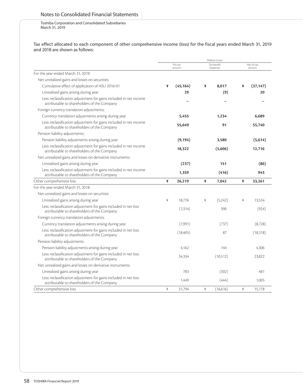# Notes to Consolidated Financial Statements

Toshiba Corporation and Consolidated Subsidiaries March 31, 2019

Tax effect allocated to each component of other comprehensive income (loss) for the fiscal years ended March 31, 2019 and 2018 are shown as follows:

|                                                                                                                   |   |                   |   | Millions of yen          |   |                      |  |
|-------------------------------------------------------------------------------------------------------------------|---|-------------------|---|--------------------------|---|----------------------|--|
|                                                                                                                   |   | Pre-tax<br>amount |   | Tax benefit<br>(expense) |   | Net-of-tax<br>amount |  |
| For the year ended March 31, 2019:                                                                                |   |                   |   |                          |   |                      |  |
| Net unrealized gains and losses on securities:                                                                    |   |                   |   |                          |   |                      |  |
| Cumulative effect of application of ASU 2016-01                                                                   | ¥ | (45, 164)         | ¥ | 8.017                    | ¥ | (37, 147)            |  |
| Unrealized gains arising during year                                                                              |   | 29                |   | (9)                      |   | 20                   |  |
| Less: reclassification adjustment for gains included in net income<br>attributable to shareholders of the Company |   |                   |   |                          |   |                      |  |
| Foreign currency translation adjustments:                                                                         |   |                   |   |                          |   |                      |  |
| Currency translation adjustments arising during year                                                              |   | 5,455             |   | 1,234                    |   | 6,689                |  |
| Less: reclassification adjustment for gains included in net income<br>attributable to shareholders of the Company |   | 55.649            |   | 91                       |   | 55,740               |  |
| Pension liability adjustments:                                                                                    |   |                   |   |                          |   |                      |  |
| Pension liability adjustments arising during year                                                                 |   | (9, 194)          |   | 3,580                    |   | (5,614)              |  |
| Less: reclassification adjustment for gains included in net income<br>attributable to shareholders of the Company |   | 18,322            |   | (5,606)                  |   | 12,716               |  |
| Net unrealized gains and losses on derivative instruments:                                                        |   |                   |   |                          |   |                      |  |
| Unrealized gains arising during year                                                                              |   | (237)             |   | 151                      |   | (86)                 |  |
| Less: reclassification adjustment for gains included in net income<br>attributable to shareholders of the Company |   | 1,359             |   | (416)                    |   | 943                  |  |
| Other comprehensive loss                                                                                          | ¥ | 26,219            | ¥ | 7,042                    | ¥ | 33,261               |  |
| For the year ended March 31, 2018:                                                                                |   |                   |   |                          |   |                      |  |
| Net unrealized gains and losses on securities:                                                                    |   |                   |   |                          |   |                      |  |
| Unrealized gains arising during year                                                                              | ¥ | 18.776            | ¥ | (5,242)                  | ¥ | 13,534               |  |
| Less: reclassification adjustment for gains included in net loss<br>attributable to shareholders of the Company   |   | (1, 314)          |   | 390                      |   | (924)                |  |
| Foreign currency translation adjustments:                                                                         |   |                   |   |                          |   |                      |  |
| Currency translation adjustments arising during year                                                              |   | (7,991)           |   | (737)                    |   | (8,728)              |  |
| Less: reclassification adjustment for gains included in net loss<br>attributable to shareholders of the Company   |   | (18, 405)         |   | 87                       |   | (18, 318)            |  |
| Pension liability adjustments:                                                                                    |   |                   |   |                          |   |                      |  |
| Pension liability adjustments arising during year                                                                 |   | 4,162             |   | 144                      |   | 4,306                |  |
| Less: reclassification adjustment for gains included in net loss<br>attributable to shareholders of the Company   |   | 34,334            |   | (10,512)                 |   | 23,822               |  |
| Net unrealized gains and losses on derivative instruments:                                                        |   |                   |   |                          |   |                      |  |
| Unrealized gains arising during year                                                                              |   | 783               |   | (302)                    |   | 481                  |  |
| Less: reclassification adjustment for gains included in net loss<br>attributable to shareholders of the Company   |   | 1,449             |   | (444)                    |   | 1,005                |  |
| Other comprehensive loss                                                                                          | ¥ | 31,794            | ¥ | (16,616)                 | ¥ | 15.178               |  |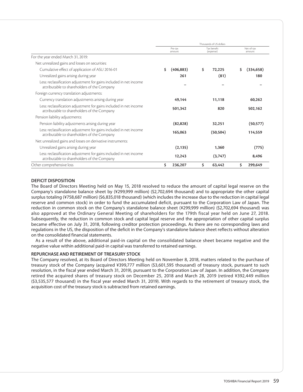|                                                                                                                   | Thousands of US dollars |    |                          |    |                      |
|-------------------------------------------------------------------------------------------------------------------|-------------------------|----|--------------------------|----|----------------------|
|                                                                                                                   | Pre-tax<br>amount       |    | Tax benefit<br>(expense) |    | Net-of-tax<br>amount |
| For the year ended March 31, 2019:                                                                                |                         |    |                          |    |                      |
| Net unrealized gains and losses on securities:                                                                    |                         |    |                          |    |                      |
| Cumulative effect of application of ASU 2016-01                                                                   | Ś.<br>(406, 883)        | \$ | 72,225                   | \$ | (334, 658)           |
| Unrealized gains arising during year                                                                              | 261                     |    | (81)                     |    | 180                  |
| Less: reclassification adjustment for gains included in net income<br>attributable to shareholders of the Company |                         |    |                          |    |                      |
| Foreign currency translation adjustments:                                                                         |                         |    |                          |    |                      |
| Currency translation adjustments arising during year                                                              | 49.144                  |    | 11.118                   |    | 60.262               |
| Less: reclassification adjustment for gains included in net income<br>attributable to shareholders of the Company | 501,342                 |    | 820                      |    | 502,162              |
| Pension liability adjustments:                                                                                    |                         |    |                          |    |                      |
| Pension liability adjustments arising during year                                                                 | (82, 828)               |    | 32,251                   |    | (50, 577)            |
| Less: reclassification adjustment for gains included in net income<br>attributable to shareholders of the Company | 165.063                 |    | (50, 504)                |    | 114.559              |
| Net unrealized gains and losses on derivative instruments:                                                        |                         |    |                          |    |                      |
| Unrealized gains arising during year                                                                              | (2, 135)                |    | 1.360                    |    | (775)                |
| Less: reclassification adjustment for gains included in net income<br>attributable to shareholders of the Company | 12,243                  |    | (3,747)                  |    | 8,496                |
| Other comprehensive loss                                                                                          | \$<br>236,207           | \$ | 63,442                   | \$ | 299.649              |

## **DEFICIT DISPOSITION**

The Board of Directors Meeting held on May 15, 2018 resolved to reduce the amount of capital legal reserve on the Company's standalone balance sheet by (¥299,999 million) (\$2,702,694 thousand) and to appropriate the other capital surplus totaling (¥758,687 million) (\$6,835,018 thousand) (which includes the increase due to the reduction in capital legal reserve and common stock) in order to fund the accumulated deficit, pursuant to the Corporation Law of Japan. The reduction in common stock on the Company's standalone balance sheet (¥299,999 million) (\$2,702,694 thousand) was also approved at the Ordinary General Meeting of shareholders for the 179th fiscal year held on June 27, 2018. Subsequently, the reduction in common stock and capital legal reserve and the appropriation of other capital surplus became effective on July 31, 2018, following creditor protection proceedings. As there are no corresponding laws and regulations in the US, the disposition of the deficit in the Company's standalone balance sheet reflects without alteration on the consolidated financial statements.

As a result of the above, additional paid-in capital on the consolidated balance sheet became negative and the negative value within additional paid-in capital was transferred to retained earnings.

## **REPURCHASE AND RETIREMENT OF TREASURY STOCK**

The Company resolved, at its Board of Directors Meeting held on November 8, 2018, matters related to the purchase of treasury stock of the Company (acquired ¥399,777 million (\$3,601,595 thousand) of treasury stock, pursuant to such resolution, in the fiscal year ended March 31, 2019), pursuant to the Corporation Law of Japan. In addition, the Company retired the acquired shares of treasury stock on December 25, 2018 and March 28, 2019 (retired ¥392,449 million (\$3,535,577 thousand) in the fiscal year ended March 31, 2019). With regards to the retirement of treasury stock, the acquisition cost of the treasury stock is subtracted from retained earnings.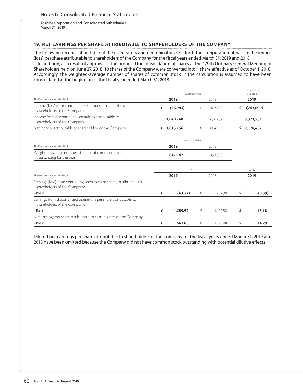## **19. NET EARNINGS PER SHARE ATTRIBUTABLE TO SHAREHOLDERS OF THE COMPANY**

The following reconciliation table of the numerators and denominators sets forth the computation of basic net earnings (loss) per share attributable to shareholders of the Company for the fiscal years ended March 31, 2019 and 2018.

In addition, as a result of approval of the proposal for consolidation of shares at the 179th Ordinary General Meeting of Shareholders held on June 27, 2018, 10 shares of the Company were converted into 1 share effective as of October 1, 2018. Accordingly, the weighted-average number of shares of common stock in the calculation is assumed to have been consolidated at the beginning of the fiscal year ended March 31, 2018.

|                                                                                                      |      | Millions of yen     |   |          |    | Thousands of<br>US dollars |
|------------------------------------------------------------------------------------------------------|------|---------------------|---|----------|----|----------------------------|
| The Fiscal Year ended March 31                                                                       | 2019 |                     |   | 2018     |    | 2019                       |
| Income (loss) from continuing operations attributable to<br>shareholders of the Company              | ¥    | (26, 984)           | ¥ | 107,259  | \$ | (243,099)                  |
| Income from discontinued operations attributable to<br>shareholders of the Company                   |      | 1,040,240           |   | 696,752  |    | 9,371,531                  |
| Net income attributable to shareholders of the Company                                               |      | ¥ 1,013,256         | ¥ | 804,011  |    | \$9,128,432                |
|                                                                                                      |      | Thousands of shares |   |          |    |                            |
| The Fiscal Year ended March 31                                                                       |      | 2019                |   | 2018     |    |                            |
| Weighted-average number of shares of common stock<br>outstanding for the year                        |      | 617,142             |   | 493,598  |    |                            |
|                                                                                                      |      | Yen                 |   |          |    | US dollars                 |
| The Fiscal Year ended March 31                                                                       |      | 2019                |   | 2018     |    | 2019                       |
| Earnings (loss) from continuing operations per share attributable to<br>shareholders of the Company: |      |                     |   |          |    |                            |
| -Basic                                                                                               | ¥    | (43.72)             | ¥ | 217.30   | \$ | (0.39)                     |
| Earnings from discontinued operations per share attributable to<br>shareholders of the Company:      |      |                     |   |          |    |                            |
| -Basic                                                                                               | ¥    | 1,685.57            | ¥ | 1,411.58 | \$ | 15.18                      |
| Net earnings per share attributable to shareholders of the Company:                                  |      |                     |   |          |    |                            |
| -Basic                                                                                               | ¥    | 1,641.85            | ¥ | 1,628.88 | \$ | 14.79                      |

Diluted net earnings per share attributable to shareholders of the Company for the fiscal years ended March 31, 2019 and 2018 have been omitted because the Company did not have common stock outstanding with potential dilutive effects.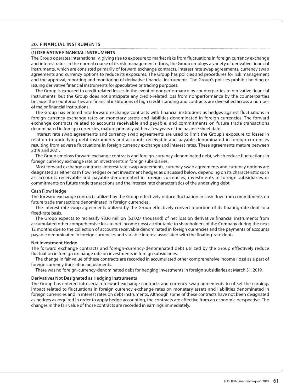### **20. FINANCIAL INSTRUMENTS**

#### **(1) DERIVATIVE FINANCIAL INSTRUMENTS**

The Group operates internationally, giving rise to exposure to market risks from fluctuations in foreign currency exchange and interest rates. In the normal course of its risk management efforts, the Group employs a variety of derivative financial instruments, which are consisted primarily of forward exchange contracts, interest rate swap agreements, currency swap agreements and currency options to reduce its exposures. The Group has policies and procedures for risk management and the approval, reporting and monitoring of derivative financial instruments. The Group's policies prohibit holding or issuing derivative financial instruments for speculative or trading purposes.

The Group is exposed to credit-related losses in the event of nonperformance by counterparties to derivative financial instruments, but the Group does not anticipate any credit-related loss from nonperformance by the counterparties because the counterparties are financial institutions of high credit standing and contracts are diversified across a number of major financial institutions.

The Group has entered into forward exchange contracts with financial institutions as hedges against fluctuations in foreign currency exchange rates on monetary assets and liabilities denominated in foreign currencies. The forward exchange contracts related to accounts receivable and payable, and commitments on future trade transactions denominated in foreign currencies, mature primarily within a few years of the balance sheet date.

Interest rate swap agreements and currency swap agreements are used to limit the Group's exposure to losses in relation to underlying debt instruments and accounts receivable and payable denominated in foreign currencies resulting from adverse fluctuations in foreign currency exchange and interest rates. These agreements mature between 2019 and 2021.

The Group employs forward exchange contracts and foreign-currency-denominated debt, which reduce fluctuations in foreign currency exchange rate on investments in foreign subsidiaries.

Most forward exchange contracts, interest rate swap agreements, currency swap agreements and currency options are designated as either cash flow hedges or net investment hedges as discussed below, depending on its characteristic such as: accounts receivable and payable denominated in foreign currencies, investments in foreign subsidiaries or commitments on future trade transactions and the interest rate characteristics of the underlying debt.

#### **Cash Flow Hedge**

The forward exchange contracts utilized by the Group effectively reduce fluctuation in cash flow from commitments on future trade transactions denominated in foreign currencies.

The interest rate swap agreements utilized by the Group effectively convert a portion of its floating-rate debt to a fixed-rate basis.

The Group expects to reclassify ¥336 million (\$3,027 thousand) of net loss on derivative financial instruments from accumulated other comprehensive loss to net income (loss) attributable to shareholders of the Company during the next 12 months due to the collection of accounts receivable denominated in foreign currencies and the payments of accounts payable denominated in foreign currencies and variable interest associated with the floating-rate debts.

#### **Net Investment Hedge**

The forward exchange contracts and foreign-currency-denominated debt utilized by the Group effectively reduce fluctuation in foreign exchange rate on investments in foreign subsidiaries.

The change in fair value of these contracts are recorded in accumulated other comprehensive income (loss) as a part of foreign currency translation adjustments.

There was no foreign-currency-denominated debt for hedging investments in foreign subsidiaries at March 31, 2019.

#### **Derivatives Not Designated as Hedging Instruments**

The Group has entered into certain forward exchange contracts and currency swap agreements to offset the earnings impact related to fluctuations in foreign currency exchange rates on monetary assets and liabilities denominated in foreign currencies and in interest rates on debt instruments. Although some of these contracts have not been designated as hedges as required in order to apply hedge accounting, the contracts are effective from an economic perspective. The changes in the fair value of those contracts are recorded in earnings immediately.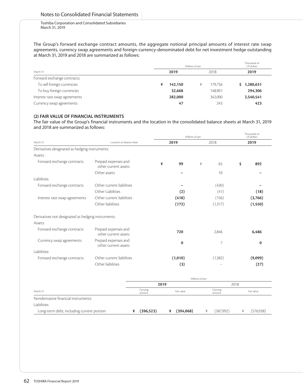The Group's forward exchange contract amounts, the aggregate notional principal amounts of interest rate swap agreements, currency swap agreements and foreign-currency-denominated debt for net investment hedge outstanding at March 31, 2019 and 2018 are summarized as follows:

|                               | Millions of yen | Thousands of<br>US dollars |           |
|-------------------------------|-----------------|----------------------------|-----------|
| March 31                      | 2019            | 2018                       | 2019      |
| Forward exchange contracts:   |                 |                            |           |
| To sell foreign currencies    | 142,150<br>¥    | 179.756<br>¥               | 1,280,631 |
| To buy foreign currencies     | 32,668          | 148,901                    | 294,306   |
| Interest rate swap agreements | 282,000         | 342,000                    | 2,540,541 |
| Currency swap agreements      | 47              | 243                        | 423       |

## **(2) FAIR VALUE OF FINANCIAL INSTRUMENTS**

The fair value of the Group's financial instruments and the location in the consolidated balance sheets at March 31, 2019 and 2018 are summarized as follows:

|                                                    |                                              |                    |                | Millions of yen |                    |      | Thousands of<br>US dollars |  |
|----------------------------------------------------|----------------------------------------------|--------------------|----------------|-----------------|--------------------|------|----------------------------|--|
| March 31                                           | Location at balance sheet                    |                    | 2019           |                 | 2018               |      | 2019                       |  |
| Derivatives designated as hedging instruments:     |                                              |                    |                |                 |                    |      |                            |  |
| Assets:                                            |                                              |                    |                |                 |                    |      |                            |  |
| Forward exchange contracts                         | Prepaid expenses and<br>other current assets | ¥                  | 99             | ¥               | 65                 | \$   | 892                        |  |
|                                                    | Other assets                                 |                    |                |                 | 10                 |      |                            |  |
| Liabilities:                                       |                                              |                    |                |                 |                    |      |                            |  |
| Forward exchange contracts                         | Other current liabilities                    |                    |                |                 | (430)              |      |                            |  |
|                                                    | Other Liabilities                            |                    | (2)            |                 | (41)               |      | (18)                       |  |
| Interest rate swap agreements                      | Other current liabilities                    |                    | (418)          |                 | (156)              |      | (3,766)                    |  |
|                                                    | Other liabilities                            |                    | (172)          |                 | (1, 317)           |      | (1,550)                    |  |
| Derivatives not designated as hedging instruments: |                                              |                    |                |                 |                    |      |                            |  |
| Assets:                                            |                                              |                    |                |                 |                    |      |                            |  |
| Forward exchange contracts                         | Prepaid expenses and<br>other current assets |                    | 720            |                 | 2,846              |      | 6,486                      |  |
| Currency swap agreements                           | Prepaid expenses and<br>other current assets |                    | $\bf{0}$       |                 | 7                  |      | 0                          |  |
| Liabilities:                                       |                                              |                    |                |                 |                    |      |                            |  |
| Forward exchange contracts                         | Other current liabilities                    |                    | (1,010)        |                 | (1, 382)           |      | (9,099)                    |  |
|                                                    | Other liabilities                            |                    | (3)            |                 |                    |      | (27)                       |  |
|                                                    |                                              |                    |                | Millions of yen |                    |      |                            |  |
|                                                    |                                              | 2019               |                |                 |                    | 2018 |                            |  |
| March 31                                           |                                              | Carrying<br>amount | Fair value     |                 | Carrying<br>amount |      | Fair value                 |  |
| Nonderivative financial instruments:               |                                              |                    |                |                 |                    |      |                            |  |
| Liabilities:                                       |                                              |                    |                |                 |                    |      |                            |  |
| Long-term debt, including current portion          | ¥                                            | (396, 523)         | (394,068)<br>¥ | ¥               | (587, 992)         | ¥    | (576, 938)                 |  |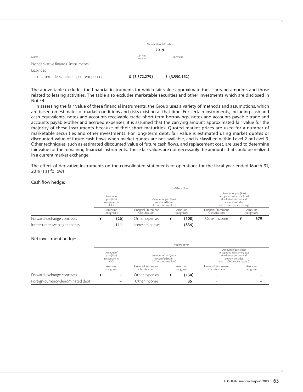|                                           |                    | Thousands of US dollars |
|-------------------------------------------|--------------------|-------------------------|
|                                           |                    | 2019                    |
| March 31                                  | Carrying<br>amount | Fair value              |
| Nonderivative financial instruments:      |                    |                         |
| Liabilities:                              |                    |                         |
| Long-term debt, including current portion | \$ (3,572,279)     | \$ (3,550,162)          |

The above table excludes the financial instruments for which fair value approximate their carrying amounts and those related to leasing activities. The table also excludes marketable securities and other investments which are disclosed in Note 4.

In assessing the fair value of these financial instruments, the Group uses a variety of methods and assumptions, which are based on estimates of market conditions and risks existing at that time. For certain instruments, including cash and cash equivalents, notes and accounts receivable-trade, short-term borrowings, notes and accounts payable-trade and accounts payable-other and accrued expenses, it is assumed that the carrying amount approximated fair value for the majority of these instruments because of their short maturities. Quoted market prices are used for a number of marketable securities and other investments. For long-term debt, fair value is estimated using market quotes or discounted value of future cash flows when market quotes are not available, and is classified within Level 2 or Level 3. Other techniques, such as estimated discounted value of future cash flows, and replacement cost, are used to determine fair value for the remaining financial instruments. These fair values are not necessarily the amounts that could be realized in a current market exchange.

The effect of derivative instruments on the consolidated statements of operations for the fiscal year ended March 31, 2019 is as follows:

#### Cash flow hedge:

|                               |                                                  |                                       |                                                                      | Millions of yen      |                                              |                                                                                                                                      |                      |  |
|-------------------------------|--------------------------------------------------|---------------------------------------|----------------------------------------------------------------------|----------------------|----------------------------------------------|--------------------------------------------------------------------------------------------------------------------------------------|----------------------|--|
|                               | Amount of<br>gain (loss)<br>recognized in<br>OCI |                                       | Amount of gain (loss)<br>reclassified from<br>OCI into income (loss) |                      |                                              | Amount of gain (loss)<br>recognized in income (loss)<br>(Ineffective portion and<br>amount excluded<br>due to effectiveness testing) |                      |  |
|                               | Amount<br>recognized                             | Financial Statement<br>Classification |                                                                      | Amount<br>recognized | <b>Financial Statement</b><br>Classification |                                                                                                                                      | Amount<br>recognized |  |
| Forward exchange contracts    | (26)                                             | Other expenses                        |                                                                      | (108)                | Other income                                 | ¥                                                                                                                                    | 579                  |  |
| Interest rate swap agreements | 111                                              | Interest expenses                     |                                                                      | (834)                | $\overline{\phantom{a}}$                     |                                                                                                                                      |                      |  |

#### Net investment hedge:

|                                   |                                                  | Millions of yen                       |                                                                      |                                                                                                                                      |                      |  |  |  |  |
|-----------------------------------|--------------------------------------------------|---------------------------------------|----------------------------------------------------------------------|--------------------------------------------------------------------------------------------------------------------------------------|----------------------|--|--|--|--|
|                                   | Amount of<br>gain (loss)<br>recognized in<br>OCI |                                       | Amount of gain (loss)<br>reclassified from<br>OCI into income (loss) | Amount of gain (loss)<br>recognized in income (loss)<br>(Ineffective portion and<br>amount excluded<br>due to effectiveness testing) |                      |  |  |  |  |
|                                   | Amount<br>recognized                             | Financial Statement<br>Classification | Amount<br>recognized                                                 | <b>Financial Statement</b><br>Classification                                                                                         | Amount<br>recognized |  |  |  |  |
| Forward exchange contracts        | -                                                | Other expenses                        | (130)                                                                |                                                                                                                                      |                      |  |  |  |  |
| Foreign-currency-denominated debt |                                                  | Other income                          | 35                                                                   | $\hspace{0.05cm}$                                                                                                                    |                      |  |  |  |  |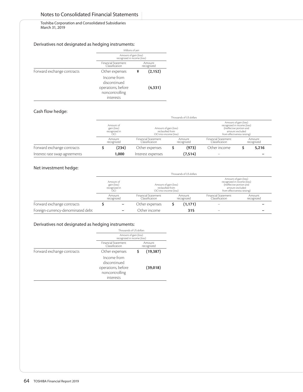# Notes to Consolidated Financial Statements

Toshiba Corporation and Consolidated Subsidiaries March 31, 2019

## Derivatives not designated as hedging instruments:

|                            | Millions of yen                                                                  |                      |          |  |  |  |
|----------------------------|----------------------------------------------------------------------------------|----------------------|----------|--|--|--|
|                            | Amount of gain (loss)<br>recognized in income (loss)                             |                      |          |  |  |  |
|                            | <b>Financial Statement</b><br>Classification                                     | Amount<br>recognized |          |  |  |  |
| Forward exchange contracts | Other expenses                                                                   | ¥                    | (2, 152) |  |  |  |
|                            | Income from<br>discontinued<br>operations, before<br>noncontrolling<br>interests |                      | (4, 331) |  |  |  |

## Cash flow hedge:

|                               | Thousands of US dollars                          |                                                                      |  |                                                                                                                                    |                          |                      |       |  |  |  |
|-------------------------------|--------------------------------------------------|----------------------------------------------------------------------|--|------------------------------------------------------------------------------------------------------------------------------------|--------------------------|----------------------|-------|--|--|--|
|                               | Amount of<br>gain (loss)<br>recognized in<br>OCI | Amount of gain (loss)<br>reclassified from<br>OCI into income (loss) |  | Amount of gain (loss)<br>recognized in income (loss)<br>(Ineffective portion and<br>amount excluded<br>from effectiveness testing) |                          |                      |       |  |  |  |
|                               | Amount<br>recognized                             | Financial Statement<br>Amount<br>Classification<br>recognized        |  | Financial Statement<br>Classification                                                                                              |                          | Amount<br>recognized |       |  |  |  |
| Forward exchange contracts    | (234)                                            | Other expenses                                                       |  | (973)                                                                                                                              | Other income             |                      | 5,216 |  |  |  |
| Interest rate swap agreements | 1.000                                            | Interest expenses                                                    |  | (7,514)                                                                                                                            | $\overline{\phantom{a}}$ |                      |       |  |  |  |

## Net investment hedge:

|                                   |                                                  | Thousands of US dollars               |                                            |                                                                                                                                    |                      |  |  |  |  |  |  |
|-----------------------------------|--------------------------------------------------|---------------------------------------|--------------------------------------------|------------------------------------------------------------------------------------------------------------------------------------|----------------------|--|--|--|--|--|--|
|                                   | Amount of<br>gain (loss)<br>recognized in<br>OСI | OCI into income (loss)                | Amount of gain (loss)<br>reclassified from | Amount of gain (loss)<br>recognized in income (loss)<br>(Ineffective portion and<br>amount excluded<br>from effectiveness testing) |                      |  |  |  |  |  |  |
|                                   | Amount<br>recognized                             | Financial Statement<br>Classification | Amount<br>recognized                       | <b>Financial Statement</b><br>Classification                                                                                       | Amount<br>recognized |  |  |  |  |  |  |
| Forward exchange contracts        | -                                                | Other expenses                        | (1, 171)                                   | $\overline{\phantom{a}}$                                                                                                           |                      |  |  |  |  |  |  |
| Foreign-currency-denominated debt | -                                                | Other income                          | 315                                        | $\overline{\phantom{a}}$                                                                                                           |                      |  |  |  |  |  |  |

## Derivatives not designated as hedging instruments:

|                            | Thousands of US dollars                                                          |  |                      |  |  |  |
|----------------------------|----------------------------------------------------------------------------------|--|----------------------|--|--|--|
|                            | Amount of gain (loss)<br>recognized in income (loss)                             |  |                      |  |  |  |
|                            | <b>Financial Statement</b><br>Classification                                     |  | Amount<br>recognized |  |  |  |
| Forward exchange contracts | Other expenses                                                                   |  | (19, 387)            |  |  |  |
|                            | Income from<br>discontinued<br>operations, before<br>noncontrolling<br>interests |  | (39,018)             |  |  |  |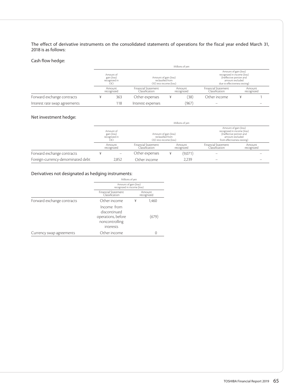The effect of derivative instruments on the consolidated statements of operations for the fiscal year ended March 31, 2018 is as follows:

### Cash flow hedge:

|                               |                      | Millions of ven                                       |                                                                      |                      |       |                                                                                                                                      |  |                      |  |  |
|-------------------------------|----------------------|-------------------------------------------------------|----------------------------------------------------------------------|----------------------|-------|--------------------------------------------------------------------------------------------------------------------------------------|--|----------------------|--|--|
|                               |                      | Amount of<br>gain (loss)<br>recognized in<br>$\Omega$ | Amount of gain (loss)<br>reclassified from<br>OCI into income (loss) |                      |       | Amount of gain (loss)<br>recognized in income (loss)<br>(Ineffective portion and<br>amount excluded<br>due to effectiveness testing) |  |                      |  |  |
|                               | Amount<br>recognized |                                                       | Financial Statement<br>Classification                                | Amount<br>recognized |       | <b>Financial Statement</b><br>Classification                                                                                         |  | Amount<br>recognized |  |  |
| Forward exchange contracts    |                      | 363                                                   | Other expenses                                                       | ¥                    | (38)  | Other income                                                                                                                         |  |                      |  |  |
| Interest rate swap agreements |                      | 118                                                   | Interest expenses                                                    |                      | (967) |                                                                                                                                      |  |                      |  |  |

## Net investment hedge:

|                                   |  | Millions of yen                                  |                                                                      |  |                      |                                                                                                                                    |                      |  |  |  |  |
|-----------------------------------|--|--------------------------------------------------|----------------------------------------------------------------------|--|----------------------|------------------------------------------------------------------------------------------------------------------------------------|----------------------|--|--|--|--|
|                                   |  | Amount of<br>gain (loss)<br>recognized in<br>OCI | Amount of gain (loss)<br>reclassified from<br>OCI into income (loss) |  |                      | Amount of gain (loss)<br>recognized in income (loss)<br>(Ineffective portion and<br>amount excluded<br>from effectiveness testing) |                      |  |  |  |  |
|                                   |  | Amount<br>recognized                             | <b>Financial Statement</b><br>Classification                         |  | Amount<br>recognized | <b>Financial Statement</b><br>Classification                                                                                       | Amount<br>recognized |  |  |  |  |
| Forward exchange contracts        |  | $\hspace{0.05cm}$                                | Other expenses                                                       |  | (9,071)              |                                                                                                                                    |                      |  |  |  |  |
| Foreign-currency-denominated debt |  | 2,852                                            | Other income                                                         |  | 2,239                | $\overline{\phantom{a}}$                                                                                                           |                      |  |  |  |  |

# Derivatives not designated as hedging instruments:

|                            | Millions of yen                                                                  |                                                      |                      |  |  |  |
|----------------------------|----------------------------------------------------------------------------------|------------------------------------------------------|----------------------|--|--|--|
|                            |                                                                                  | Amount of gain (loss)<br>recognized in income (loss) |                      |  |  |  |
|                            | <b>Financial Statement</b><br>Classification                                     |                                                      | Amount<br>recognized |  |  |  |
| Forward exchange contracts | Other income                                                                     | ¥                                                    | 1,460                |  |  |  |
|                            | Income from<br>discontinued<br>operations, before<br>noncontrolling<br>interests |                                                      | (679)                |  |  |  |
| Currency swap agreements   | Other income                                                                     |                                                      | 0                    |  |  |  |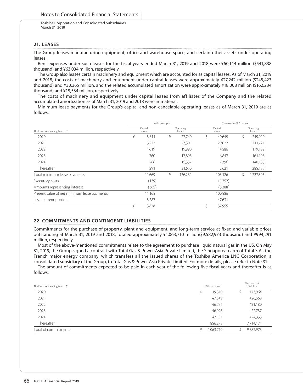### **21. LEASES**

The Group leases manufacturing equipment, office and warehouse space, and certain other assets under operating leases.

Rent expenses under such leases for the fiscal years ended March 31, 2019 and 2018 were ¥60,144 million (\$541,838 thousand) and ¥63,034 million, respectively.

The Group also leases certain machinery and equipment which are accounted for as capital leases. As of March 31, 2019 and 2018, the costs of machinery and equipment under capital leases were approximately ¥27,242 million (\$245,423 thousand) and ¥30,365 million, and the related accumulated amortization were approximately ¥18,008 million (\$162,234 thousand) and ¥18,534 million, respectively.

The costs of machinery and equipment under capital leases from affiliates of the Company and the related accumulated amortization as of March 31, 2019 and 2018 were immaterial.

Minimum lease payments for the Group's capital and non-cancelable operating leases as of March 31, 2019 are as follows:

|                                             | Millions of yen   |        |                     |         |                   | Thousands of US dollars |                     |           |  |
|---------------------------------------------|-------------------|--------|---------------------|---------|-------------------|-------------------------|---------------------|-----------|--|
| The Fiscal Year ending March 31             | Capital<br>leases |        | Operating<br>leases |         | Capital<br>leases |                         | Operating<br>leases |           |  |
| 2020                                        | ¥                 | 5,511  | ¥                   | 27.740  | \$                | 49,649                  | \$                  | 249,910   |  |
| 2021                                        |                   | 3,222  |                     | 23,501  |                   | 29,027                  |                     | 211,721   |  |
| 2022                                        |                   | 1,619  |                     | 19,890  |                   | 14,586                  |                     | 179,189   |  |
| 2023                                        |                   | 760    |                     | 17,893  |                   | 6,847                   |                     | 161,198   |  |
| 2024                                        |                   | 266    |                     | 15,557  |                   | 2,396                   |                     | 140,153   |  |
| Thereafter                                  |                   | 291    |                     | 31,650  |                   | 2,621                   |                     | 285,135   |  |
| Total minimum lease payments                |                   | 11,669 | ¥                   | 136,231 |                   | 105,126                 |                     | 1,227,306 |  |
| Executory costs                             |                   | (139)  |                     |         |                   | (1,252)                 |                     |           |  |
| Amounts representing interest               |                   | (365)  |                     |         |                   | (3,288)                 |                     |           |  |
| Present value of net minimum lease payments |                   | 11,165 |                     |         |                   | 100,586                 |                     |           |  |
| Less-current portion                        |                   | 5,287  |                     |         |                   | 47,631                  |                     |           |  |
|                                             | ¥                 | 5,878  |                     |         | S.                | 52,955                  |                     |           |  |

## **22. COMMITMENTS AND CONTINGENT LIABILITIES**

Commitments for the purchase of property, plant and equipment, and long-term service at fixed and variable prices outstanding at March 31, 2019 and 2018, totaled approximately ¥1,063,710 million(\$9,582,973 thousand) and ¥994,291 million, respectively.

Most of the above-mentioned commitments relate to the agreement to purchase liquid natural gas in the US. On May 31, 2019, the Group signed a contract with Total Gas & Power Asia Private Limited, the Singaporean arm of Total S.A., the French major energy company, which transfers all the issued shares of the Toshiba America LNG Corporation, a consolidated subsidiary of the Group, to Total Gas & Power Asia Private Limited. For more details, please refer to Note 31.

The amount of commitments expected to be paid in each year of the following five fiscal years and thereafter is as follows:

| The Fiscal Year ending March 31 |   | Millions of yen | Thousands of<br>US dollars |  |  |
|---------------------------------|---|-----------------|----------------------------|--|--|
| 2020                            | ¥ | 19,310          | 173,964                    |  |  |
| 2021                            |   | 47,349          | 426,568                    |  |  |
| 2022                            |   | 46,751          | 421,180                    |  |  |
| 2023                            |   | 46,926          | 422,757                    |  |  |
| 2024                            |   | 47,101          | 424,333                    |  |  |
| Thereafter                      |   | 856,273         | 7,714,171                  |  |  |
| Total of commitments            | ¥ | 1,063,710       | 9,582,973                  |  |  |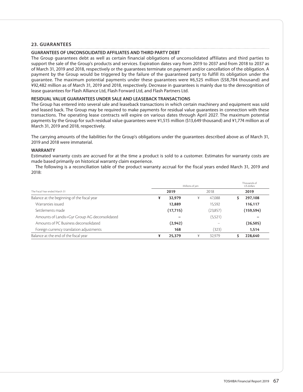## **23. GUARANTEES**

### **GUARANTEES OF UNCONSOLIDATED AFFILIATES AND THIRD PARTY DEBT**

The Group guarantees debt as well as certain financial obligations of unconsolidated affiliates and third parties to support the sale of the Group's products and services. Expiration dates vary from 2019 to 2037 and from 2018 to 2037 as of March 31, 2019 and 2018, respectively or the guarantees terminate on payment and/or cancellation of the obligation. A payment by the Group would be triggered by the failure of the guaranteed party to fulfill its obligation under the guarantee. The maximum potential payments under these guarantees were ¥6,525 million (\$58,784 thousand) and ¥92,482 million as of March 31, 2019 and 2018, respectively. Decrease in guarantees is mainly due to the derecognition of lease guarantees for Flash Alliance Ltd, Flash Forward Ltd, and Flash Partners Ltd.

#### **RESIDUAL VALUE GUARANTEES UNDER SALE AND LEASEBACK TRANSACTIONS**

The Group has entered into several sale and leaseback transactions in which certain machinery and equipment was sold and leased back. The Group may be required to make payments for residual value guarantees in connection with these transactions. The operating lease contracts will expire on various dates through April 2027. The maximum potential payments by the Group for such residual value guarantees were ¥1,515 million (\$13,649 thousand) and ¥1,774 million as of March 31, 2019 and 2018, respectively.

The carrying amounts of the liabilities for the Group's obligations under the guarantees described above as of March 31, 2019 and 2018 were immaterial.

### **WARRANTY**

Estimated warranty costs are accrued for at the time a product is sold to a customer. Estimates for warranty costs are made based primarily on historical warranty claim experience.

The following is a reconciliation table of the product warranty accrual for the fiscal years ended March 31, 2019 and 2018:

|                                               | Millions of yen | Thousands of<br>US dollars |            |
|-----------------------------------------------|-----------------|----------------------------|------------|
| The Fiscal Year ended March 31                | 2019            | 2018                       | 2019       |
| Balance at the beginning of the fiscal year   | 32,979<br>¥     | ¥<br>47.088                | 297,108    |
| Warranties issued                             | 12,889          | 15,592                     | 116,117    |
| Settlements made                              | (17,715)        | (23,857)                   | (159, 594) |
| Amounts of Landis+Gyr Group AG deconsolidated |                 | (5,521)                    |            |
| Amounts of PC Business deconsolidated         | (2, 942)        |                            | (26, 505)  |
| Foreign currency translation adjustments      | 168             | (323)                      | 1,514      |
| Balance at the end of the fiscal year         | ¥<br>25,379     | 32.979<br>¥                | 228,640    |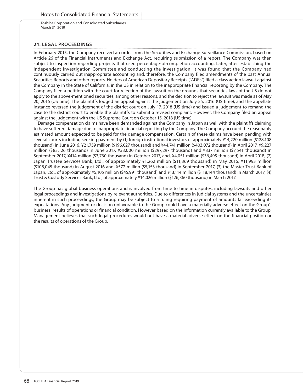## **24. LEGAL PROCEEDINGS**

In February 2015, the Company received an order from the Securities and Exchange Surveillance Commission, based on Article 26 of the Financial Instruments and Exchange Act, requiring submission of a report. The Company was then subject to inspection regarding projects that used percentage-of-completion accounting. Later, after establishing the Independent Investigation Committee and conducting the investigation, it was found that the Company had continuously carried out inappropriate accounting and, therefore, the Company filed amendments of the past Annual Securities Reports and other reports. Holders of American Depositary Receipts ("ADRs") filed a class action lawsuit against the Company in the State of California, in the US in relation to the inappropriate financial reporting by the Company. The Company filed a petition with the court for rejection of the lawsuit on the grounds that securities laws of the US do not apply to the above-mentioned securities, among other reasons, and the decision to reject the lawsuit was made as of May 20, 2016 (US time). The plaintiffs lodged an appeal against the judgement on July 25, 2016 (US time), and the appellate instance reversed the judgement of the district court on July 17, 2018 (US time) and issued a judgement to remand the case to the district court to enable the plaintiffs to submit a revised complaint. However, the Company filed an appeal against the judgement with the US Supreme Court on October 15, 2018 (US time).

Damage compensation claims have been demanded against the Company in Japan as well with the plaintiffs claiming to have suffered damage due to inappropriate financial reporting by the Company. The Company accrued the reasonably estimated amount expected to be paid for the damage compensation. Certain of these claims have been pending with several courts including seeking payment by (1) foreign institutional investors of approximately ¥14,220 million (\$128,108 thousand) in June 2016, ¥21,759 million (\$196,027 thousand) and ¥44,741 million (\$403,072 thousand) in April 2017, ¥9,227 million (\$83,126 thousand) in June 2017, ¥33,000 million (\$297,297 thousand) and ¥837 million (\$7,541 thousand) in September 2017, ¥414 million (\$3,730 thousand) in October 2017, and, ¥4,051 million (\$36,495 thousand) in April 2018, (2) Japan Trustee Services Bank, Ltd., of approximately ¥1,262 million (\$11,369 thousand) in May 2016, ¥11,993 million (\$108,045 thousand) in August 2016 and, ¥572 million (\$5,153 thousand) in September 2017, (3) the Master Trust Bank of Japan, Ltd., of approximately ¥5,105 million (\$45,991 thousand) and ¥13,114 million (\$118,144 thousand) in March 2017, (4) Trust & Custody Services Bank, Ltd., of approximately ¥14,026 million (\$126,360 thousand) in March 2017.

The Group has global business operations and is involved from time to time in disputes, including lawsuits and other legal proceedings and investigations by relevant authorities. Due to differences in judicial systems and the uncertainties inherent in such proceedings, the Group may be subject to a ruling requiring payment of amounts far exceeding its expectations. Any judgment or decision unfavorable to the Group could have a materially adverse effect on the Group's business, results of operations or financial condition. However based on the information currently available to the Group, Management believes that such legal procedures would not have a material adverse effect on the financial position or the results of operations of the Group.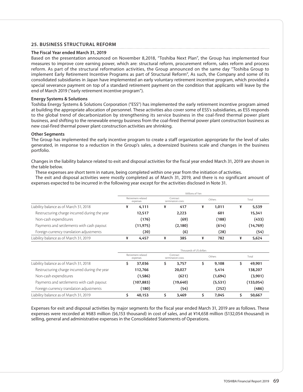## **25. BUSINESS STRUCTURAL REFORM**

### **The Fiscal Year ended March 31, 2019**

Based on the presentation announced on November 8,2018, "Toshiba Next Plan", the Group has implemented four measures to improve core earning power, which are: structural reform, procurement reform, sales reform and process reform. As part of the structural reformation activities, the Group announced on the same day "Toshiba Group to implement Early Retirement Incentive Programs as part of Structural Reform", As such, the Company and some of its consolidated subsidiaries in Japan have implemented an early voluntary retirement incentive program, which provided a special severance payment on top of a standard retirement payment on the condition that applicants will leave by the end of March 2019 ("early retirement incentive program").

### **Energy Systems & Solutions**

Toshiba Energy Systems & Solutions Corporation ("ESS") has implemented the early retirement incentive program aimed at building the appropriate allocation of personnel. These activities also cover some of ESS's subsidiaries, as ESS responds to the global trend of decarbonization by strengthening its service business in the coal-fired thermal power plant business, and shifting to the renewable energy business from the coal-fired thermal power plant construction business as new coal-fired thermal power plant construction activities are shrinking.

### **Other Segments**

The Group has implemented the early incentive program to create a staff organization appropriate for the level of sales generated, in response to a reduction in the Group's sales, a downsized business scale and changes in the business portfolio.

Changes in the liability balance related to exit and disposal activities for the fiscal year ended March 31, 2019 are shown in the table below.

These expenses are short term in nature, being completed within one year from the initiation of activities.

The exit and disposal activities were mostly completed as of March 31, 2019, and there is no significant amount of expenses expected to be incurred in the following year except for the activities disclosed in Note 31.

|                                               | Millions of Yen                |           |                               |          |        |       |       |           |  |  |
|-----------------------------------------------|--------------------------------|-----------|-------------------------------|----------|--------|-------|-------|-----------|--|--|
|                                               | Retirement-related<br>expenses |           | Contract<br>termination costs |          | Others |       | Total |           |  |  |
| Liability balance as of March 31, 2018        |                                | 4,111     | ¥                             | 417      | ¥      | 1,011 | ¥     | 5,539     |  |  |
| Restructuring charge incurred during the year |                                | 12,517    |                               | 2,223    |        | 601   |       | 15,341    |  |  |
| Non-cash expenditures                         |                                | (176)     |                               | (69)     |        | (188) |       | (433)     |  |  |
| Payments and settlements with cash payout     |                                | (11, 975) |                               | (2, 180) |        | (614) |       | (14, 769) |  |  |
| Foreign currency translation adjustments      |                                | (20)      |                               | (6)      |        | (28)  |       | (54)      |  |  |
| Liability balance as of March 31, 2019        |                                | 4.457     | ¥                             | 385      | ¥      | 782   |       | 5,624     |  |  |

|                                               | Thousands of US dollars        |            |                               |           |        |          |       |            |  |
|-----------------------------------------------|--------------------------------|------------|-------------------------------|-----------|--------|----------|-------|------------|--|
| Liability balance as of March 31, 2018        | Retirement-related<br>expenses |            | Contract<br>termination costs |           | Others |          | Total |            |  |
|                                               |                                | 37,036     |                               | 3,757     |        | 9,108    |       | 49,901     |  |
| Restructuring charge incurred during the year |                                | 112,766    |                               | 20,027    |        | 5,414    |       | 138,207    |  |
| Non-cash expenditures                         |                                | (1,586)    |                               | (621)     |        | (1,694)  |       | (3,901)    |  |
| Payments and settlements with cash payout     |                                | (107, 883) |                               | (19, 640) |        | (5, 531) |       | (133, 054) |  |
| Foreign currency translation adjustments      |                                | (180)      |                               | (54)      |        | (252)    |       | (486)      |  |
| Liability balance as of March 31, 2019        |                                | 40.153     |                               | 3.469     |        | 7.045    |       | 50,667     |  |

Expenses for exit and disposal activities by major segments for the fiscal year ended March 31, 2019 are as follows. These expenses were recorded at ¥683 million (\$6,153 thousand) in cost of sales, and at ¥14,658 million (\$132,054 thousand) in selling, general and administrative expenses in the Consolidated Statements of Operations.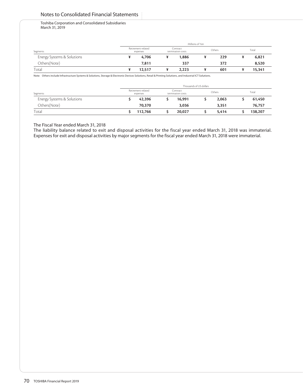## Notes to Consolidated Financial Statements

Toshiba Corporation and Consolidated Subsidiaries March 31, 2019

| Segments                   |                                | Millions of Yen |                               |       |        |     |       |        |  |  |
|----------------------------|--------------------------------|-----------------|-------------------------------|-------|--------|-----|-------|--------|--|--|
|                            | Retirement-related<br>expenses |                 | Contract<br>termination costs |       | Others |     | Total |        |  |  |
| Energy Systems & Solutions |                                | 4,706           |                               | 1,886 |        | 229 |       | 6,821  |  |  |
| Others(Note)               |                                | 7.811           |                               | 337   |        | 372 |       | 8,520  |  |  |
| Total                      |                                | 12,517          |                               | 2,223 |        | 601 |       | 15,341 |  |  |

Note: Others include Infrastructure Systems & Solutions, Storage & Electronic Devices Solutions, Retail & Printing Solutions, and Industrial ICT Solutions.

| Segments                   |                                | Thousands of US dollars |                               |        |        |       |       |         |  |  |  |
|----------------------------|--------------------------------|-------------------------|-------------------------------|--------|--------|-------|-------|---------|--|--|--|
|                            | Retirement-related<br>expenses |                         | Contract<br>termination costs |        | Others |       | Total |         |  |  |  |
| Energy Systems & Solutions |                                | 42,396                  |                               | 16.991 |        | 2,063 |       | 61,450  |  |  |  |
| Others(Note)               |                                | 70,370                  |                               | 3,036  |        | 3,351 |       | 76,757  |  |  |  |
| Total                      |                                | 112,766                 |                               | 20,027 |        | 5.414 |       | 138,207 |  |  |  |

#### The Fiscal Year ended March 31, 2018

The liability balance related to exit and disposal activities for the fiscal year ended March 31, 2018 was immaterial. Expenses for exit and disposal activities by major segments for the fiscal year ended March 31, 2018 were immaterial.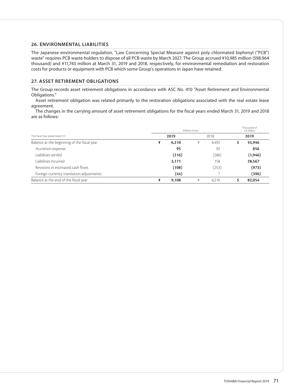## **26. ENVIRONMENTAL LIABILITIES**

The Japanese environmental regulation, "Law Concerning Special Measure against poly chlorinated biphenyl ("PCB") waste" requires PCB waste holders to dispose of all PCB waste by March 2027. The Group accrued ¥10,985 million (\$98,964 thousand) and ¥11,743 million at March 31, 2019 and 2018, respectively, for environmental remediation and restoration costs for products or equipment with PCB which some Group's operations in Japan have retained.

## **27. ASSET RETIREMENT OBLIGATIONS**

The Group records asset retirement obligations in accordance with ASC No. 410 "Asset Retirement and Environmental Obligations."

Asset retirement obligation was related primarily to the restoration obligations associated with the real estate lease agreement.

The changes in the carrying amount of asset retirement obligations for the fiscal years ended March 31, 2019 and 2018 are as follows:

|                                             |      | Thousands of<br>US dollars |      |       |      |          |
|---------------------------------------------|------|----------------------------|------|-------|------|----------|
| The Fiscal Year ended March 31              | 2019 |                            | 2018 |       | 2019 |          |
| Balance at the beginning of the fiscal year | ¥    | 6,210                      | ¥    | 6.492 |      | 55,946   |
| Accretion expense                           |      | 95                         |      | 92    |      | 856      |
| Liabilities settled                         |      | (216)                      |      | (286) |      | (1, 946) |
| Liabilities incurred                        |      | 3,171                      |      | 158   |      | 28,567   |
| Revisions in estimated cash flows           |      | (108)                      |      | (253) |      | (973)    |
| Foreign currency translation adjustments    |      | (44)                       |      |       |      | (396)    |
| Balance at the end of the fiscal year       | ¥    | 9,108                      | ¥    | 6.210 |      | 82,054   |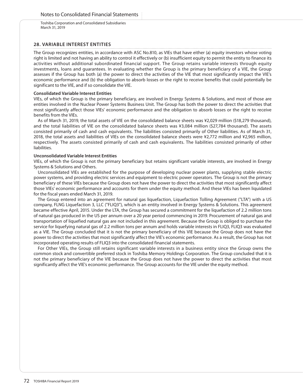### **28. VARIABLE INTEREST ENTITIES**

The Group recognizes entities, in accordance with ASC No.810, as VIEs that have either (a) equity investors whose voting right is limited and not having an ability to control it effectively or (b) insufficient equity to permit the entity to finance its activities without additional subordinated financial support. The Group retains variable interests through equity investments, loans and guarantees. In evaluating whether the Group is the primary beneficiary of a VIE, the Group assesses if the Group has both (a) the power to direct the activities of the VIE that most significantly impact the VIE's economic performance and (b) the obligation to absorb losses or the right to receive benefits that could potentially be significant to the VIE, and if so consolidate the VIE.

#### **Consolidated Variable Interest Entities**

VIEs, of which the Group is the primary beneficiary, are involved in Energy Systems & Solutions, and most of those are entities involved in the Nuclear Power Systems Business Unit. The Group has both the power to direct the activities that most significantly affect those VIEs' economic performance and the obligation to absorb losses or the right to receive benefits from the VIEs.

As of March 31, 2019, the total assets of VIE on the consolidated balance sheets was ¥2,029 million (\$18,279 thousand), and the total liabilities of VIE on the consolidated balance sheets was ¥3,084 million (\$27,784 thousand). The assets consisted primarily of cash and cash equivalents. The liabilities consisted primarily of Other liabilities. As of March 31, 2018, the total assets and liabilities of VIEs on the consolidated balance sheets were ¥2,772 million and ¥2,965 million, respectively. The assets consisted primarily of cash and cash equivalents. The liabilities consisted primarily of other liabilities.

### **Unconsolidated Variable Interest Entities**

VIEs, of which the Group is not the primary beneficiary but retains significant variable interests, are involved in Energy Systems & Solutions and Others.

Unconsolidated VIEs are established for the purpose of developing nuclear power plants, supplying stable electric power systems, and providing electric services and equipment to electric power operators. The Group is not the primary beneficiary of these VIEs because the Group does not have the power to direct the activities that most significantly affect those VIEs' economic performance and accounts for them under the equity method. And these VIEs has been liquidated for the fiscal years ended March 31, 2019.

The Group entered into an agreement for natural gas liquefaction, Liquefaction Tolling Agreement ("LTA") with a US company, FLNG Liquefaction 3, LLC ("FLIQ3"), which is an entity involved in Energy Systems & Solutions. This agreement became effective April, 2015. Under the LTA, the Group has secured a commitment for the liquefaction of 2.2 million tons of natural gas produced in the US per annum over a 20 year period commencing in 2019. Procurement of natural gas and transportation of liquefied natural gas are not included in this agreement. Because the Group is obliged to purchase the service for liquefying natural gas of 2.2 million tons per annum and holds variable interests in FLIQ3, FLIQ3 was evaluated as a VIE. The Group concluded that it is not the primary beneficiary of this VIE because the Group does not have the power to direct the activities that most significantly affect the VIE's economic performance. As a result, the Group has not incorporated operating results of FLIQ3 into the consolidated financial statements.

For Other VIEs, the Group still retains significant variable interests in a business entity since the Group owns the common stock and convertible preferred stock in Toshiba Memory Holdings Corporation. The Group concluded that it is not the primary beneficiary of the VIE because the Group does not have the power to direct the activities that most significantly affect the VIE's economic performance. The Group accounts for the VIE under the equity method.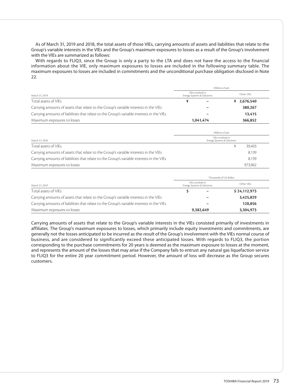As of March 31, 2019 and 2018, the total assets of those VIEs, carrying amounts of assets and liabilities that relate to the Group's variable interests in the VIEs and the Group's maximum exposures to losses as a result of the Group's involvement with the VIEs are summarized as follows:

With regards to FLIQ3, since the Group is only a party to the LTA and does not have the access to the financial information about the VIE, only maximum exposures to losses are included in the following summary table. The maximum exposures to losses are included in commitments and the unconditional purchase obligation disclosed in Note 22.

|                                                                                           | Millions of yen                                |             |  |  |  |  |  |
|-------------------------------------------------------------------------------------------|------------------------------------------------|-------------|--|--|--|--|--|
| March 31, 2019                                                                            | VIEs involved in<br>Energy Systems & Solutions | Other VIEs  |  |  |  |  |  |
| Total assets of VIEs                                                                      |                                                | ¥ 2,676,540 |  |  |  |  |  |
| Carrying amounts of assets that relate to the Group's variable interests in the VIEs      |                                                | 380,267     |  |  |  |  |  |
| Carrying amounts of liabilities that relate to the Group's variable interests in the VIEs |                                                | 13,415      |  |  |  |  |  |
| Maximum exposures to losses                                                               | 1,041,474                                      | 366,852     |  |  |  |  |  |

|                                                                                           | Millions of yen                                |         |
|-------------------------------------------------------------------------------------------|------------------------------------------------|---------|
| March 31, 2018                                                                            | VIEs involved in<br>Energy Systems & Solutions |         |
| Total assets of VIEs                                                                      |                                                | 39,403  |
| Carrying amounts of assets that relate to the Group's variable interests in the VIEs      |                                                | 8,139   |
| Carrying amounts of liabilities that relate to the Group's variable interests in the VIEs |                                                | 8,139   |
| Maximum exposures to losses                                                               |                                                | 973.962 |

|                                                                                           | Thousands of US dollars    |                  |              |  |  |  |  |
|-------------------------------------------------------------------------------------------|----------------------------|------------------|--------------|--|--|--|--|
| March 31, 2019                                                                            | Energy Systems & Solutions | VIEs involved in | Other VIEs   |  |  |  |  |
| Total assets of VIEs                                                                      |                            |                  | \$24,112,973 |  |  |  |  |
| Carrying amounts of assets that relate to the Group's variable interests in the VIEs      |                            |                  | 3,425,829    |  |  |  |  |
| Carrying amounts of liabilities that relate to the Group's variable interests in the VIEs |                            | -                | 120,856      |  |  |  |  |
| Maximum exposures to losses                                                               |                            | 9,382,649        | 3,304,973    |  |  |  |  |

Carrying amounts of assets that relate to the Group's variable interests in the VIEs consisted primarily of investments in affiliates. The Group's maximum exposures to losses, which primarily include equity investments and commitments, are generally not the losses anticipated to be incurred as the result of the Group's involvement with the VIEs normal course of business, and are considered to significantly exceed these anticipated losses. With regards to FLIQ3, the portion corresponding to the purchase commitments for 20 years is deemed as the maximum exposure to losses at the moment, and represents the amount of the losses that may arise if the Company fails to entrust any natural gas liquefaction service to FLIQ3 for the entire 20 year commitment period. However, the amount of loss will decrease as the Group secures customers.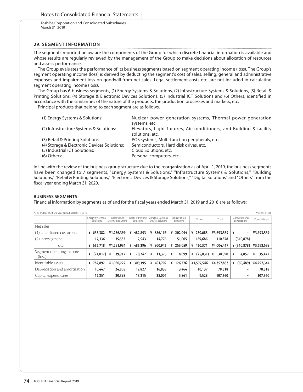Toshiba Corporation and Consolidated Subsidiaries March 31, 2019

## **29. SEGMENT INFORMATION**

The segments reported below are the components of the Group for which discrete financial information is available and whose results are regularly reviewed by the management of the Group to make decisions about allocation of resources and assess performance.

The Group evaluates the performance of its business segments based on segment operating income (loss). The Group's segment operating income (loss) is derived by deducting the segment's cost of sales, selling, general and administrative expenses and impairment loss on goodwill from net sales. Legal settlement costs etc. are not included in calculating segment operating income (loss).

The Group has 6 business segments, (1) Energy Systems & Solutions, (2) Infrastructure Systems & Solutions, (3) Retail & Printing Solutions, (4) Storage & Electronic Devices Solutions, (5) Industrial ICT Solutions and (6) Others, identified in accordance with the similarities of the nature of the products, the production processes and markets, etc.

Principal products that belong to each segment are as follows.

| (1) Energy Systems & Solutions:             | Nuclear power generation systems, Thermal power generation           |
|---------------------------------------------|----------------------------------------------------------------------|
|                                             | systems, etc.                                                        |
| (2) Infrastructure Systems & Solutions:     | Elevators, Light fixtures, Air-conditioners, and Building & facility |
|                                             | solutions, etc.                                                      |
| (3) Retail & Printing Solutions:            | POS systems, Multi-function peripherals, etc.                        |
| (4) Storage & Electronic Devices Solutions: | Semiconductors, Hard disk drives, etc.                               |
| (5) Industrial ICT Solutions:               | Cloud Solutions, etc.                                                |
| (6) Others:                                 | Personal computers, etc.                                             |

In line with the review of the business group structure due to the reorganization as of April 1, 2019, the business segments have been changed to 7 segments, "Energy Systems & Solutions," "Infrastructure Systems & Solutions," "Building Solutions," "Retail & Printing Solutions," "Electronic Devices & Storage Solutions," "Digital Solutions" and "Others" from the fiscal year ending March 31, 2020.

## **BUSINESS SEGMENTS**

Financial information by segments as of and for the fiscal years ended March 31, 2019 and 2018 are as follows:

| As of and for the fiscal year ended March 31, 2019<br>Millions of yen |                               |                                       |                                |                                           |                             |               |             |                               |              |
|-----------------------------------------------------------------------|-------------------------------|---------------------------------------|--------------------------------|-------------------------------------------|-----------------------------|---------------|-------------|-------------------------------|--------------|
|                                                                       | Energy Systems &<br>Solutions | Infrastructure<br>Systems & Solutions | Retail & Printing<br>Solutions | Storage & Electronic<br>Devices Solutions | Industrial ICT<br>Solutions | Others        | Total       | Corporate and<br>Eliminations | Consolidated |
| Net sales                                                             |                               |                                       |                                |                                           |                             |               |             |                               |              |
| (1) Unaffiliated customers                                            | 635,382<br>¥                  | ¥1,256,399                            | 482,853<br>¥                   | ¥ 886,166                                 | 202,054<br>¥                | 230.685<br>¥  | ¥3,693,539  | ¥<br>-                        | ¥3,693,539   |
| (2) Intersegment                                                      | 17,336                        | 35,532                                | 2,543                          | 14.776                                    | 51,005                      | 189,686       | 310,878     | (310, 878)                    |              |
| Total                                                                 | 652,718<br>¥                  | ¥1,291,931                            | 485,396<br>¥                   | ¥ 900,942                                 | 253,059<br>¥                | 420,371<br>¥  | ¥4,004,417  | $*(310,878)$                  | ¥3,693,539   |
| Segment operating income<br>(loss)                                    | (24,012)<br>¥                 | ¥<br>39,917                           | 20,242<br>¥                    | 11,375<br>¥                               | 8,099<br>¥                  | (25,031)<br>¥ | 30,590<br>¥ | 4,857<br>¥                    | 35,447<br>¥  |
| Identifiable assets                                                   | 782,892<br>¥                  | ¥1,080,222                            | 309,195<br>¥                   | ¥ 461,702                                 | 126,276<br>¥                | ¥1,597,546    | ¥4,357,833  | (60, 489)<br>¥                | ¥4,297,344   |
| Depreciation and amortization                                         | 10,447                        | 24,805                                | 12,827                         | 16,838                                    | 3,464                       | 10,137        | 78,518      |                               | 78,518       |
| Capital expenditures                                                  | 12,251                        | 30,398                                | 13,315                         | 38,007                                    | 3,861                       | 9,528         | 107,360     |                               | 107,360      |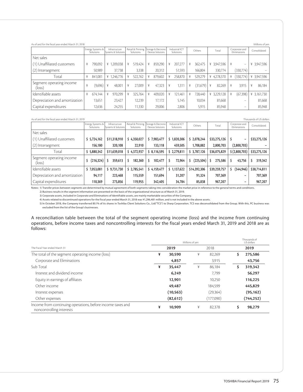| As of and for the fiscal year ended March 31, 2018 |   |                               |   |                                       |   |           |   |                                                             |   | Millions of yen             |   |          |   |             |   |                               |   |              |
|----------------------------------------------------|---|-------------------------------|---|---------------------------------------|---|-----------|---|-------------------------------------------------------------|---|-----------------------------|---|----------|---|-------------|---|-------------------------------|---|--------------|
|                                                    |   | Energy Systems &<br>Solutions |   | Infrastructure<br>Systems & Solutions |   | Solutions |   | Retail & Printing Storage & Electronic<br>Devices Solutions |   | Industrial ICT<br>Solutions |   | Others   |   | Total       |   | Corporate and<br>Eliminations |   | Consolidated |
| Net sales                                          |   |                               |   |                                       |   |           |   |                                                             |   |                             |   |          |   |             |   |                               |   |              |
| (1) Unaffiliated customers                         | ¥ | 790,092                       |   | ¥ 1,209,038                           | ¥ | 519.424   | ¥ | 859,290                                                     | ¥ | 207,277                     | ¥ | 362,475  |   | ¥ 3.947.596 |   | $\overline{\phantom{0}}$      |   | ¥ 3,947,596  |
| (2) Intersegment                                   |   | 50,989                        |   | 37,738                                |   | 3,338     |   | 20,312                                                      |   | 51,593                      |   | 166,804  |   | 330,774     |   | (330,774)                     |   |              |
| Total                                              | ¥ | 841.081                       |   | ¥ 1,246,776                           | ¥ | 522,762   | ¥ | 879,602                                                     | ¥ | 258,870                     | ¥ | 529,279  |   | ¥ 4,278,370 | ¥ | (330,774)                     |   | ¥ 3,947,596  |
| Segment operating income<br>(loss)                 | ¥ | (9,696)                       | ¥ | 48.001                                | ¥ | 27.009    | ¥ | 47,323                                                      | ¥ | 1,311                       | ¥ | (31,679) | ¥ | 82,269      | ¥ | 3,915                         | ¥ | 86,184       |
| Identifiable assets                                | ¥ | 674.144                       | ¥ | 970.299                               | ¥ | 325,764   | ¥ | 409,020                                                     | ¥ | 121.461                     | ¥ | 728.440  |   | ¥ 3.229.128 | ¥ | (67, 398)                     |   | ¥ 3,161,730  |
| Depreciation and amortization                      |   | 13,651                        |   | 23,427                                |   | 12,239    |   | 17,172                                                      |   | 5,145                       |   | 10,034   |   | 81,668      |   | $\overline{\phantom{a}}$      |   | 81,668       |
| Capital expenditures                               |   | 12,636                        |   | 24,255                                |   | 11,330    |   | 29.006                                                      |   | 2,806                       |   | 5,915    |   | 85,948      |   | $\hspace{0.05cm}$             |   | 85,948       |

| Consolidated |
|--------------|
|              |
| \$33,275,126 |
|              |
| \$33,275,126 |
| 319,342      |
| \$38,714,811 |
| 707.369      |
| 967,207      |
|              |

Notes: 1) Transfer prices between segments are determined by mutual agreement of both segments taking into consideration the market price in reference to the general terms and conditions.

2) Business results in the segment information are presented on the basis of the organizational structure as of March 31, 2019.

3) Corporate assets, included in Corporate and Eliminations of Identifiable assets, are mainly marketable securities of the Company.

4) Assets related to discontinued operations for the fiscal year ended March 31, 2018 was ¥1,296,481 million, and is not included in the above assets.

5) In October 2018, the Company transferred 80.1% of its shares in Toshiba Client Solutions Co., Ltd("TCS") to Sharp Corporation. TCS was deconsolidated from the Group. With this, PC business was excluded from the list of the Group's businesses.

A reconciliation table between the total of the segment operating income (loss) and the income from continuing operations, before income taxes and noncontrolling interests for the fiscal years ended March 31, 2019 and 2018 are as follows:

|                                                                                        |   |           | Thousands of<br>US dollars |           |      |            |  |
|----------------------------------------------------------------------------------------|---|-----------|----------------------------|-----------|------|------------|--|
| The Fiscal Year ended March 31                                                         |   | 2019      |                            | 2018      | 2019 |            |  |
| The total of the segment operating income (loss)                                       | ¥ | 30,590    | ¥                          | 82.269    | S    | 275,586    |  |
| Corporate and Eliminations                                                             |   | 4,857     |                            | 3,915     |      | 43,756     |  |
| Sub Total                                                                              | ¥ | 35,447    | ¥                          | 86.184    | \$   | 319,342    |  |
| Interest and dividend income                                                           |   | 6,249     |                            | 7.799     |      | 56,297     |  |
| Equity in earnings of affiliates                                                       |   | 12,901    |                            | 10,250    |      | 116,225    |  |
| Other income                                                                           |   | 49.487    |                            | 184.599   |      | 445,829    |  |
| Interest expenses                                                                      |   | (10, 563) |                            | (29, 364) |      | (95, 162)  |  |
| Other expenses                                                                         |   | (82, 612) |                            | (177,090) |      | (744, 252) |  |
| Income from continuing operations, before income taxes and<br>noncontrolling interests | ¥ | 10,909    | ¥                          | 82,378    | Ś    | 98,279     |  |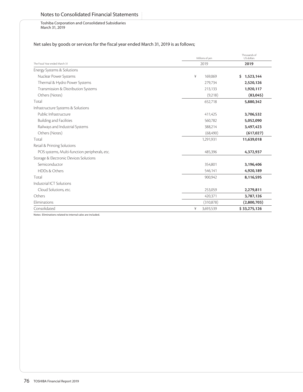## Notes to Consolidated Financial Statements

Toshiba Corporation and Consolidated Subsidiaries March 31, 2019

# Net sales by goods or services for the fiscal year ended March 31, 2019 is as follows;

|                                               | Millions of yen | Thousands of<br>US dollars |
|-----------------------------------------------|-----------------|----------------------------|
| The Fiscal Year ended March 31                | 2019            | 2019                       |
| Energy Systems & Solutions                    |                 |                            |
| Nuclear Power Systems                         | ¥<br>169,069    | \$1,523,144                |
| Thermal & Hydro Power Systems                 | 279,734         | 2,520,126                  |
| Transmission & Distribution Systems           | 213,133         | 1,920,117                  |
| Others (Notes)                                | (9,218)         | (83,045)                   |
| Total                                         | 652,718         | 5,880,342                  |
| Infrastructure Systems & Solutions            |                 |                            |
| Public Infrastructure                         | 411,425         | 3,706,532                  |
| <b>Building and Facilities</b>                | 560,782         | 5,052,090                  |
| Railways and Industrial Systems               | 388,214         | 3,497,423                  |
| Others (Notes)                                | (68, 490)       | (617, 027)                 |
| Total                                         | 1,291,931       | 11,639,018                 |
| Retail & Printing Solutions                   |                 |                            |
| POS systems, Multi-function peripherals, etc. | 485,396         | 4,372,937                  |
| Storage & Electronic Devices Solutions        |                 |                            |
| Semiconductor                                 | 354,801         | 3,196,406                  |
| <b>HDDs &amp; Others</b>                      | 546,141         | 4,920,189                  |
| Total                                         | 900,942         | 8,116,595                  |
| Industrial ICT Solutions                      |                 |                            |
| Cloud Solutions, etc.                         | 253,059         | 2,279,811                  |
| Others                                        | 420,371         | 3,787,126                  |
| Eliminations                                  | (310, 878)      | (2,800,703)                |
| Consolidated                                  | ¥<br>3,693,539  | \$33,275,126               |

Notes: Eliminations related to internal sales are included.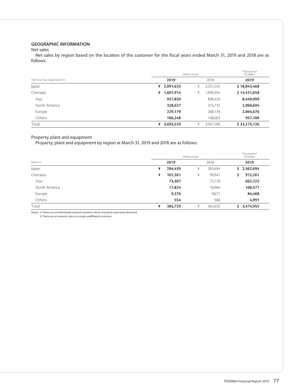## **GEOGRAPHIC INFORMATION**

## Net sales

Net sales by region based on the location of the customer for the fiscal years ended March 31, 2019 and 2018 are as follows:

|                                | Millions of yen | Thousands of<br>US dollars |              |
|--------------------------------|-----------------|----------------------------|--------------|
| The Fiscal Year ended March 31 | 2019            | 2018                       | 2019         |
| Japan                          | 2,091,625<br>¥  | 2,257,242<br>¥             | \$18,843,468 |
| Overseas                       | 1,601,914<br>¥  | 1,690,354<br>¥             | \$14,431,658 |
| Asia                           | 937,850         | 898,420                    | 8,449,099    |
| North America                  | 328,637         | 375,732                    | 2,960,694    |
| Europe                         | 229,179         | 268,139                    | 2,064,676    |
| Others                         | 106,248         | 148,063                    | 957,189      |
| Total                          | 3,693,539<br>¥  | 3,947,596<br>¥             | \$33,275,126 |

## Property, plant and equipment

Property, plant and equipment by region at March 31, 2019 and 2018 are as follows:

|               | Millions of yen |         |   |         |     |             |
|---------------|-----------------|---------|---|---------|-----|-------------|
| March 31      |                 | 2019    |   | 2018    |     | 2019        |
| Japan         | ¥               | 284,459 | ¥ | 265,694 |     | \$2,562,694 |
| Overseas      | ¥               | 101,261 | ¥ | 99,941  | \$. | 912,261     |
| Asia          |                 | 73,507  |   | 72,718  |     | 662,225     |
| North America |                 | 17,824  |   | 16,964  |     | 160,577     |
| Europe        |                 | 9,376   |   | 9,671   |     | 84,468      |
| Others        |                 | 554     |   | 588     |     | 4,991       |
| Total         | ¥               | 385,720 | ¥ | 365,635 |     | \$3,474,955 |

Notes: 1) There are no individually material countries which should be separately disclosed.

2) There are no material sales to a single unaffiliated customer.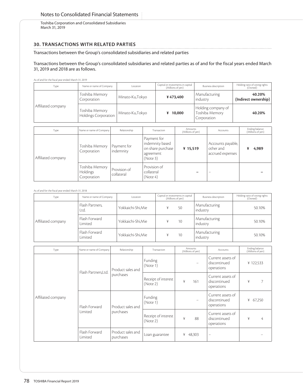Toshiba Corporation and Consolidated Subsidiaries March 31, 2019

## **30. TRANSACTIONS WITH RELATED PARTIES**

Transactions between the Group's consolidated subsidiaries and related parties

## Transactions between the Group's consolidated subsidiaries and related parties as of and for the fiscal years ended March 31, 2019 and 2018 are as follows.

As of and for the fiscal year ended March 31, 2019

| Type               | Name or name of Company                | Location        | Capital or investments in capital<br>(Millions of yen) | <b>Business description</b>                         | Holding ratio of voting rights<br>(Owned) |
|--------------------|----------------------------------------|-----------------|--------------------------------------------------------|-----------------------------------------------------|-------------------------------------------|
| Affiliated company | Toshiba Memory<br>Corporation          | Minato-Ku,Tokyo | ¥473,400                                               | Manufacturing<br>industry                           | 40.20%<br>(Indirect ownership)            |
|                    | Toshiba Memory<br>Holdings Corporation | Minato-Ku,Tokyo | ¥ $10,000$                                             | Holding company of<br>Toshiba Memory<br>Corporation | 40.20%                                    |

| Type               | Name or name of Company                          | Relationship               | Transaction                                                                  | Amounts<br>(Millions of yen) | Accounts                                           | Ending balance<br>(Millions of yen) |
|--------------------|--------------------------------------------------|----------------------------|------------------------------------------------------------------------------|------------------------------|----------------------------------------------------|-------------------------------------|
| Affiliated company | Toshiba Memory<br>Corporation                    | Payment for<br>indemnity   | Payment for<br>indemnity based<br>on share purchase<br>agreement<br>(Note 3) | ¥ 15,519                     | Accounts payable,<br>other and<br>accrued expenses | 4,989                               |
|                    | Toshiba Memory<br><b>Holdings</b><br>Corporation | Provision of<br>collateral | Provision of<br>collateral<br>(Note 4)                                       |                              | $\overline{\phantom{a}}$                           |                                     |

| As of and for the fiscal year ended March 31, 2018 |                          |                    |                                                        |    |                             |                                           |
|----------------------------------------------------|--------------------------|--------------------|--------------------------------------------------------|----|-----------------------------|-------------------------------------------|
| Type                                               | Name or name of Company  | Location           | Capital or investments in capital<br>(Millions of yen) |    | <b>Business description</b> | Holding ratio of voting rights<br>(Owned) |
| Affiliated company                                 | Flash Partners,<br>Ltd.  | Yokkaichi-Shi.Mie  |                                                        | 50 | Manufacturing<br>industry   | 50.10%                                    |
|                                                    | Flash Forward<br>Limited | Yokkaichi-Shi, Mie |                                                        | 10 | Manufacturing<br>industry   | 50.10%                                    |
|                                                    | Flash Forward<br>Limited | Yokkaichi-Shi, Mie |                                                        | 10 | Manufacturing<br>industry   | 50.10%                                    |

| Type               | Name or name of Company  | Relationship                   | Transaction                     | Amounts<br>(Millions of yen) | Accounts                                        | Ending balance<br>(Millions of yen) |
|--------------------|--------------------------|--------------------------------|---------------------------------|------------------------------|-------------------------------------------------|-------------------------------------|
| Affiliated company | Flash Partners, Ltd.     | Product sales and<br>purchases | Funding<br>(Note 1)             | $\qquad \qquad -$            | Current assets of<br>discontinued<br>operations | ¥122,533                            |
|                    |                          |                                | Receipt of interest<br>(Note 2) | ¥<br>161                     | Current assets of<br>discontinued<br>operations | ¥<br>7                              |
|                    | Flash Forward<br>Limited | Product sales and<br>purchases | Funding<br>(Note 1)             |                              | Current assets of<br>discontinued<br>operations | ¥<br>67,250                         |
|                    |                          |                                | Receipt of interest<br>(Note 2) | ¥<br>88                      | Current assets of<br>discontinued<br>operations | ¥<br>4                              |
|                    | Flash Forward<br>Limited | Product sales and<br>purchases | Loan guarantee                  | 48,303<br>¥                  | $\overline{\phantom{0}}$                        |                                     |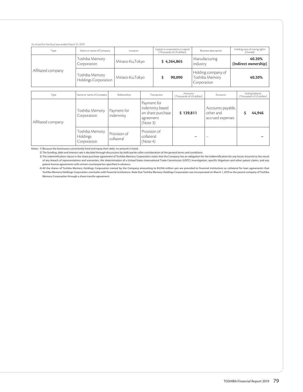#### As of and for the fiscal year ended March 31, 2019

| Type               | Name or name of Company                       | Location        | Capital or investments in capital<br>(Thousands of US dollars) |                                                     | Holding ratio of voting rights<br>(Owned) |
|--------------------|-----------------------------------------------|-----------------|----------------------------------------------------------------|-----------------------------------------------------|-------------------------------------------|
| Affiliated company | Toshiba Memory<br>Corporation                 | Minato-Ku,Tokyo | \$4,264,865                                                    | Manufacturing<br>industry                           | 40.20%<br>(Indirect ownership)            |
|                    | Toshiba Memory<br><b>Holdings Corporation</b> | Minato-Ku,Tokyo | 90,090                                                         | Holding company of<br>Toshiba Memory<br>Corporation | 40.20%                                    |

| Type               | Name or name of Company                          | Relationship               | Transaction                                                                 | Amounts<br>(Thousands of US dollars) | Accounts                                           | Ending balance<br>(Thousands of US dollars) |
|--------------------|--------------------------------------------------|----------------------------|-----------------------------------------------------------------------------|--------------------------------------|----------------------------------------------------|---------------------------------------------|
| Affiliated company | Toshiba Memory<br>Corporation                    | Payment for<br>indemnity   | Payment for<br>indemnity based<br>on share purchase<br>agreement<br>(Note3) | \$139,811                            | Accounts payable,<br>other and<br>accrued expenses | 44,946                                      |
|                    | Toshiba Memory<br><b>Holdings</b><br>Corporation | Provision of<br>collateral | Provision of<br>collateral<br>(Note 4)                                      |                                      |                                                    |                                             |

Notes: 1) Because the businesses consistently fund and repay their debt, no amount is listed.

2) The funding, debt and interest rate is decided through discussions by both parties after consideration of the general terms and conditions.

3) The indemnification clause in the share purchase agreement of Toshiba Memory Corporation states that the Company has an obligation for the indemnification for any losses incurred as the result of any breach of representations and warranties, the determination of a United States International Trade Commission (USITC) investigation, specific litigations and other patent claims, and any patent license agreements with certain counterparties specified in advance.

4) All the shares of Toshiba Memory Holdings Corporation owned by the Company amounting to 83,956 million yen are provided to financial institutions as collateral for loan agreements that Toshiba Memory Holdings Corporation concludes with financial institutions. Note that Toshiba Memory Holdings Corporation was incorporated on March 1, 2019 as the parent company of Toshiba Memory Corporation through a share transfer agreement.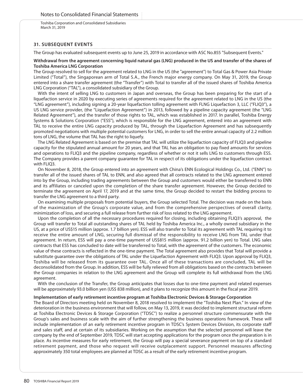Toshiba Corporation and Consolidated Subsidiaries March 31, 2019

## **31. SUBSEQUENT EVENTS**

The Group has evaluated subsequent events up to June 25, 2019 in accordance with ASC No.855 "Subsequent Events."

#### **Withdrawal from the agreement concerning liquid natural gas (LNG) produced in the US and transfer of the shares of Toshiba America LNG Corporation**

The Group resolved to sell for the agreement related to LNG in the US (the "agreement") to Total Gas & Power Asia Private Limited ("Total"), the Singaporean arm of Total S.A., the French major energy company. On May 31, 2019, the Group entered into a share transfer agreement (the "Transfer") with Total to transfer all of the issued shares of Toshiba America LNG Corporation ("TAL"), a consolidated subsidiary of the Group.

With the intent of selling LNG to customers in Japan and overseas, the Group has been preparing for the start of a liquefaction service in 2020 by executing series of agreements required for the agreement related to LNG in the US (the "LNG agreement"), including signing a 20-year liquefaction tolling agreement with FLNG Liquefaction 3, LLC ("FLIQ3"), a US LNG service provider, (the "Liquefaction Agreement") in 2013, followed by a pipeline capacity agreement (the "LNG Related Agreement"), and the transfer of those rights to TAL, which was established in 2017. In parallel, Toshiba Energy Systems & Solutions Corporation ("ESS"), which is responsible for the LNG agreement, entered into an agreement with TAL to receive the entire LNG capacity produced by TAL, through the Liquefaction Agreement and has subsequently promoted negotiations with multiple potential customers for LNG, in order to sell the entire annual capacity of 2.2 million tons of LNG, the volume that TAL has the right to liquefy.

The LNG Related Agreement is based on the premise that TAL will utilize the liquefaction capacity of FLIQ3 and pipeline capacity for the stipulated annual amount for 20 years, and that TAL has an obligation to pay fixed amounts for services and operations to FLIQ3 and the pipeline company, regardless of whether or not it sells LNG to customers through ESS. The Company provides a parent company guarantee for TAL in respect of its obligations under the liquefaction contract with  $F1103$ .

On November 8, 2018, the Group entered into an agreement with China's ENN Ecological Holdings Co., Ltd. ("ENN") to transfer all of the issued shares of TAL to ENN, and also agreed that all contracts related to the LNG agreement entered into by the Group, including trading agreements between the Group and customers would either be transferred to ENN and its affiliates or canceled upon the completion of the share transfer agreement. However, the Group decided to terminate the agreement on April 17, 2019 and at the same time, the Group decided to restart the bidding process to transfer the LNG agreement to a third party.

On examining multiple proposals from potential buyers, the Group selected Total. The decision was made on the basis of the maximization of the Group's corporate value, and from the comprehensive perspectives of overall clarity, minimization of loss, and securing a full release from further risk of loss related to the LNG agreement.

Upon the completion of all the necessary procedures required for closing, including obtaining FLIQ3's approval, the Group will transfer to Total all outstanding shares of TAL held by Toshiba America Inc., a wholly owned subsidiary in the US, at a price of US\$15 million (approx. 1.7 billion yen). ESS will also transfer to Total its agreement with TAL requiring it to receive the entire amount of LNG, securing full dismissal of the responsibility to receive LNG from TAL under that agreement. In return, ESS will pay a one-time payment of US\$815 million (approx. 91.2 billion yen) to Total. LNG sales contracts that ESS has concluded to date will be transferred to Total, with the agreement of the customers. The economic value of these contracts is reflected in the one-time payment. The Total agreement also provides that Total will provide a substitute guarantee over the obligations of TAL under the Liquefaction Agreement with FLIQ3. Upon approval by FLIQ3, Toshiba will be released from its guarantee over TAL. Once all of these transactions are concluded, TAL will be deconsolidated from the Group. In addition, ESS will be fully relieved from all obligations based on the contracts between the Group companies in relation to the LNG agreement and the Group will complete its full withdrawal from the LNG agreement.

With the conclusion of the Transfer, the Group anticipates that losses due to one-time payment and related expenses will be approximately 93.0 billion yen (US\$ 838 million), and it plans to recognize this amount in the fiscal year 2019.

#### **Implementation of early retirement incentive program at Toshiba Electronic Devices & Storage Corporation**

The Board of Directors meeting held on November 8, 2018 resolved to implement the "Toshiba Next Plan." In view of the deterioration in the business environment that will follow, on May 13, 2019, it was decided to implement structural reform at Toshiba Electronic Devices & Storage Corporation ("TDSC") to realize a personnel structure commensurate with the Group's sales and business scale with the aim of further strengthening the business operations framework. These will include implementation of an early retirement incentive program in TDSC's System Devices Division, its corporate staff and sales staff, and at certain of its subsidiaries. Working on the assumption that the selected personnel will leave the company by the end of September 2019, TDSC will start accepting applications for the program once the preparation is in place. As incentive measures for early retirement, the Group will pay a special severance payment on top of a standard retirement payment, and those who request will receive outplacement support. Personnel measures affecting approximately 350 total employees are planned at TDSC as a result of the early retirement incentive program.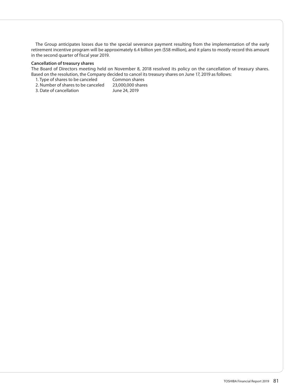The Group anticipates losses due to the special severance payment resulting from the implementation of the early retirement incentive program will be approximately 6.4 billion yen (\$58 million), and it plans to mostly record this amount in the second quarter of fiscal year 2019.

## **Cancellation of treasury shares**

The Board of Directors meeting held on November 8, 2018 resolved its policy on the cancellation of treasury shares. Based on the resolution, the Company decided to cancel its treasury shares on June 17, 2019 as follows:

- 1. Type of shares to be canceled Common shares<br>2. Number of shares to be canceled 23.000.000 shares
- 2. Number of shares to be canceled 23,000,000 sh<br>3. Date of cancellation June 24, 2019
- 3. Date of cancellation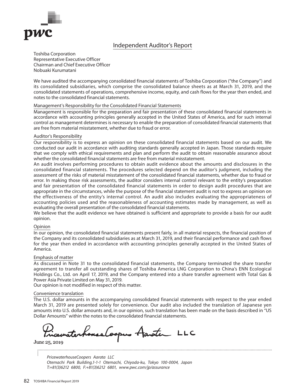

# Independent Auditor's Report

Toshiba Corporation Representative Executive Officer Chairman and Chief Executive Officer Nobuaki Kurumatani

We have audited the accompanying consolidated financial statements of Toshiba Corporation ("the Company") and its consolidated subsidiaries, which comprise the consolidated balance sheets as at March 31, 2019, and the consolidated statements of operations, comprehensive income, equity, and cash flows for the year then ended, and notes to the consolidated financial statements.

## Management's Responsibility for the Consolidated Financial Statements

Management is responsible for the preparation and fair presentation of these consolidated financial statements in accordance with accounting principles generally accepted in the United States of America, and for such internal control as management determines is necessary to enable the preparation of consolidated financial statements that are free from material misstatement, whether due to fraud or error.

## Auditor's Responsibility

Our responsibility is to express an opinion on these consolidated financial statements based on our audit. We conducted our audit in accordance with auditing standards generally accepted in Japan. Those standards require that we comply with ethical requirements and plan and perform the audit to obtain reasonable assurance about whether the consolidated financial statements are free from material misstatement.

An audit involves performing procedures to obtain audit evidence about the amounts and disclosures in the consolidated financial statements. The procedures selected depend on the auditor's judgment, including the assessment of the risks of material misstatement of the consolidated financial statements, whether due to fraud or error. In making those risk assessments, the auditor considers internal control relevant to the entity's preparation and fair presentation of the consolidated financial statements in order to design audit procedures that are appropriate in the circumstances, while the purpose of the financial statement audit is not to express an opinion on the effectiveness of the entity's internal control. An audit also includes evaluating the appropriateness of accounting policies used and the reasonableness of accounting estimates made by management, as well as evaluating the overall presentation of the consolidated financial statements.

We believe that the audit evidence we have obtained is sufficient and appropriate to provide a basis for our audit opinion.

## Opinion

In our opinion, the consolidated financial statements present fairly, in all material respects, the financial position of the Company and its consolidated subsidiaries as at March 31, 2019, and their financial performance and cash flows for the year then ended in accordance with accounting principles generally accepted in the United States of America.

### Emphasis of matter

As discussed in Note 31 to the consolidated financial statements, the Company terminated the share transfer agreement to transfer all outstanding shares of Toshiba America LNG Corporation to China's ENN Ecological Holdings Co., Ltd. on April 17, 2019, and the Company entered into a share transfer agreement with Total Gas & Power Asia Private Limited on May 31, 2019.

Our opinion is not modified in respect of this matter.

### Convenience translation

The U.S. dollar amounts in the accompanying consolidated financial statements with respect to the year ended March 31, 2019 are presented solely for convenience. Our audit also included the translation of Japanese yen amounts into U.S. dollar amounts and, in our opinion, such translation has been made on the basis described in "US Dollar Amounts" within the notes to the consolidated financial statements.

sematerhouse Cooper Aanoter LLC

June 25, 2019

 $\vdots$ 

*PricewaterhouseCoopers Aarata LLC Otemachi Park Building,1-1-1 Otemachi, Chiyoda-ku, Tokyo 100-0004, Japan T:+81(3)6212 6800, F:+81(3)6212 6801, www.pwc.com/jp/assurance*